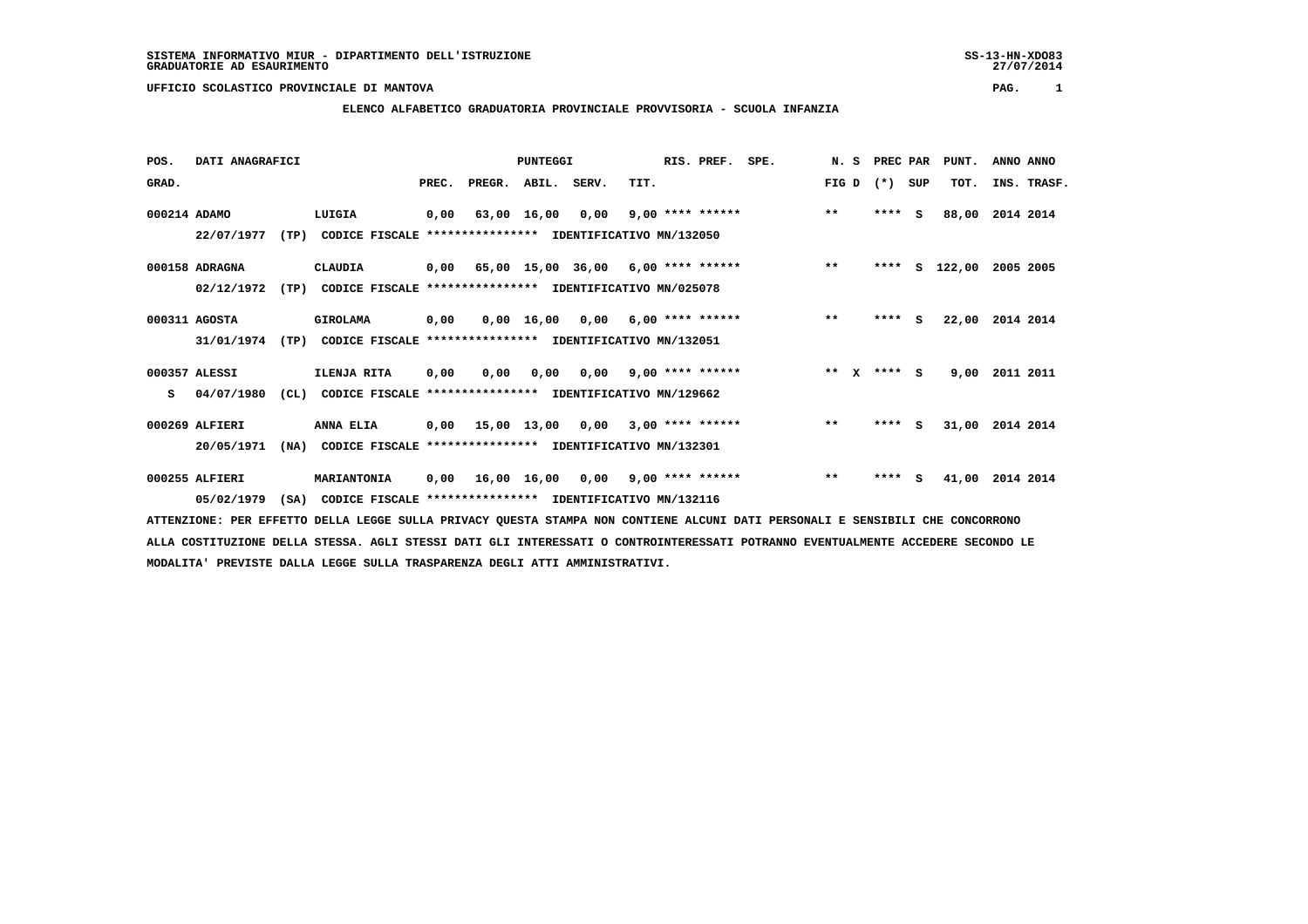# **ELENCO ALFABETICO GRADUATORIA PROVINCIALE PROVVISORIA - SCUOLA INFANZIA**

 **POS. DATI ANAGRAFICI PUNTEGGI RIS. PREF. SPE. N. S PREC PAR PUNT. ANNO ANNO**GRAD. **PREGRADE SERVEGE SERVE SERVE SERVE SERVE SERVE SERVE SERVE SERVE SERVE SERVE SERVE SERVE SERVE SERVE SERVE 000214 ADAMO LUIGIA 0,00 63,00 16,00 0,00 9,00 \*\*\*\* \*\*\*\*\*\* \*\* \*\*\*\* S 88,00 2014 2014 22/07/1977 (TP) CODICE FISCALE \*\*\*\*\*\*\*\*\*\*\*\*\*\*\*\* IDENTIFICATIVO MN/132050 000158 ADRAGNA CLAUDIA 0,00 65,00 15,00 36,00 6,00 \*\*\*\* \*\*\*\*\*\* \*\* \*\*\*\* S 122,00 2005 2005 02/12/1972 (TP) CODICE FISCALE \*\*\*\*\*\*\*\*\*\*\*\*\*\*\*\* IDENTIFICATIVO MN/025078 000311 AGOSTA GIROLAMA 0,00 0,00 16,00 0,00 6,00 \*\*\*\* \*\*\*\*\*\* \*\* \*\*\*\* S 22,00 2014 2014 31/01/1974 (TP) CODICE FISCALE \*\*\*\*\*\*\*\*\*\*\*\*\*\*\*\* IDENTIFICATIVO MN/132051 000357 ALESSI ILENJA RITA 0,00 0,00 0,00 0,00 9,00 \*\*\*\* \*\*\*\*\*\* \*\* X \*\*\*\* S 9,00 2011 2011 S 04/07/1980 (CL) CODICE FISCALE \*\*\*\*\*\*\*\*\*\*\*\*\*\*\*\* IDENTIFICATIVO MN/129662 000269 ALFIERI ANNA ELIA 0,00 15,00 13,00 0,00 3,00 \*\*\*\* \*\*\*\*\*\* \*\* \*\*\*\* S 31,00 2014 2014 20/05/1971 (NA) CODICE FISCALE \*\*\*\*\*\*\*\*\*\*\*\*\*\*\*\* IDENTIFICATIVO MN/132301 000255 ALFIERI MARIANTONIA 0,00 16,00 16,00 0,00 9,00 \*\*\*\* \*\*\*\*\*\* \*\* \*\*\*\* S 41,00 2014 2014**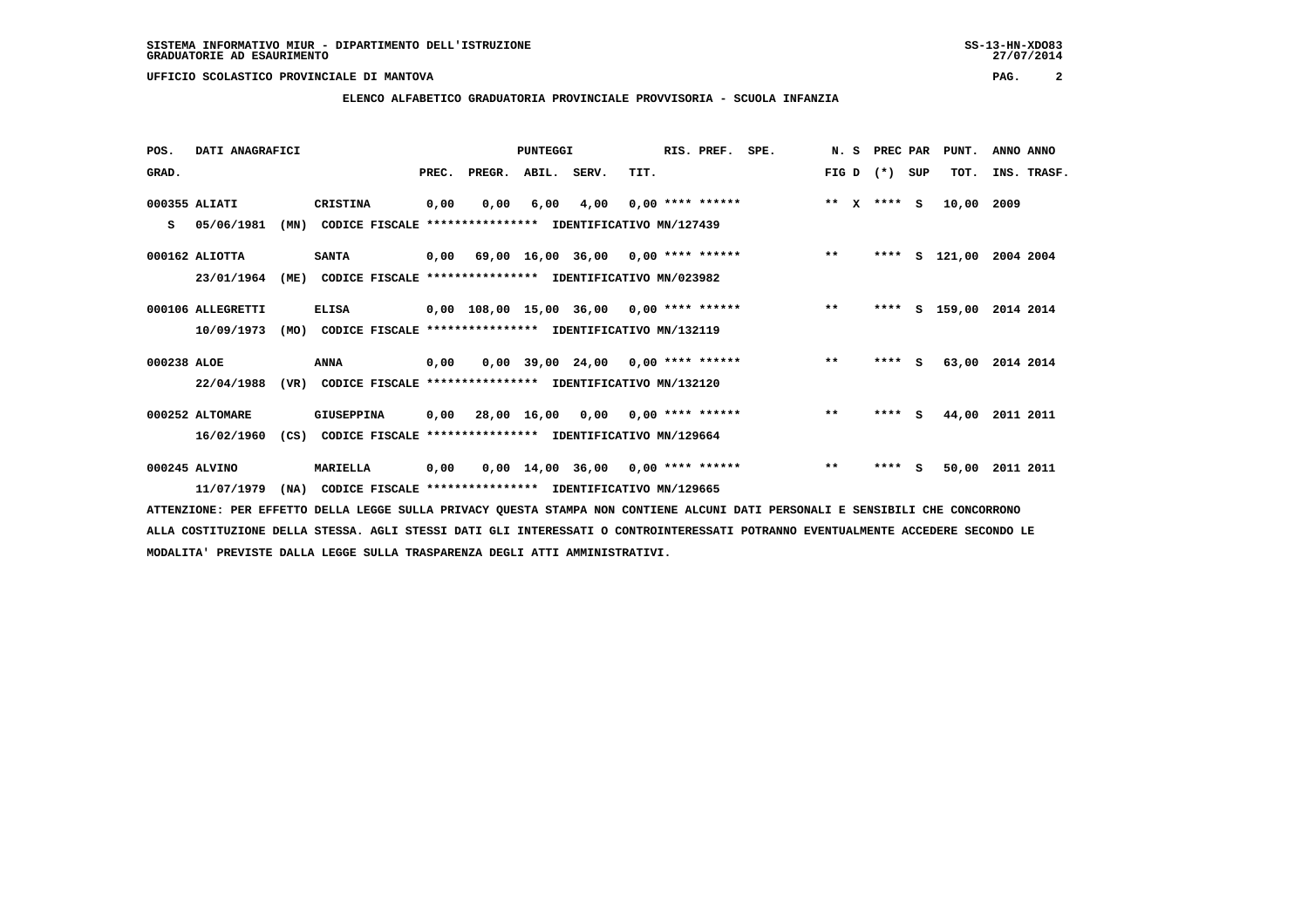**POS. DATI ANAGRAFICI PUNTEGGI RIS. PREF. SPE. N. S PREC PAR PUNT. ANNO ANNO**GRAD. **BRAD. PREC. PREGR. ABIL. SERV.** TIT. THE REGREATER FIG D (\*) SUP TOT. INS. TRASF.  **000355 ALIATI CRISTINA 0,00 0,00 6,00 4,00 0,00 \*\*\*\* \*\*\*\*\*\* \*\* X \*\*\*\* S 10,00 2009 S 05/06/1981 (MN) CODICE FISCALE \*\*\*\*\*\*\*\*\*\*\*\*\*\*\*\* IDENTIFICATIVO MN/127439 000162 ALIOTTA SANTA 0,00 69,00 16,00 36,00 0,00 \*\*\*\* \*\*\*\*\*\* \*\* \*\*\*\* S 121,00 2004 2004 23/01/1964 (ME) CODICE FISCALE \*\*\*\*\*\*\*\*\*\*\*\*\*\*\*\* IDENTIFICATIVO MN/023982 000106 ALLEGRETTI ELISA 0,00 108,00 15,00 36,00 0,00 \*\*\*\* \*\*\*\*\*\* \*\* \*\*\*\* S 159,00 2014 2014 10/09/1973 (MO) CODICE FISCALE \*\*\*\*\*\*\*\*\*\*\*\*\*\*\*\* IDENTIFICATIVO MN/132119**

- **000238 ALOE ANNA 0,00 0,00 39,00 24,00 0,00 \*\*\*\* \*\*\*\*\*\* \*\* \*\*\*\* S 63,00 2014 2014 22/04/1988 (VR) CODICE FISCALE \*\*\*\*\*\*\*\*\*\*\*\*\*\*\*\* IDENTIFICATIVO MN/132120**
- **000252 ALTOMARE GIUSEPPINA 0,00 28,00 16,00 0,00 0,00 \*\*\*\* \*\*\*\*\*\* \*\* \*\*\*\* S 44,00 2011 2011 16/02/1960 (CS) CODICE FISCALE \*\*\*\*\*\*\*\*\*\*\*\*\*\*\*\* IDENTIFICATIVO MN/129664**
- **000245 ALVINO MARIELLA 0,00 0,00 14,00 36,00 0,00 \*\*\*\* \*\*\*\*\*\* \*\* \*\*\*\* S 50,00 2011 2011 11/07/1979 (NA) CODICE FISCALE \*\*\*\*\*\*\*\*\*\*\*\*\*\*\*\* IDENTIFICATIVO MN/129665**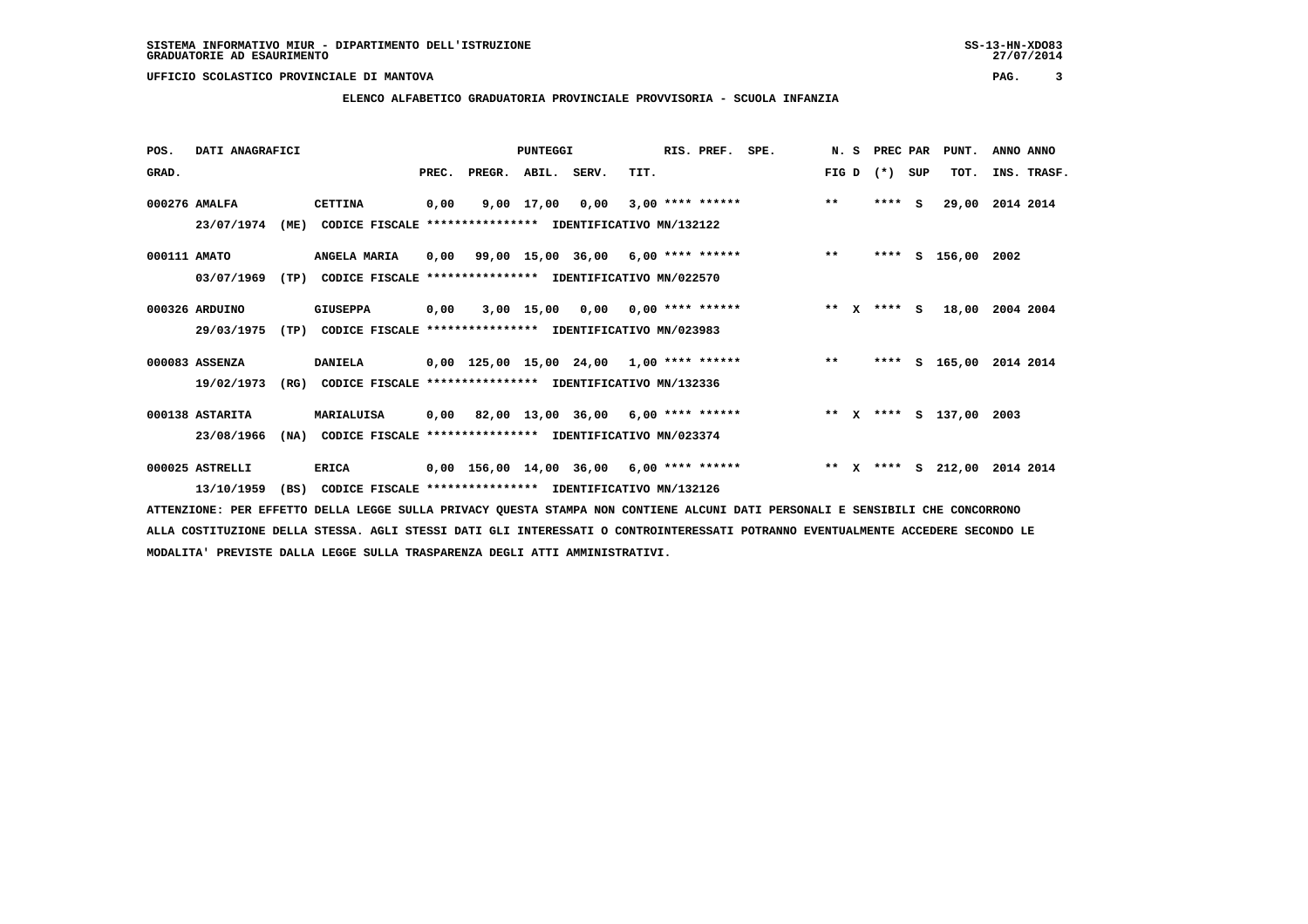| POS.         | DATI ANAGRAFICI |      |                                                               |       |                                            | <b>PUNTEGGI</b> |                                    |      | RIS. PREF.         | SPE.                                     | N.S    | PREC PAR |     | PUNT.                   | ANNO ANNO   |
|--------------|-----------------|------|---------------------------------------------------------------|-------|--------------------------------------------|-----------------|------------------------------------|------|--------------------|------------------------------------------|--------|----------|-----|-------------------------|-------------|
| GRAD.        |                 |      |                                                               | PREC. | PREGR. ABIL. SERV.                         |                 |                                    | TIT. |                    |                                          | FIG D  | $(*)$    | SUP | TOT.                    | INS. TRASF. |
|              | 000276 AMALFA   |      | <b>CETTINA</b>                                                | 0,00  |                                            |                 | 9,00 17,00 0,00                    |      | $3,00$ **** ****** |                                          | $***$  | $***$ S  |     | 29,00                   | 2014 2014   |
|              | 23/07/1974      | (ME) | CODICE FISCALE **************** IDENTIFICATIVO MN/132122      |       |                                            |                 |                                    |      |                    |                                          |        |          |     |                         |             |
| 000111 AMATO |                 |      | <b>ANGELA MARIA</b>                                           |       | $0,00$ 99,00 15,00 36,00 6,00 **** ******  |                 |                                    |      |                    |                                          | $***$  |          |     | **** S 156,00 2002      |             |
|              | 03/07/1969      | (TP) | CODICE FISCALE **************** IDENTIFICATIVO MN/022570      |       |                                            |                 |                                    |      |                    |                                          |        |          |     |                         |             |
|              | 000326 ARDUINO  |      | <b>GIUSEPPA</b>                                               | 0,00  |                                            |                 | $3,00$ 15,00 0,00 0,00 **** ****** |      |                    |                                          | ** $X$ | $***$ S  |     | 18,00                   | 2004 2004   |
|              | 29/03/1975      |      | (TP) CODICE FISCALE **************** IDENTIFICATIVO MN/023983 |       |                                            |                 |                                    |      |                    |                                          |        |          |     |                         |             |
|              | 000083 ASSENZA  |      | <b>DANIELA</b>                                                |       |                                            |                 |                                    |      |                    | 0,00 125,00 15,00 24,00 1,00 **** ****** | $***$  |          |     | **** S 165,00           | 2014 2014   |
|              | 19/02/1973      | (RG) | CODICE FISCALE **************** IDENTIFICATIVO MN/132336      |       |                                            |                 |                                    |      |                    |                                          |        |          |     |                         |             |
|              | 000138 ASTARITA |      | MARIALUISA                                                    |       | $0,00$ 82,00 13,00 36,00 6,00 **** ******  |                 |                                    |      |                    |                                          |        |          |     | ** X **** S 137,00 2003 |             |
|              | 23/08/1966      |      | (NA) CODICE FISCALE **************** IDENTIFICATIVO MN/023374 |       |                                            |                 |                                    |      |                    |                                          |        |          |     |                         |             |
|              | 000025 ASTRELLI |      | ERICA                                                         |       | $0.00$ 156.00 14.00 36.00 6.00 **** ****** |                 |                                    |      |                    |                                          |        |          |     | ** x **** s 212,00      | 2014 2014   |
|              | 13/10/1959      | (BS) | CODICE FISCALE **************** IDENTIFICATIVO MN/132126      |       |                                            |                 |                                    |      |                    |                                          |        |          |     |                         |             |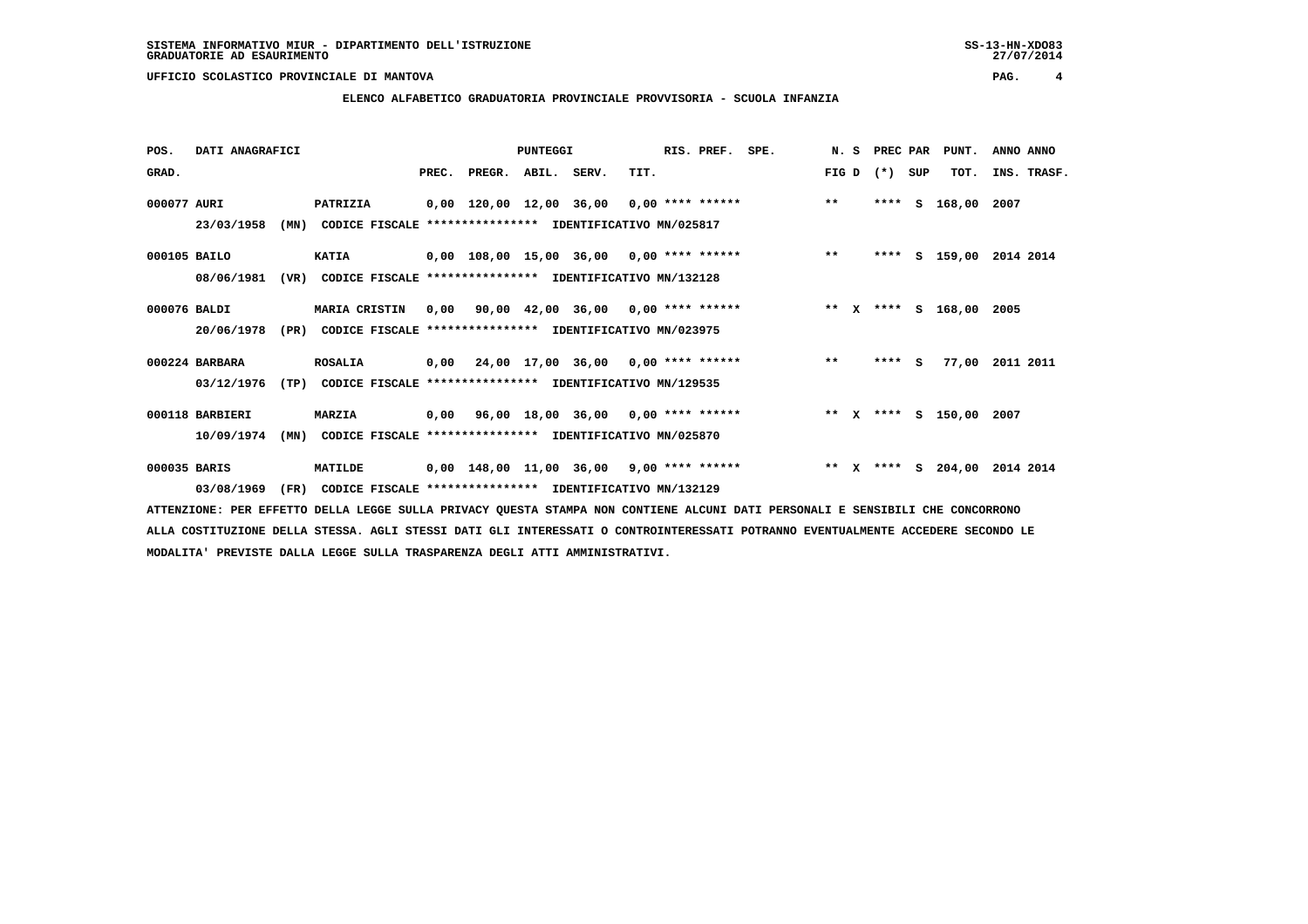### **ELENCO ALFABETICO GRADUATORIA PROVINCIALE PROVVISORIA - SCUOLA INFANZIA**

| POS.         | DATI ANAGRAFICI |      |                                                          |       |                    | PUNTEGGI |                                            |      | RIS. PREF. | SPE.                                     | N.S     | PREC PAR |          | PUNT.                   | ANNO ANNO   |
|--------------|-----------------|------|----------------------------------------------------------|-------|--------------------|----------|--------------------------------------------|------|------------|------------------------------------------|---------|----------|----------|-------------------------|-------------|
| GRAD.        |                 |      |                                                          | PREC. | PREGR. ABIL. SERV. |          |                                            | TIT. |            |                                          | FIG D   | $(* )$   | SUP      | TOT.                    | INS. TRASF. |
| 000077 AURI  |                 |      | <b>PATRIZIA</b>                                          |       |                    |          |                                            |      |            | 0,00 120,00 12,00 36,00 0,00 **** ****** | $* *$   | ****     | S.       | 168,00                  | 2007        |
|              | 23/03/1958      | (MN) | CODICE FISCALE **************** IDENTIFICATIVO MN/025817 |       |                    |          |                                            |      |            |                                          |         |          |          |                         |             |
| 000105 BAILO |                 |      | <b>KATIA</b>                                             |       |                    |          | 0,00 108,00 15,00 36,00 0,00 **** ******   |      |            |                                          | $***$   |          |          | **** S 159,00           | 2014 2014   |
|              | 08/06/1981      | (VR) | CODICE FISCALE **************** IDENTIFICATIVO MN/132128 |       |                    |          |                                            |      |            |                                          |         |          |          |                         |             |
| 000076 BALDI |                 |      | <b>MARIA CRISTIN</b>                                     | 0,00  |                    |          | 90,00 42,00 36,00 0,00 **** ******         |      |            | ** x **** s 168,00 2005                  |         |          |          |                         |             |
|              | 20/06/1978      | (PR) | CODICE FISCALE **************** IDENTIFICATIVO MN/023975 |       |                    |          |                                            |      |            |                                          |         |          |          |                         |             |
|              | 000224 BARBARA  |      | ROSALIA                                                  |       |                    |          | 0,00 24,00 17,00 36,00 0,00 **** ******    |      |            |                                          | $***$   | ****     | <b>S</b> | 77,00                   | 2011 2011   |
|              | 03/12/1976      | (TP) | CODICE FISCALE **************** IDENTIFICATIVO MN/129535 |       |                    |          |                                            |      |            |                                          |         |          |          |                         |             |
|              | 000118 BARBIERI |      | MARZIA                                                   |       |                    |          | 0,00 96,00 18,00 36,00 0,00 **** ******    |      |            |                                          |         |          |          | ** X **** S 150,00 2007 |             |
|              | 10/09/1974      | (MN) | CODICE FISCALE **************** IDENTIFICATIVO MN/025870 |       |                    |          |                                            |      |            |                                          |         |          |          |                         |             |
| 000035 BARIS |                 |      | <b>MATILDE</b>                                           |       |                    |          | $0.00$ 148.00 11.00 36.00 9.00 **** ****** |      |            |                                          | $***$ X |          |          | **** S 204,00           | 2014 2014   |
|              | 03/08/1969      | (FR) | CODICE FISCALE **************** IDENTIFICATIVO MN/132129 |       |                    |          |                                            |      |            |                                          |         |          |          |                         |             |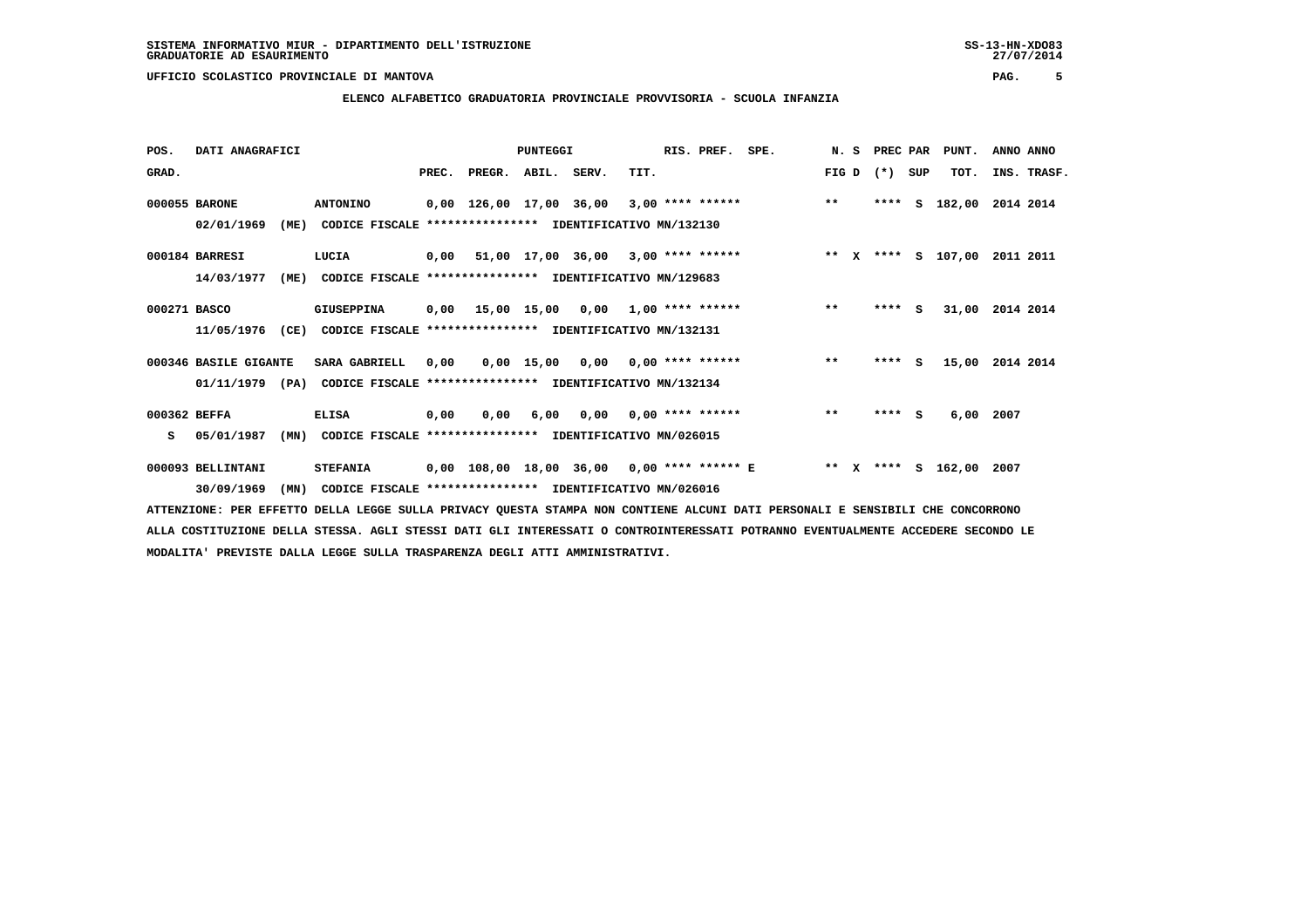### **ELENCO ALFABETICO GRADUATORIA PROVINCIALE PROVVISORIA - SCUOLA INFANZIA**

| POS.         | DATI ANAGRAFICI       |      |                                                          |       |                  | <b>PUNTEGGI</b> |                                              |      | RIS. PREF.                | SPE. | N. S  | PREC PAR |              | PUNT.                   | ANNO ANNO       |
|--------------|-----------------------|------|----------------------------------------------------------|-------|------------------|-----------------|----------------------------------------------|------|---------------------------|------|-------|----------|--------------|-------------------------|-----------------|
| GRAD.        |                       |      |                                                          | PREC. | PREGR.           | ABIL. SERV.     |                                              | TIT. |                           |      | FIG D | $(* )$   | SUP          | TOT.                    | INS. TRASF.     |
|              | 000055 BARONE         |      | <b>ANTONINO</b>                                          |       |                  |                 | 0,00 126,00 17,00 36,00                      |      | $3,00$ **** ******        |      | $***$ | ****     | s            | 182,00                  | 2014 2014       |
|              | 02/01/1969            | (ME) | CODICE FISCALE **************** IDENTIFICATIVO MN/132130 |       |                  |                 |                                              |      |                           |      |       |          |              |                         |                 |
|              | 000184 BARRESI        |      | LUCIA                                                    |       |                  |                 | $0,00$ 51,00 17,00 36,00 3,00 **** ******    |      |                           |      |       |          |              | ** x **** s 107,00      | 2011 2011       |
|              | 14/03/1977            | (ME) | CODICE FISCALE **************** IDENTIFICATIVO MN/129683 |       |                  |                 |                                              |      |                           |      |       |          |              |                         |                 |
| 000271 BASCO |                       |      | GIUSEPPINA                                               |       | 0,00 15,00 15,00 |                 |                                              |      | $0,00$ 1,00 **** ******   |      | $* *$ | ****     | <b>S</b>     |                         | 31,00 2014 2014 |
|              | 11/05/1976            | (CE) | CODICE FISCALE **************** IDENTIFICATIVO MN/132131 |       |                  |                 |                                              |      |                           |      |       |          |              |                         |                 |
|              | 000346 BASILE GIGANTE |      | SARA GABRIELL                                            | 0,00  |                  |                 | $0,00$ 15,00 0,00 0,00 **** ******           |      |                           |      | $***$ | ****     | $\mathbf{s}$ | 15,00                   | 2014 2014       |
|              | $01/11/1979$ (PA)     |      | CODICE FISCALE                                           |       |                  |                 | **************** IDENTIFICATIVO MN/132134    |      |                           |      |       |          |              |                         |                 |
| 000362 BEFFA |                       |      | <b>ELISA</b>                                             | 0,00  | 0.00             | 6,00            |                                              |      | $0,00$ $0,00$ **** ****** |      | $* *$ | $***$ S  |              | 6,00 2007               |                 |
| s            | 05/01/1987            | (MN) | CODICE FISCALE **************** IDENTIFICATIVO MN/026015 |       |                  |                 |                                              |      |                           |      |       |          |              |                         |                 |
|              | 000093 BELLINTANI     |      | <b>STEFANIA</b>                                          |       |                  |                 | $0,00$ 108,00 18,00 36,00 0,00 **** ****** E |      |                           |      |       |          |              | ** X **** S 162,00 2007 |                 |
|              | 30/09/1969            | (MN) | CODICE FISCALE **************** IDENTIFICATIVO MN/026016 |       |                  |                 |                                              |      |                           |      |       |          |              |                         |                 |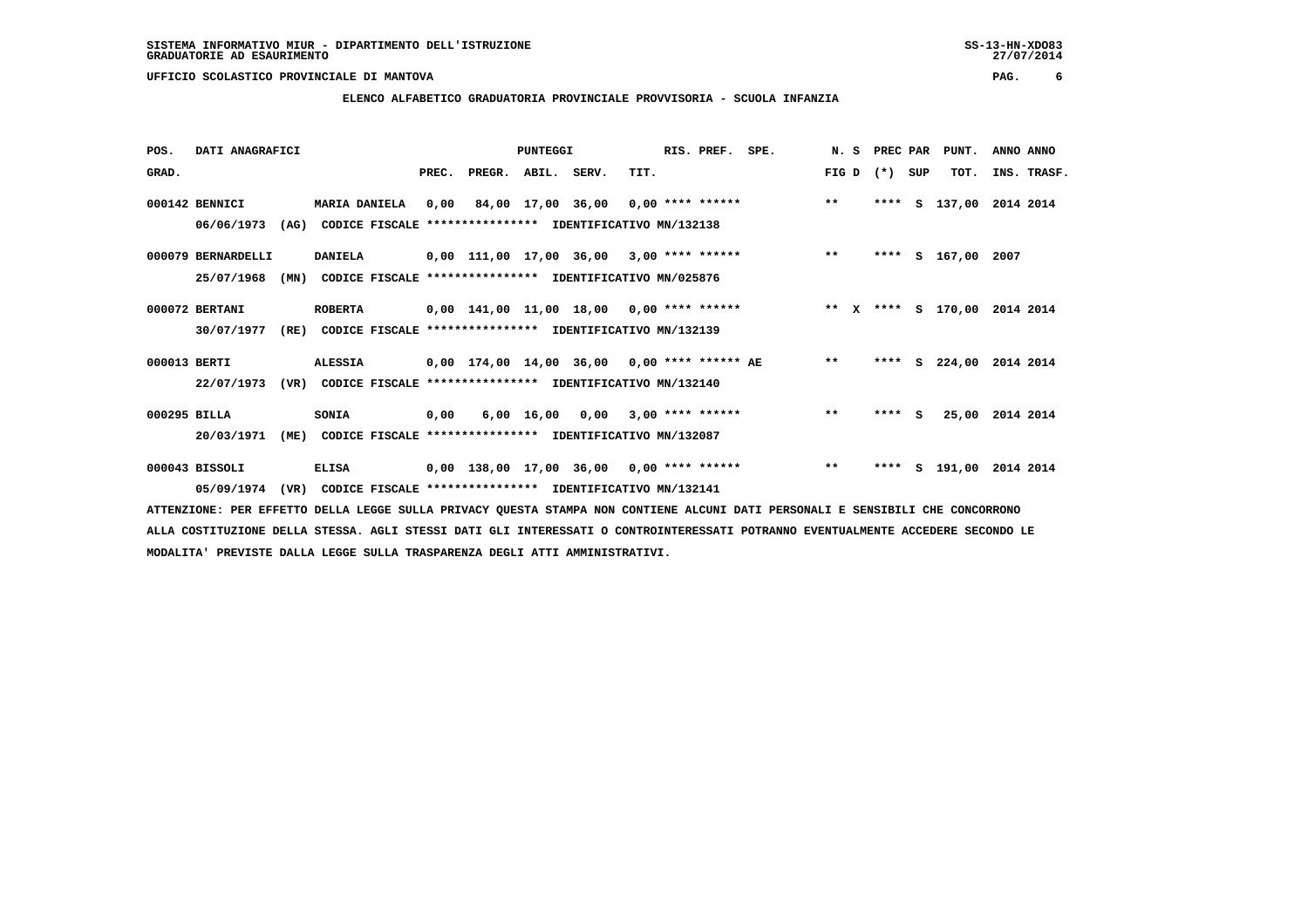**POS. DATI ANAGRAFICI PUNTEGGI RIS. PREF. SPE. N. S PREC PAR PUNT. ANNO ANNO**GRAD. **BRAD. PREC. PREGR. ABIL. SERV.** TIT. THE REGREATER FIG D (\*) SUP TOT. INS. TRASF.  **000142 BENNICI MARIA DANIELA 0,00 84,00 17,00 36,00 0,00 \*\*\*\* \*\*\*\*\*\* \*\* \*\*\*\* S 137,00 2014 2014 06/06/1973 (AG) CODICE FISCALE \*\*\*\*\*\*\*\*\*\*\*\*\*\*\*\* IDENTIFICATIVO MN/132138 000079 BERNARDELLI DANIELA 0,00 111,00 17,00 36,00 3,00 \*\*\*\* \*\*\*\*\*\* \*\* \*\*\*\* S 167,00 2007 25/07/1968 (MN) CODICE FISCALE \*\*\*\*\*\*\*\*\*\*\*\*\*\*\*\* IDENTIFICATIVO MN/025876 000072 BERTANI ROBERTA 0,00 141,00 11,00 18,00 0,00 \*\*\*\* \*\*\*\*\*\* \*\* X \*\*\*\* S 170,00 2014 2014 30/07/1977 (RE) CODICE FISCALE \*\*\*\*\*\*\*\*\*\*\*\*\*\*\*\* IDENTIFICATIVO MN/132139 000013 BERTI ALESSIA 0,00 174,00 14,00 36,00 0,00 \*\*\*\* \*\*\*\*\*\* AE \*\* \*\*\*\* S 224,00 2014 2014 22/07/1973 (VR) CODICE FISCALE \*\*\*\*\*\*\*\*\*\*\*\*\*\*\*\* IDENTIFICATIVO MN/132140 000295 BILLA SONIA 0,00 6,00 16,00 0,00 3,00 \*\*\*\* \*\*\*\*\*\* \*\* \*\*\*\* S 25,00 2014 2014 20/03/1971 (ME) CODICE FISCALE \*\*\*\*\*\*\*\*\*\*\*\*\*\*\*\* IDENTIFICATIVO MN/132087 000043 BISSOLI ELISA 0,00 138,00 17,00 36,00 0,00 \*\*\*\* \*\*\*\*\*\* \*\* \*\*\*\* S 191,00 2014 2014**

 **05/09/1974 (VR) CODICE FISCALE \*\*\*\*\*\*\*\*\*\*\*\*\*\*\*\* IDENTIFICATIVO MN/132141 ATTENZIONE: PER EFFETTO DELLA LEGGE SULLA PRIVACY QUESTA STAMPA NON CONTIENE ALCUNI DATI PERSONALI E SENSIBILI CHE CONCORRONO**

 **ALLA COSTITUZIONE DELLA STESSA. AGLI STESSI DATI GLI INTERESSATI O CONTROINTERESSATI POTRANNO EVENTUALMENTE ACCEDERE SECONDO LE MODALITA' PREVISTE DALLA LEGGE SULLA TRASPARENZA DEGLI ATTI AMMINISTRATIVI.**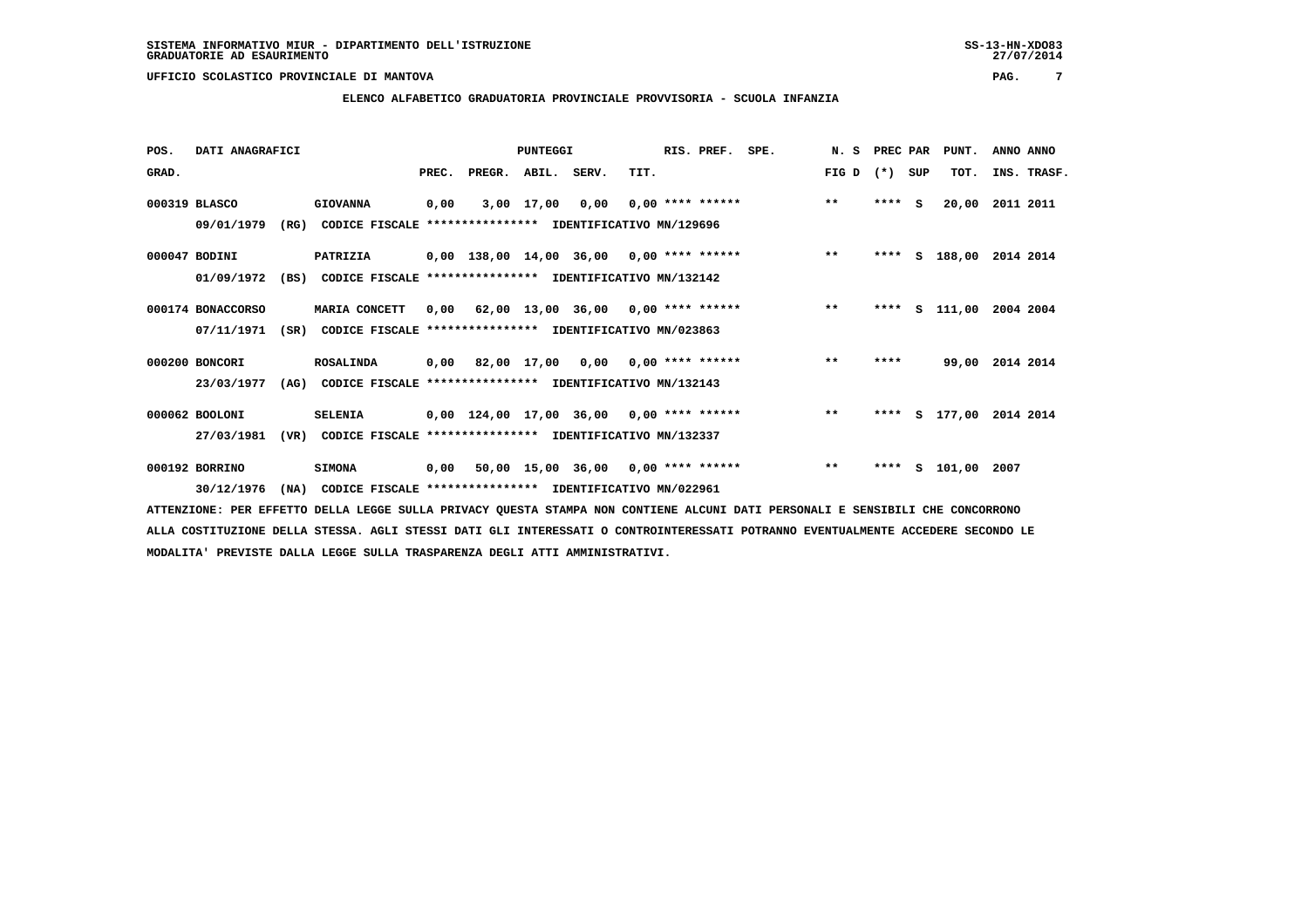# **ELENCO ALFABETICO GRADUATORIA PROVINCIALE PROVVISORIA - SCUOLA INFANZIA**

| POS.  | DATI ANAGRAFICI   |      |                                                          |       |        | PUNTEGGI    |                                            |      | RIS. PREF.         | SPE. | N. S  | PREC PAR |     | PUNT.         | ANNO ANNO          |
|-------|-------------------|------|----------------------------------------------------------|-------|--------|-------------|--------------------------------------------|------|--------------------|------|-------|----------|-----|---------------|--------------------|
| GRAD. |                   |      |                                                          | PREC. | PREGR. | ABIL. SERV. |                                            | TIT. |                    |      | FIG D | $(*)$    | SUP | TOT.          | INS. TRASF.        |
|       | 000319 BLASCO     |      | <b>GIOVANNA</b>                                          | 0,00  |        | 3,00 17,00  | 0,00                                       |      | $0.00$ **** ****** |      | $***$ | ****     | - S | 20,00         | 2011 2011          |
|       | 09/01/1979        | (RG) | CODICE FISCALE **************** IDENTIFICATIVO MN/129696 |       |        |             |                                            |      |                    |      |       |          |     |               |                    |
|       | 000047 BODINI     |      | PATRIZIA                                                 |       |        |             | $0,00$ 138,00 14,00 36,00 0,00 **** ****** |      |                    |      | $***$ | ****     |     | S 188,00      | 2014 2014          |
|       | 01/09/1972        | (BS) | CODICE FISCALE **************** IDENTIFICATIVO MN/132142 |       |        |             |                                            |      |                    |      |       |          |     |               |                    |
|       | 000174 BONACCORSO |      | MARIA CONCETT                                            | 0,00  |        |             | 62,00 13,00 36,00 0,00 **** ******         |      |                    |      | $* *$ | ****     | s   | 111,00        | 2004 2004          |
|       | 07/11/1971        | (SR) | CODICE FISCALE **************** IDENTIFICATIVO MN/023863 |       |        |             |                                            |      |                    |      |       |          |     |               |                    |
|       | 000200 BONCORI    |      | <b>ROSALINDA</b>                                         |       |        |             | $0,00$ 82,00 17,00 0,00 0,00 **** ******   |      |                    |      | $* *$ | ****     |     |               | 99,00 2014 2014    |
|       | 23/03/1977        | (AG) | CODICE FISCALE **************** IDENTIFICATIVO MN/132143 |       |        |             |                                            |      |                    |      |       |          |     |               |                    |
|       | 000062 BOOLONI    |      | <b>SELENIA</b>                                           |       |        |             | $0,00$ 124,00 17,00 36,00 0,00 **** ****** |      |                    |      | $* *$ | ****     |     |               | S 177,00 2014 2014 |
|       | 27/03/1981        | (VR) | CODICE FISCALE **************** IDENTIFICATIVO MN/132337 |       |        |             |                                            |      |                    |      |       |          |     |               |                    |
|       | 000192 BORRINO    |      | <b>SIMONA</b>                                            | 0,00  |        |             | 50,00 15,00 36,00 0,00 **** ******         |      |                    |      | $***$ | ****     |     | S 101,00 2007 |                    |
|       | 30/12/1976        | (NA) | CODICE FISCALE **************** IDENTIFICATIVO MN/022961 |       |        |             |                                            |      |                    |      |       |          |     |               |                    |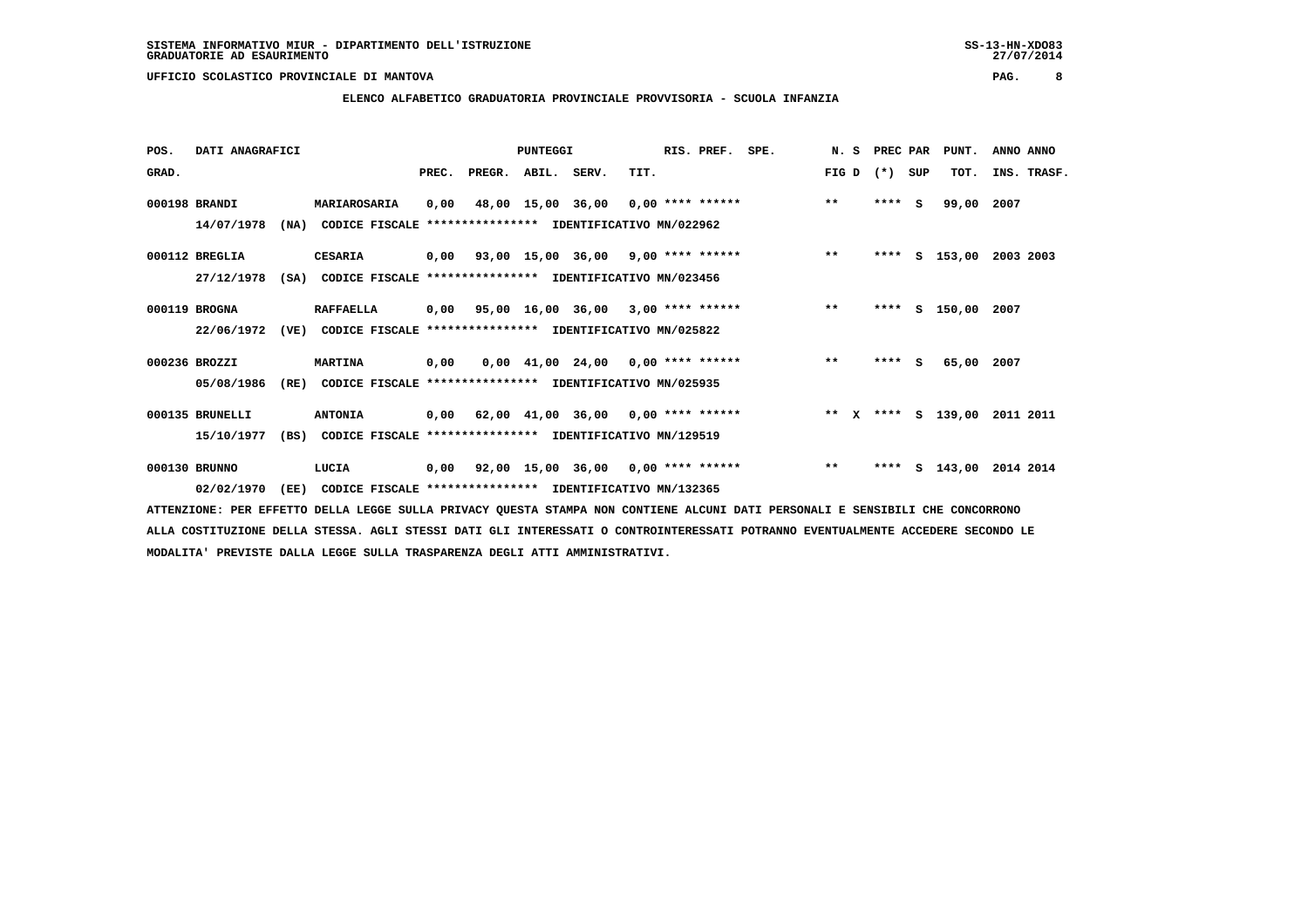### **ELENCO ALFABETICO GRADUATORIA PROVINCIALE PROVVISORIA - SCUOLA INFANZIA**

| POS.  | DATI ANAGRAFICI |      |                                                                         |       |                    | PUNTEGGI |                                                  |      | RIS. PREF. | SPE.                                    | N.S   | PREC PAR |     | PUNT.              | ANNO ANNO |             |
|-------|-----------------|------|-------------------------------------------------------------------------|-------|--------------------|----------|--------------------------------------------------|------|------------|-----------------------------------------|-------|----------|-----|--------------------|-----------|-------------|
| GRAD. |                 |      |                                                                         | PREC. | PREGR. ABIL. SERV. |          |                                                  | TIT. |            |                                         | FIG D | $(* )$   | SUP | TOT.               |           | INS. TRASF. |
|       | 000198 BRANDI   |      | MARIAROSARIA                                                            | 0,00  |                    |          | 48,00 15,00 36,00 0,00 **** ******               |      |            |                                         | $***$ | $***$ S  |     | 99,00              | 2007      |             |
|       | 14/07/1978      |      | (NA) CODICE FISCALE **************** IDENTIFICATIVO MN/022962           |       |                    |          |                                                  |      |            |                                         |       |          |     |                    |           |             |
|       | 000112 BREGLIA  |      | CESARIA                                                                 |       |                    |          |                                                  |      |            | 0,00 93,00 15,00 36,00 9,00 **** ****** | $***$ | ****     |     | S 153,00 2003 2003 |           |             |
|       | 27/12/1978      |      | (SA) CODICE FISCALE **************** IDENTIFICATIVO MN/023456           |       |                    |          |                                                  |      |            |                                         |       |          |     |                    |           |             |
|       | 000119 BROGNA   |      | <b>RAFFAELLA</b>                                                        | 0,00  |                    |          | 95,00 16,00 36,00 3,00 **** ******               |      |            | $\star \star$                           |       |          |     | **** S 150,00      | 2007      |             |
|       |                 |      | 22/06/1972 (VE) CODICE FISCALE *************** IDENTIFICATIVO MN/025822 |       |                    |          |                                                  |      |            |                                         |       |          |     |                    |           |             |
|       | 000236 BROZZI   |      | <b>MARTINA</b>                                                          | 0,00  |                    |          | $0,00$ 41,00 24,00 0,00 **** ******              |      |            |                                         | $* *$ | $***$ S  |     | 65,00              | 2007      |             |
|       | 05/08/1986      | (RE) | CODICE FISCALE **************** IDENTIFICATIVO MN/025935                |       |                    |          |                                                  |      |            |                                         |       |          |     |                    |           |             |
|       | 000135 BRUNELLI |      | <b>ANTONIA</b>                                                          | 0,00  |                    |          | $62,00$ $41,00$ $36,00$ $0,00$ $***$ **** ****** |      |            | ** X **** S 139,00                      |       |          |     |                    | 2011 2011 |             |
|       | 15/10/1977      | (BS) | CODICE FISCALE **************** IDENTIFICATIVO MN/129519                |       |                    |          |                                                  |      |            |                                         |       |          |     |                    |           |             |
|       | 000130 BRUNNO   |      | LUCIA                                                                   |       |                    |          | 0,00 92,00 15,00 36,00 0,00 **** ******          |      |            |                                         | $* *$ | ****     |     | S 143,00           | 2014 2014 |             |
|       | 02/02/1970      | (EE) | CODICE FISCALE **************** IDENTIFICATIVO MN/132365                |       |                    |          |                                                  |      |            |                                         |       |          |     |                    |           |             |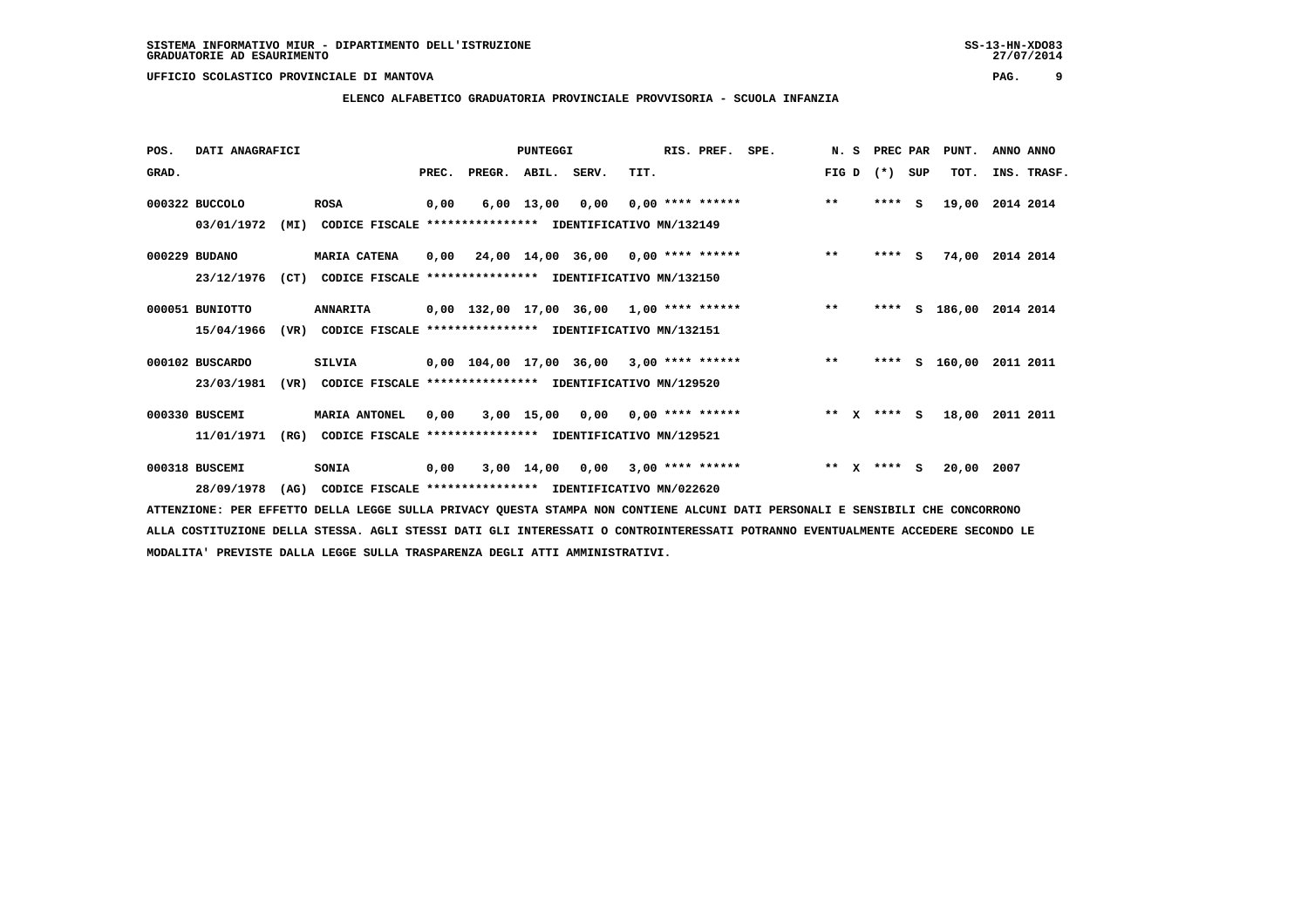**POS. DATI ANAGRAFICI PUNTEGGI RIS. PREF. SPE. N. S PREC PAR PUNT. ANNO ANNO**GRAD. **BRAD. PREC. PREGR. ABIL. SERV.** TIT. THE REGREATER FIG D (\*) SUP TOT. INS. TRASF.  **000322 BUCCOLO ROSA 0,00 6,00 13,00 0,00 0,00 \*\*\*\* \*\*\*\*\*\* \*\* \*\*\*\* S 19,00 2014 2014 03/01/1972 (MI) CODICE FISCALE \*\*\*\*\*\*\*\*\*\*\*\*\*\*\*\* IDENTIFICATIVO MN/132149 000229 BUDANO MARIA CATENA 0,00 24,00 14,00 36,00 0,00 \*\*\*\* \*\*\*\*\*\* \*\* \*\*\*\* S 74,00 2014 2014 23/12/1976 (CT) CODICE FISCALE \*\*\*\*\*\*\*\*\*\*\*\*\*\*\*\* IDENTIFICATIVO MN/132150 000051 BUNIOTTO ANNARITA 0,00 132,00 17,00 36,00 1,00 \*\*\*\* \*\*\*\*\*\* \*\* \*\*\*\* S 186,00 2014 2014 15/04/1966 (VR) CODICE FISCALE \*\*\*\*\*\*\*\*\*\*\*\*\*\*\*\* IDENTIFICATIVO MN/132151 000102 BUSCARDO SILVIA 0,00 104,00 17,00 36,00 3,00 \*\*\*\* \*\*\*\*\*\* \*\* \*\*\*\* S 160,00 2011 2011 23/03/1981 (VR) CODICE FISCALE \*\*\*\*\*\*\*\*\*\*\*\*\*\*\*\* IDENTIFICATIVO MN/129520 000330 BUSCEMI MARIA ANTONEL 0,00 3,00 15,00 0,00 0,00 \*\*\*\* \*\*\*\*\*\* \*\* X \*\*\*\* S 18,00 2011 2011 11/01/1971 (RG) CODICE FISCALE \*\*\*\*\*\*\*\*\*\*\*\*\*\*\*\* IDENTIFICATIVO MN/129521**

 **000318 BUSCEMI SONIA 0,00 3,00 14,00 0,00 3,00 \*\*\*\* \*\*\*\*\*\* \*\* X \*\*\*\* S 20,00 2007 28/09/1978 (AG) CODICE FISCALE \*\*\*\*\*\*\*\*\*\*\*\*\*\*\*\* IDENTIFICATIVO MN/022620**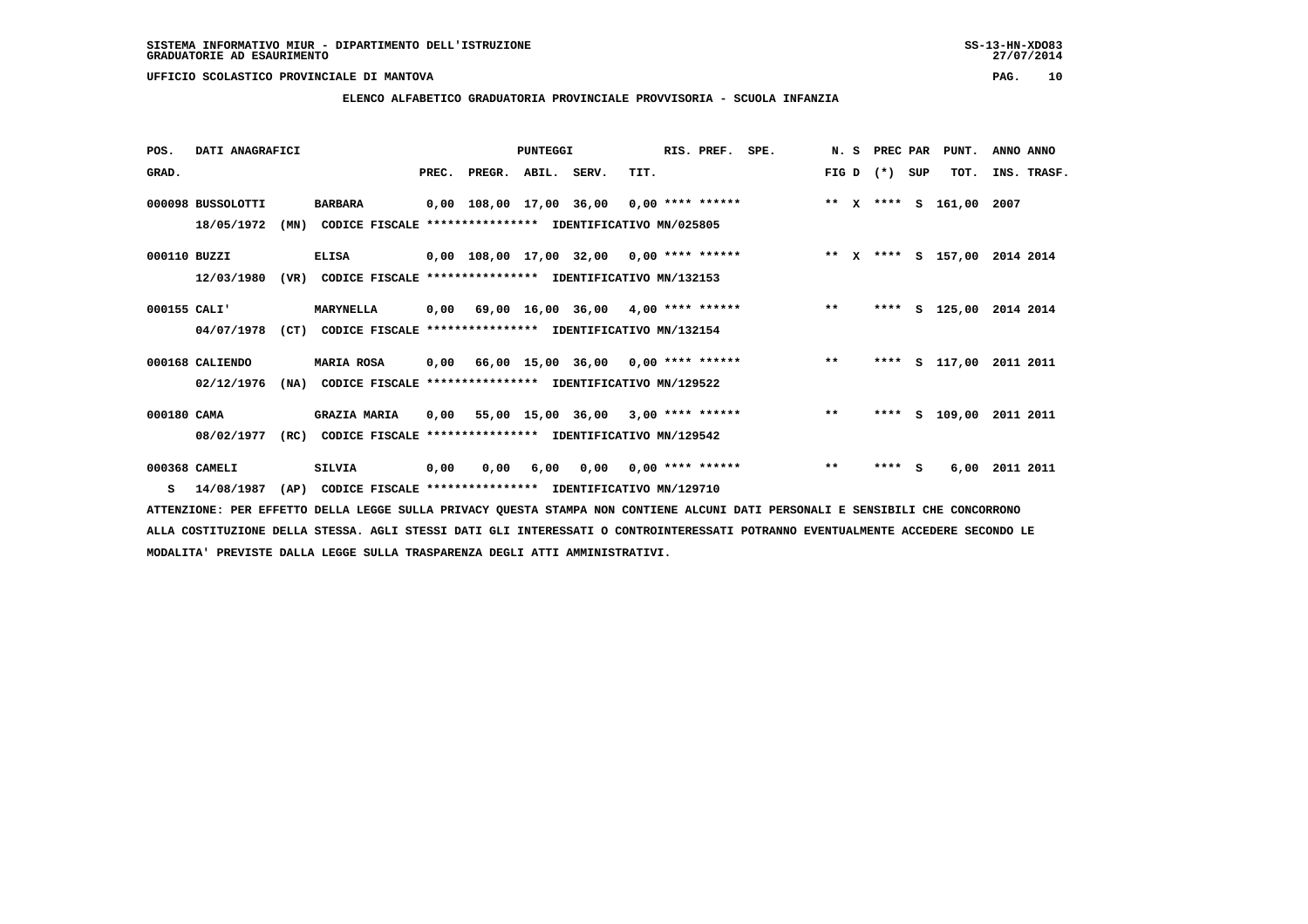### **ELENCO ALFABETICO GRADUATORIA PROVINCIALE PROVVISORIA - SCUOLA INFANZIA**

| POS.         | DATI ANAGRAFICI   |      |                                                               |       |                    | <b>PUNTEGGI</b> |                                            |      | RIS. PREF.                | SPE.                                      | N.S   | PREC PAR |     | PUNT.                   | ANNO ANNO   |  |
|--------------|-------------------|------|---------------------------------------------------------------|-------|--------------------|-----------------|--------------------------------------------|------|---------------------------|-------------------------------------------|-------|----------|-----|-------------------------|-------------|--|
| GRAD.        |                   |      |                                                               | PREC. | PREGR. ABIL. SERV. |                 |                                            | TIT. |                           |                                           | FIG D | $(* )$   | SUP | TOT.                    | INS. TRASF. |  |
|              | 000098 BUSSOLOTTI |      | <b>BARBARA</b>                                                |       |                    |                 | 0,00 108,00 17,00 36,00 0,00 **** ******   |      |                           |                                           |       |          |     | ** X **** S 161,00 2007 |             |  |
|              | 18/05/1972        | (MN) | CODICE FISCALE **************** IDENTIFICATIVO MN/025805      |       |                    |                 |                                            |      |                           |                                           |       |          |     |                         |             |  |
| 000110 BUZZI |                   |      | <b>ELISA</b>                                                  |       |                    |                 | $0,00$ 108,00 17,00 32,00 0,00 **** ****** |      |                           | ** x **** s 157,00 2014 2014              |       |          |     |                         |             |  |
|              | 12/03/1980        | (VR) | CODICE FISCALE **************** IDENTIFICATIVO MN/132153      |       |                    |                 |                                            |      |                           |                                           |       |          |     |                         |             |  |
| 000155 CALI' |                   |      | MARYNELLA                                                     |       |                    |                 | $0,00$ 69,00 16,00 36,00 4,00 **** ******  |      |                           |                                           | $* *$ | ****     |     | S 125,00 2014 2014      |             |  |
|              | 04/07/1978        | (CT) | CODICE FISCALE **************** IDENTIFICATIVO MN/132154      |       |                    |                 |                                            |      |                           |                                           |       |          |     |                         |             |  |
|              | 000168 CALIENDO   |      | <b>MARIA ROSA</b>                                             | 0,00  |                    |                 |                                            |      |                           | 66,00 15,00 36,00 0,00 **** ****** *** ** |       |          |     | **** S 117,00           | 2011 2011   |  |
|              | 02/12/1976        | (NA) | CODICE FISCALE                                                |       |                    |                 | *************** IDENTIFICATIVO MN/129522   |      |                           |                                           |       |          |     |                         |             |  |
| 000180 CAMA  |                   |      | <b>GRAZIA MARIA</b>                                           |       |                    |                 | $0,00$ 55,00 15,00 36,00 3,00 **** ******  |      |                           |                                           | $***$ |          |     | **** S 109,00           | 2011 2011   |  |
|              | 08/02/1977        | (RC) | CODICE FISCALE **************** IDENTIFICATIVO MN/129542      |       |                    |                 |                                            |      |                           |                                           |       |          |     |                         |             |  |
|              | 000368 CAMELI     |      | <b>SILVIA</b>                                                 | 0,00  | 0,00               | 6,00            |                                            |      | $0,00$ $0,00$ **** ****** |                                           | $***$ | $***$ S  |     | 6,00                    | 2011 2011   |  |
|              | $S = 14/08/1987$  |      | (AP) CODICE FISCALE **************** IDENTIFICATIVO MN/129710 |       |                    |                 |                                            |      |                           |                                           |       |          |     |                         |             |  |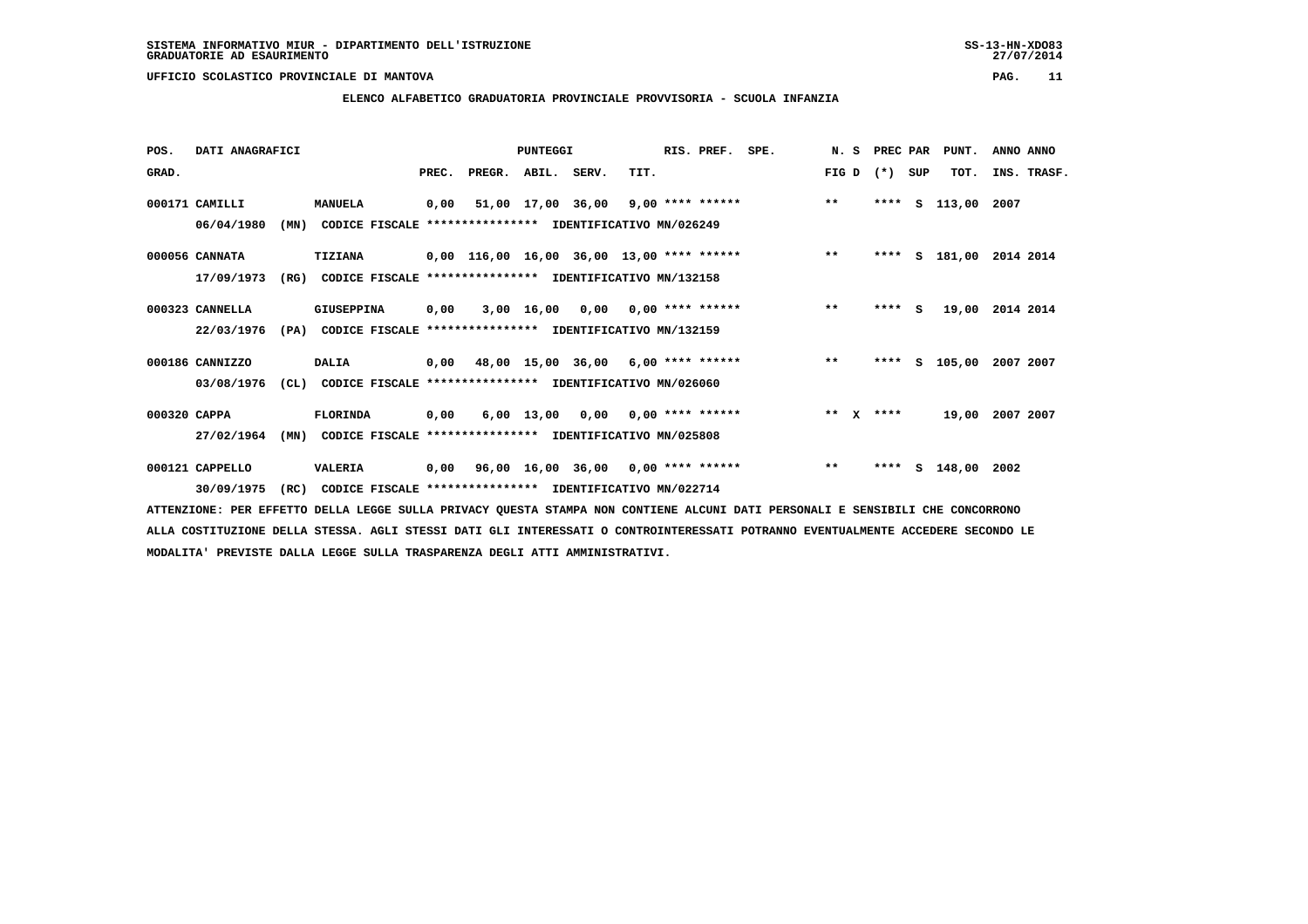# **ELENCO ALFABETICO GRADUATORIA PROVINCIALE PROVVISORIA - SCUOLA INFANZIA**

| POS.         | DATI ANAGRAFICI |      |                                                               |       |                                           | <b>PUNTEGGI</b>                                  |      | RIS. PREF.                | SPE. | N. S  |              | PREC PAR |     | PUNT.           | ANNO ANNO   |  |
|--------------|-----------------|------|---------------------------------------------------------------|-------|-------------------------------------------|--------------------------------------------------|------|---------------------------|------|-------|--------------|----------|-----|-----------------|-------------|--|
| GRAD.        |                 |      |                                                               | PREC. | PREGR. ABIL. SERV.                        |                                                  | TIT. |                           |      | FIG D |              | $(*)$    | SUP | TOT.            | INS. TRASF. |  |
|              | 000171 CAMILLI  |      | <b>MANUELA</b>                                                | 0,00  |                                           | 51,00 17,00 36,00 9,00 **** ******               |      |                           |      | $***$ |              | ****     |     | S 113,00        | 2007        |  |
|              | 06/04/1980      | (MN) | CODICE FISCALE **************** IDENTIFICATIVO MN/026249      |       |                                           |                                                  |      |                           |      |       |              |          |     |                 |             |  |
|              | 000056 CANNATA  |      | TIZIANA                                                       |       | 0,00 116,00 16,00 36,00 13,00 **** ****** |                                                  |      |                           |      | $***$ |              |          |     | **** S 181,00   | 2014 2014   |  |
|              | 17/09/1973      | (RG) | CODICE FISCALE **************** IDENTIFICATIVO MN/132158      |       |                                           |                                                  |      |                           |      |       |              |          |     |                 |             |  |
|              | 000323 CANNELLA |      | GIUSEPPINA                                                    | 0,00  |                                           | $3,00$ 16,00 0,00 0,00 **** ******               |      |                           |      | $***$ |              | **** S   |     | 19,00           | 2014 2014   |  |
|              | 22/03/1976      |      | (PA) CODICE FISCALE **************** IDENTIFICATIVO MN/132159 |       |                                           |                                                  |      |                           |      |       |              |          |     |                 |             |  |
|              | 000186 CANNIZZO |      | <b>DALIA</b>                                                  |       | $0,00$ 48,00 15,00 36,00 6,00 **** ****** |                                                  |      |                           |      | $***$ |              | ****     |     | s 105,00        | 2007 2007   |  |
|              | 03/08/1976      | CL)  | CODICE FISCALE **************** IDENTIFICATIVO MN/026060      |       |                                           |                                                  |      |                           |      |       |              |          |     |                 |             |  |
| 000320 CAPPA |                 |      | FLORINDA                                                      | 0,00  |                                           | 6,00 13,00                                       |      | $0,00$ $0,00$ **** ****** |      | $**$  | $\mathbf{x}$ | ****     |     | 19,00           | 2007 2007   |  |
|              | 27/02/1964      | (MN) | CODICE FISCALE **************** IDENTIFICATIVO MN/025808      |       |                                           |                                                  |      |                           |      |       |              |          |     |                 |             |  |
|              | 000121 CAPPELLO |      | VALERIA                                                       | 0,00  |                                           | $96,00$ $16,00$ $36,00$ $0,00$ $***$ **** ****** |      |                           |      | $***$ |              | ****     |     | $S$ 148,00 2002 |             |  |
|              | 30/09/1975      | (RC) | CODICE FISCALE **************** IDENTIFICATIVO MN/022714      |       |                                           |                                                  |      |                           |      |       |              |          |     |                 |             |  |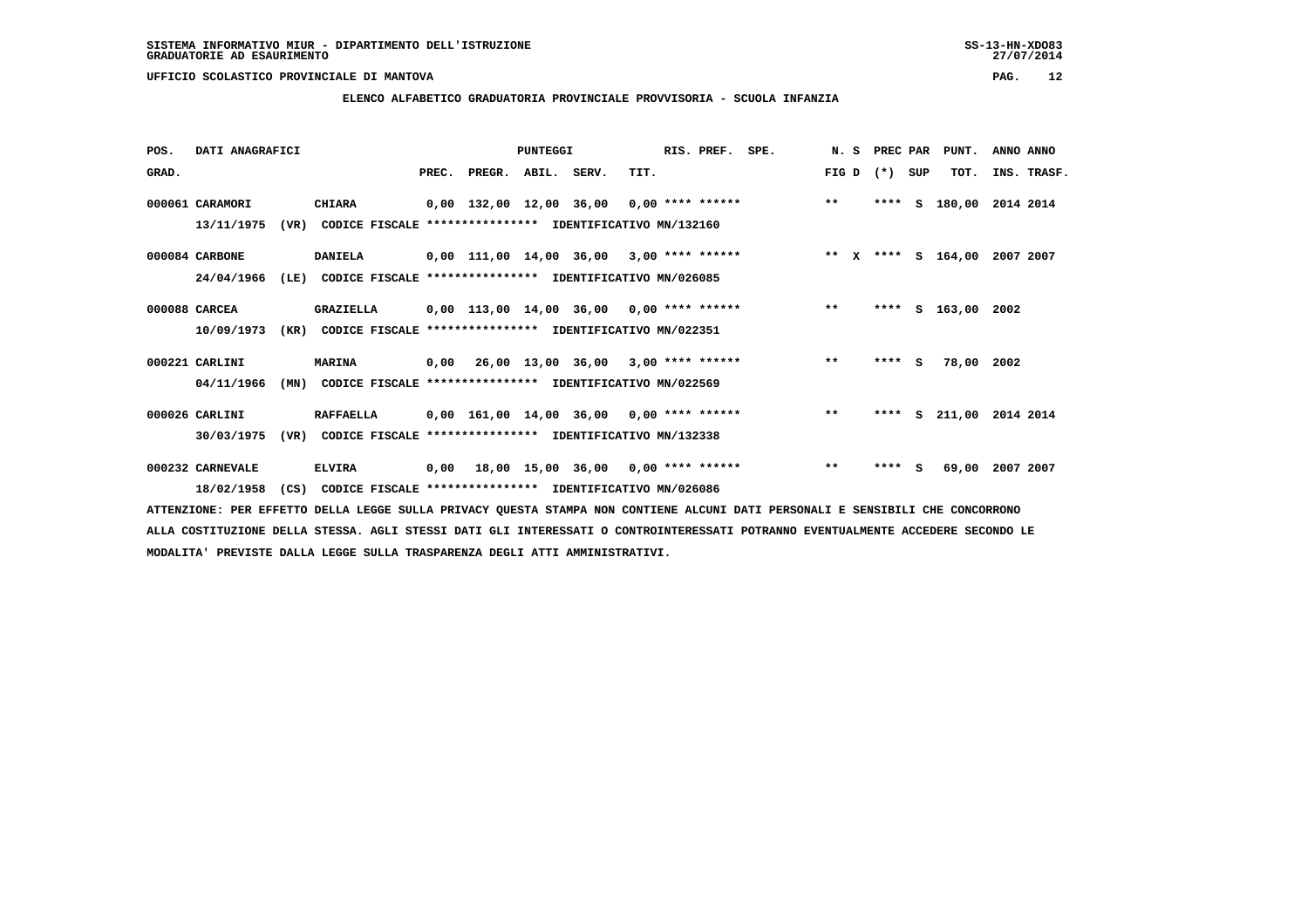### **ELENCO ALFABETICO GRADUATORIA PROVINCIALE PROVVISORIA - SCUOLA INFANZIA**

| POS.  | DATI ANAGRAFICI  |      |                                                          |       |        | PUNTEGGI    |                                                  |      | RIS. PREF. | SPE. | N.S   | PREC PAR |     | PUNT.              | ANNO ANNO        |
|-------|------------------|------|----------------------------------------------------------|-------|--------|-------------|--------------------------------------------------|------|------------|------|-------|----------|-----|--------------------|------------------|
| GRAD. |                  |      |                                                          | PREC. | PREGR. | ABIL. SERV. |                                                  | TIT. |            |      | FIG D | $(*)$    | SUP | TOT.               | INS. TRASF.      |
|       | 000061 CARAMORI  |      | CHIARA                                                   |       |        |             | 0,00 132,00 12,00 36,00 0,00 **** ******         |      |            |      | $***$ | ****     | s   | 180,00             | 2014 2014        |
|       | 13/11/1975       | (VR) | CODICE FISCALE **************** IDENTIFICATIVO MN/132160 |       |        |             |                                                  |      |            |      |       |          |     |                    |                  |
|       | 000084 CARBONE   |      | <b>DANIELA</b>                                           |       |        |             | $0,00$ 111,00 14,00 36,00 3,00 **** ******       |      |            |      |       |          |     | ** X **** S 164,00 | 2007 2007        |
|       | 24/04/1966       | (LE) | CODICE FISCALE **************** IDENTIFICATIVO MN/026085 |       |        |             |                                                  |      |            |      |       |          |     |                    |                  |
|       | 000088 CARCEA    |      | <b>GRAZIELLA</b>                                         |       |        |             | $0,00$ 113,00 14,00 36,00 0,00 **** ******       |      |            |      | $* *$ | ****     |     | s 163,00           | 2002             |
|       | 10/09/1973       | (KR) | CODICE FISCALE **************** IDENTIFICATIVO MN/022351 |       |        |             |                                                  |      |            |      |       |          |     |                    |                  |
|       | 000221 CARLINI   |      | <b>MARINA</b>                                            |       |        |             | $0,00$ 26,00 13,00 36,00 3,00 **** ******        |      |            |      | $***$ | $***$ S  |     | 78,00              | 2002             |
|       | 04/11/1966       | (MN) | CODICE FISCALE **************** IDENTIFICATIVO MN/022569 |       |        |             |                                                  |      |            |      |       |          |     |                    |                  |
|       | 000026 CARLINI   |      | <b>RAFFAELLA</b>                                         |       |        |             | $0,00$ 161,00 14,00 36,00 0,00 **** ******       |      |            |      | $* *$ | ****     | s   |                    | 211,00 2014 2014 |
|       | 30/03/1975       | (VR) | CODICE FISCALE **************** IDENTIFICATIVO MN/132338 |       |        |             |                                                  |      |            |      |       |          |     |                    |                  |
|       | 000232 CARNEVALE |      | <b>ELVIRA</b>                                            | 0,00  |        |             | $18,00$ $15,00$ $36,00$ $0,00$ $***$ **** ****** |      |            |      | $***$ | ****     | s   | 69,00              | 2007 2007        |
|       | 18/02/1958       | (CS) | CODICE FISCALE **************** IDENTIFICATIVO MN/026086 |       |        |             |                                                  |      |            |      |       |          |     |                    |                  |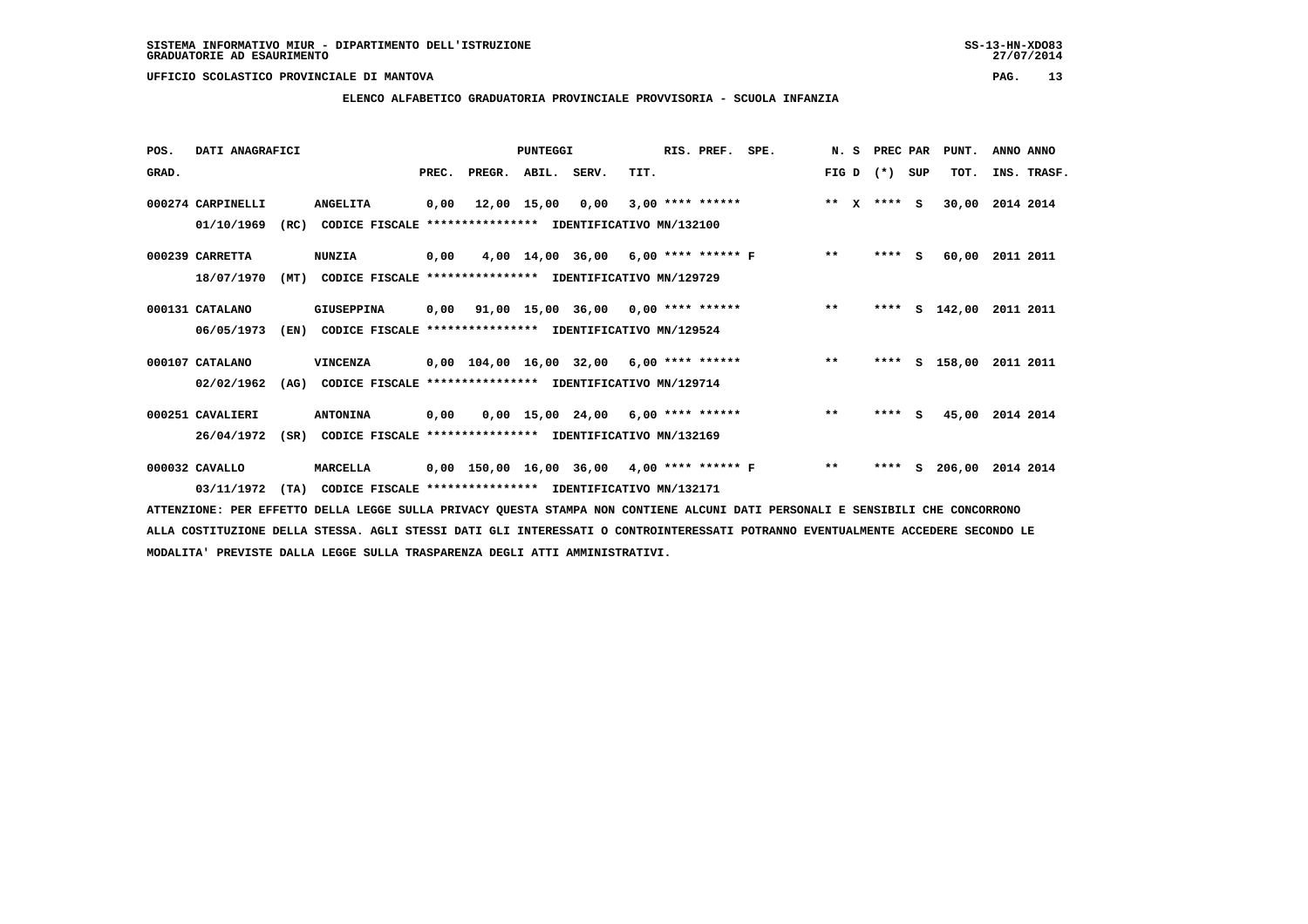# **ELENCO ALFABETICO GRADUATORIA PROVINCIALE PROVVISORIA - SCUOLA INFANZIA**

| POS.  | DATI ANAGRAFICI   |      |                                                          |       |                    | PUNTEGGI    |                                                    |      | RIS. PREF.         | SPE.                                       | N.S     |         | PREC PAR | PUNT.    | ANNO ANNO   |
|-------|-------------------|------|----------------------------------------------------------|-------|--------------------|-------------|----------------------------------------------------|------|--------------------|--------------------------------------------|---------|---------|----------|----------|-------------|
| GRAD. |                   |      |                                                          | PREC. | PREGR. ABIL. SERV. |             |                                                    | TIT. |                    |                                            | FIG D   | $(* )$  | SUP      | TOT.     | INS. TRASF. |
|       | 000274 CARPINELLI |      | <b>ANGELITA</b>                                          | 0,00  |                    | 12,00 15,00 | 0,00                                               |      | $3,00$ **** ****** |                                            | $***$ X | $***$ S |          | 30,00    | 2014 2014   |
|       | 01/10/1969        | (RC) | <b>CODICE FISCALE</b>                                    |       |                    |             | **************** IDENTIFICATIVO MN/132100          |      |                    |                                            |         |         |          |          |             |
|       | 000239 CARRETTA   |      | <b>NUNZIA</b>                                            | 0.00  |                    |             |                                                    |      |                    | 4,00 14,00 36,00 6,00 **** ****** F        | $* *$   | $***$ S |          | 60,00    | 2011 2011   |
|       | 18/07/1970        | (MT) | CODICE FISCALE **************** IDENTIFICATIVO MN/129729 |       |                    |             |                                                    |      |                    |                                            |         |         |          |          |             |
|       | 000131 CATALANO   |      | GIUSEPPINA                                               | 0,00  |                    |             | $91,00$ 15,00 36,00 0,00 **** ******               |      |                    |                                            | $***$   | ****    |          | S 142,00 | 2011 2011   |
|       | 06/05/1973        | (EN) | CODICE FISCALE                                           |       |                    |             | **************** IDENTIFICATIVO MN/129524          |      |                    |                                            |         |         |          |          |             |
|       | 000107 CATALANO   |      | VINCENZA                                                 |       |                    |             | $0,00$ $104,00$ $16,00$ $32,00$ $6,00$ **** ****** |      |                    |                                            | $* *$   | ****    |          | S 158,00 | 2011 2011   |
|       | 02/02/1962        | (AG) | CODICE FISCALE **************** IDENTIFICATIVO MN/129714 |       |                    |             |                                                    |      |                    |                                            |         |         |          |          |             |
|       | 000251 CAVALIERI  |      | <b>ANTONINA</b>                                          | 0,00  |                    |             | $0,00$ 15,00 24,00 6,00 **** ******                |      |                    |                                            | $***$   | ****    | <b>S</b> | 45,00    | 2014 2014   |
|       | 26/04/1972        | (SR) | CODICE FISCALE                                           |       |                    |             | **************** IDENTIFICATIVO MN/132169          |      |                    |                                            |         |         |          |          |             |
|       | 000032 CAVALLO    |      | <b>MARCELLA</b>                                          |       |                    |             |                                                    |      |                    | 0,00 150,00 16,00 36,00 4,00 **** ****** F | $* *$   | ****    | s        | 206,00   | 2014 2014   |
|       | 03/11/1972        | (TA) | CODICE FISCALE **************** IDENTIFICATIVO MN/132171 |       |                    |             |                                                    |      |                    |                                            |         |         |          |          |             |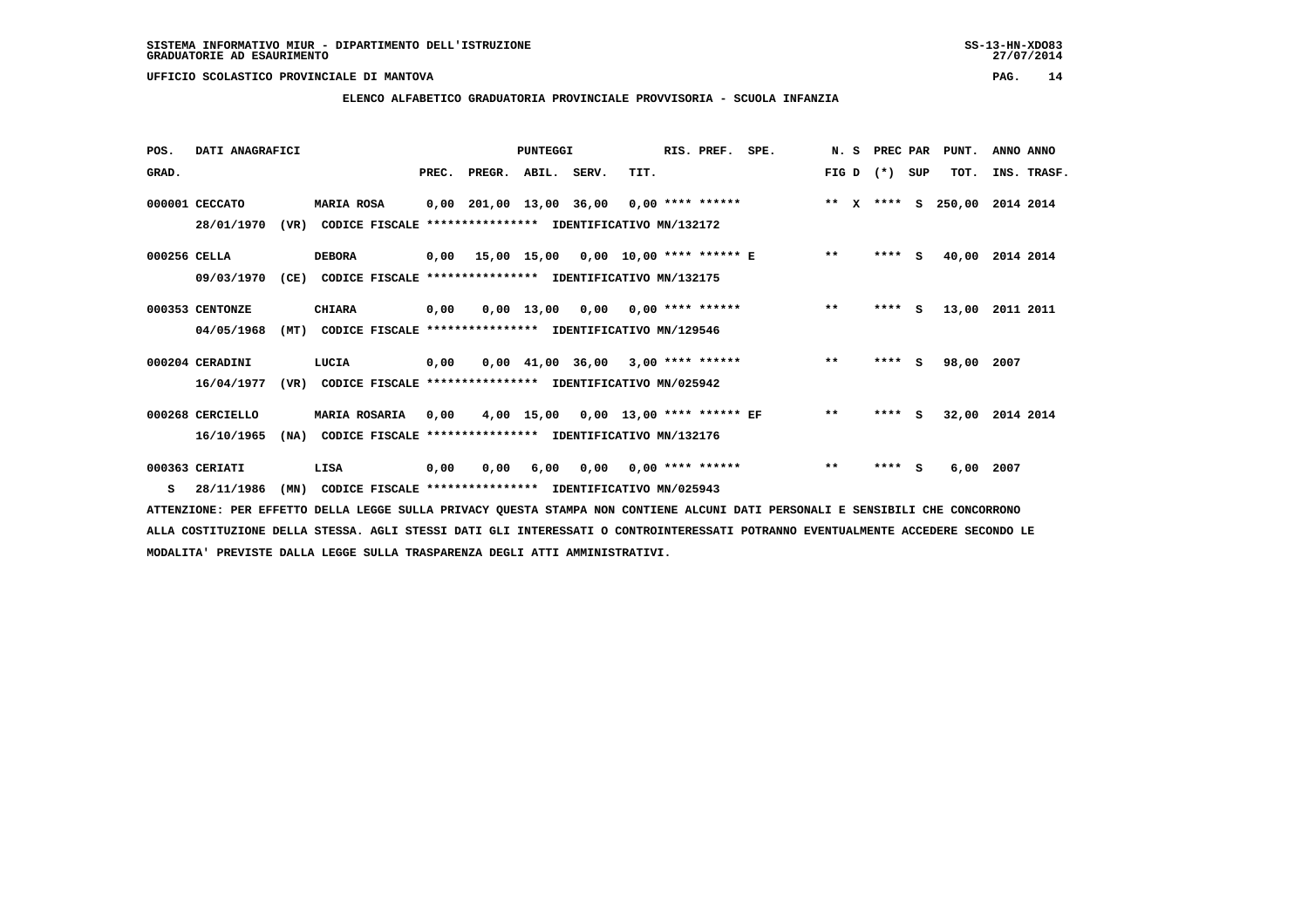### **ELENCO ALFABETICO GRADUATORIA PROVINCIALE PROVVISORIA - SCUOLA INFANZIA**

| POS.         | DATI ANAGRAFICI  |      |                                                          |       |                                             | PUNTEGGI                                                      |      |                             | RIS. PREF.         | SPE. | N.S                   | PREC PAR |     | PUNT.  | ANNO ANNO   |
|--------------|------------------|------|----------------------------------------------------------|-------|---------------------------------------------|---------------------------------------------------------------|------|-----------------------------|--------------------|------|-----------------------|----------|-----|--------|-------------|
| GRAD.        |                  |      |                                                          | PREC. | PREGR.                                      | ABIL. SERV.                                                   |      | TIT.                        |                    |      | FIG D                 | $(* )$   | SUP | TOT.   | INS. TRASF. |
|              | 000001 CECCATO   |      | MARIA ROSA                                               |       | 0,00 201,00 13,00 36,00                     |                                                               |      | 0,00 **** ******            |                    |      | $* *$<br>$\mathbf{x}$ | $***$ S  |     | 250,00 | 2014 2014   |
|              | 28/01/1970       | (VR) | CODICE FISCALE **************** IDENTIFICATIVO MN/132172 |       |                                             |                                                               |      |                             |                    |      |                       |          |     |        |             |
| 000256 CELLA |                  |      | <b>DEBORA</b>                                            |       | $0,00$ 15,00 15,00 0,00 10,00 **** ****** E |                                                               |      |                             |                    |      | $**$                  | $***$ S  |     | 40,00  | 2014 2014   |
|              | 09/03/1970       | (CE) | CODICE FISCALE **************** IDENTIFICATIVO MN/132175 |       |                                             |                                                               |      |                             |                    |      |                       |          |     |        |             |
|              | 000353 CENTONZE  |      | <b>CHIARA</b>                                            | 0,00  |                                             | $0,00$ 13,00                                                  | 0,00 |                             | $0.00$ **** ****** |      | $***$                 | $***$ S  |     | 13,00  | 2011 2011   |
|              | 04/05/1968       | (MT) | CODICE FISCALE **************** IDENTIFICATIVO MN/129546 |       |                                             |                                                               |      |                             |                    |      |                       |          |     |        |             |
|              | 000204 CERADINI  |      | LUCIA                                                    | 0,00  |                                             | $0.00 \quad 41.00 \quad 36.00 \quad 3.00 \quad *** \quad ***$ |      |                             |                    |      | $***$                 | ****     | S.  | 98,00  | 2007        |
|              | 16/04/1977       | (VR) | CODICE FISCALE **************** IDENTIFICATIVO MN/025942 |       |                                             |                                                               |      |                             |                    |      |                       |          |     |        |             |
|              | 000268 CERCIELLO |      | <b>MARIA ROSARIA</b>                                     | 0,00  |                                             | 4,00 15,00                                                    |      | $0,00$ 13,00 **** ****** EF |                    |      | $* *$                 | ****     | - S | 32,00  | 2014 2014   |
|              | 16/10/1965       | (NA) | CODICE FISCALE **************** IDENTIFICATIVO MN/132176 |       |                                             |                                                               |      |                             |                    |      |                       |          |     |        |             |
|              | 000363 CERIATI   |      | LISA                                                     | 0,00  | 0,00                                        | 6,00                                                          |      | $0.00$ $0.00$ **** ******   |                    |      | $***$                 | ****     | s   | 6,00   | 2007        |
| s            | 28/11/1986       | (MN) | CODICE FISCALE **************** IDENTIFICATIVO MN/025943 |       |                                             |                                                               |      |                             |                    |      |                       |          |     |        |             |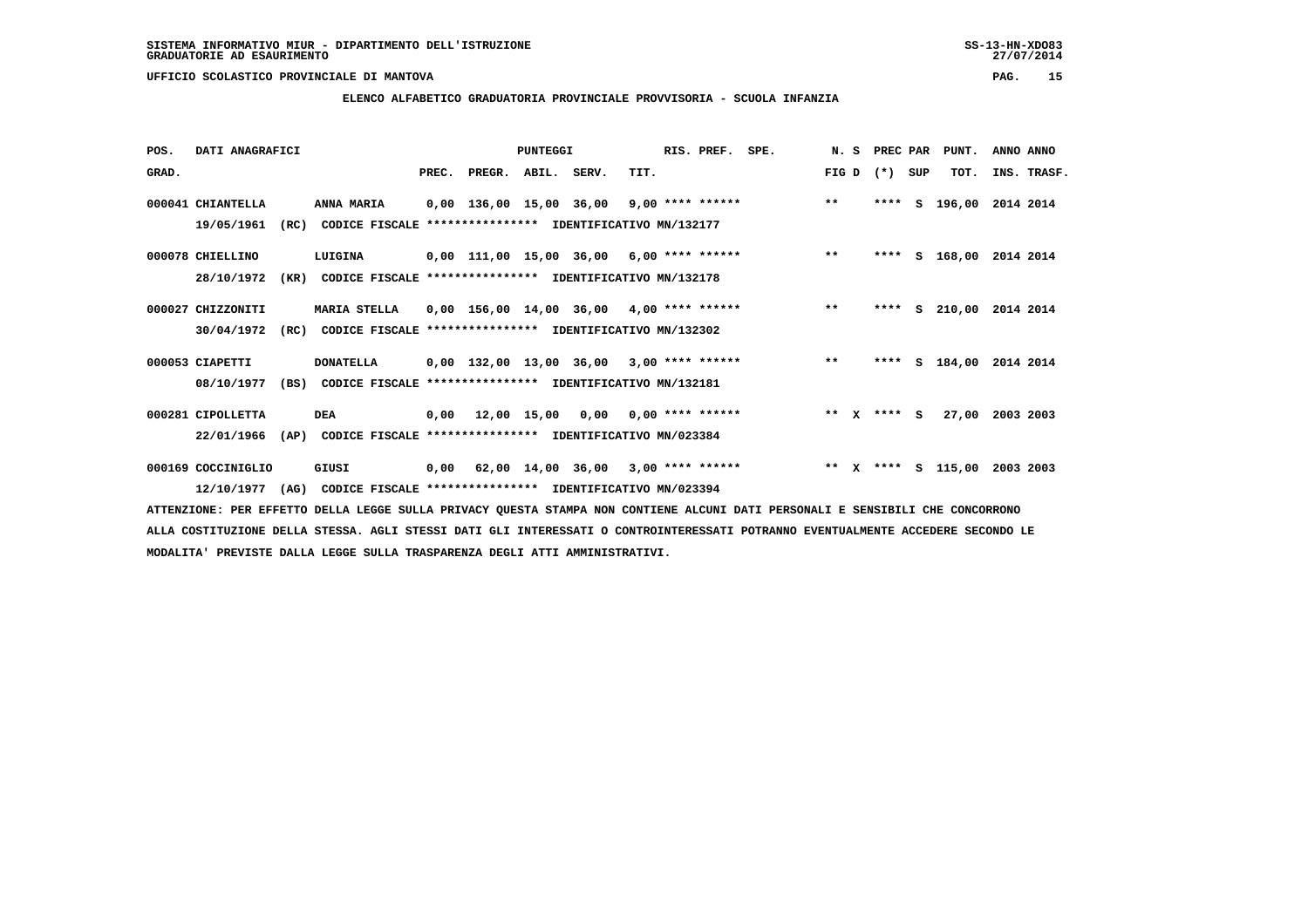**POS. DATI ANAGRAFICI PUNTEGGI RIS. PREF. SPE. N. S PREC PAR PUNT. ANNO ANNO**GRAD. **PREGRADE SERVEGER. ABIL. SERV. TIT.** FIG D (\*) SUP TOT. INS. TRASF.  **000041 CHIANTELLA ANNA MARIA 0,00 136,00 15,00 36,00 9,00 \*\*\*\* \*\*\*\*\*\* \*\* \*\*\*\* S 196,00 2014 2014 19/05/1961 (RC) CODICE FISCALE \*\*\*\*\*\*\*\*\*\*\*\*\*\*\*\* IDENTIFICATIVO MN/132177 000078 CHIELLINO LUIGINA 0,00 111,00 15,00 36,00 6,00 \*\*\*\* \*\*\*\*\*\* \*\* \*\*\*\* S 168,00 2014 2014 28/10/1972 (KR) CODICE FISCALE \*\*\*\*\*\*\*\*\*\*\*\*\*\*\*\* IDENTIFICATIVO MN/132178 000027 CHIZZONITI MARIA STELLA 0,00 156,00 14,00 36,00 4,00 \*\*\*\* \*\*\*\*\*\* \*\* \*\*\*\* S 210,00 2014 2014 30/04/1972 (RC) CODICE FISCALE \*\*\*\*\*\*\*\*\*\*\*\*\*\*\*\* IDENTIFICATIVO MN/132302 000053 CIAPETTI DONATELLA 0,00 132,00 13,00 36,00 3,00 \*\*\*\* \*\*\*\*\*\* \*\* \*\*\*\* S 184,00 2014 2014 08/10/1977 (BS) CODICE FISCALE \*\*\*\*\*\*\*\*\*\*\*\*\*\*\*\* IDENTIFICATIVO MN/132181 000281 CIPOLLETTA DEA 0,00 12,00 15,00 0,00 0,00 \*\*\*\* \*\*\*\*\*\* \*\* X \*\*\*\* S 27,00 2003 2003 22/01/1966 (AP) CODICE FISCALE \*\*\*\*\*\*\*\*\*\*\*\*\*\*\*\* IDENTIFICATIVO MN/023384 000169 COCCINIGLIO GIUSI 0,00 62,00 14,00 36,00 3,00 \*\*\*\* \*\*\*\*\*\* \*\* X \*\*\*\* S 115,00 2003 2003**

 **12/10/1977 (AG) CODICE FISCALE \*\*\*\*\*\*\*\*\*\*\*\*\*\*\*\* IDENTIFICATIVO MN/023394**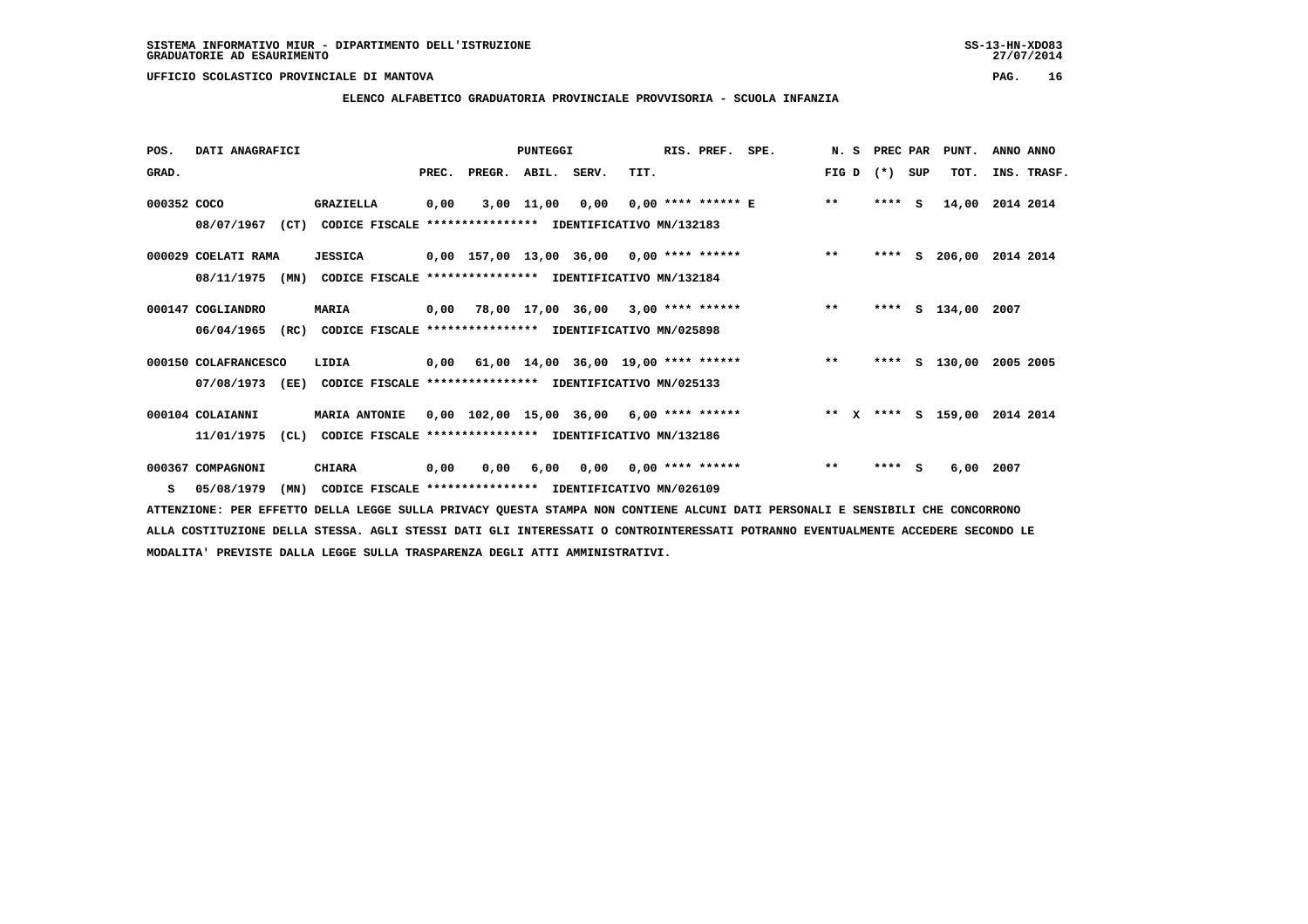### **ELENCO ALFABETICO GRADUATORIA PROVINCIALE PROVVISORIA - SCUOLA INFANZIA**

| POS.        | DATI ANAGRAFICI      |               |                                                          |       |                                            |            | PUNTEGGI |                                                  |      | RIS. PREF.         | SPE.                 | N.S   | PREC PAR |     | PUNT.              | ANNO ANNO   |
|-------------|----------------------|---------------|----------------------------------------------------------|-------|--------------------------------------------|------------|----------|--------------------------------------------------|------|--------------------|----------------------|-------|----------|-----|--------------------|-------------|
| GRAD.       |                      |               |                                                          | PREC. | PREGR.                                     |            |          | ABIL. SERV.                                      | TIT. |                    |                      | FIG D | $(*)$    | SUP | TOT.               | INS. TRASF. |
| 000352 COCO |                      |               | GRAZIELLA                                                | 0,00  |                                            | 3,00 11,00 |          | 0,00                                             |      |                    | $0,00$ **** ****** E | $***$ | ****     | s   | 14,00              | 2014 2014   |
|             | 08/07/1967           | (CT)          | CODICE FISCALE **************** IDENTIFICATIVO MN/132183 |       |                                            |            |          |                                                  |      |                    |                      |       |          |     |                    |             |
|             | 000029 COELATI RAMA  |               | <b>JESSICA</b>                                           |       | $0.00$ 157.00 13.00 36.00 0.00 **** ****** |            |          |                                                  |      |                    |                      | $***$ |          |     | **** $S$ 206,00    | 2014 2014   |
|             | 08/11/1975           | (MN)          | CODICE FISCALE **************** IDENTIFICATIVO MN/132184 |       |                                            |            |          |                                                  |      |                    |                      |       |          |     |                    |             |
|             | 000147 COGLIANDRO    | <b>MARIA</b>  |                                                          |       | $0,00$ 78,00 17,00 36,00 3,00 **** ******  |            |          |                                                  |      |                    |                      | $***$ |          |     | **** S 134,00      | 2007        |
|             | 06/04/1965           | (RC)          | CODICE FISCALE **************** IDENTIFICATIVO MN/025898 |       |                                            |            |          |                                                  |      |                    |                      |       |          |     |                    |             |
|             | 000150 COLAFRANCESCO | LIDIA         |                                                          | 0.00  |                                            |            |          | $61,00$ $14,00$ $36,00$ $19,00$ $***$ **** ***** |      |                    |                      | $***$ | ****     |     | S 130,00           | 2005 2005   |
|             | 07/08/1973 (EE)      |               | CODICE FISCALE **************** IDENTIFICATIVO MN/025133 |       |                                            |            |          |                                                  |      |                    |                      |       |          |     |                    |             |
|             | 000104 COLAIANNI     |               | <b>MARIA ANTONIE</b>                                     |       | 0,00 102,00 15,00 36,00 6,00 **** ******   |            |          |                                                  |      |                    |                      |       |          |     | ** x **** s 159,00 | 2014 2014   |
|             | 11/01/1975           | CL)           | CODICE FISCALE **************** IDENTIFICATIVO MN/132186 |       |                                            |            |          |                                                  |      |                    |                      |       |          |     |                    |             |
|             | 000367 COMPAGNONI    | <b>CHIARA</b> |                                                          | 0,00  | 0,00                                       |            | 6,00     | 0,00                                             |      | $0,00$ **** ****** |                      | $***$ | $***$ S  |     | 6,00               | 2007        |
|             | S 05/08/1979         | (MN)          | CODICE FISCALE **************** IDENTIFICATIVO MN/026109 |       |                                            |            |          |                                                  |      |                    |                      |       |          |     |                    |             |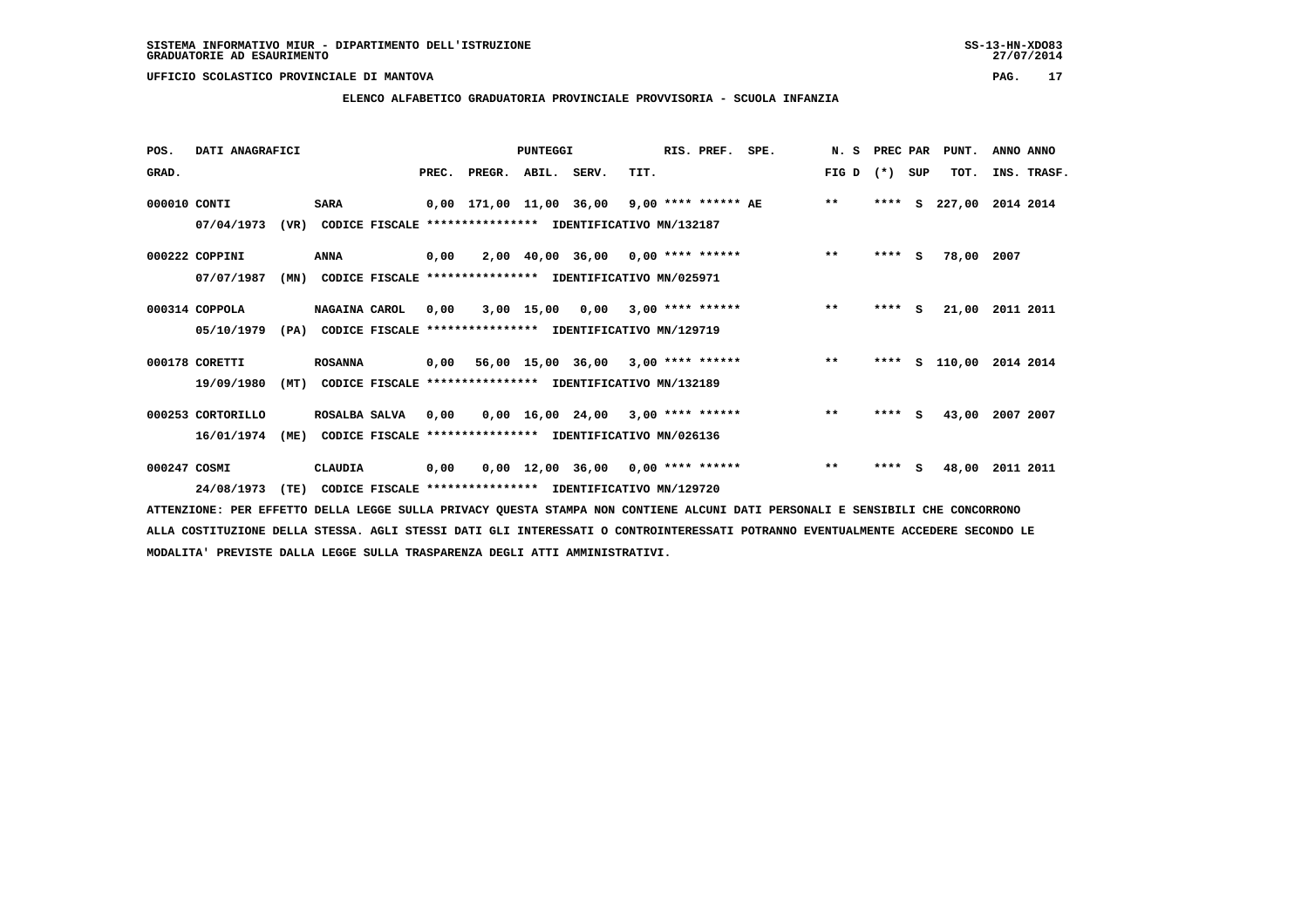### **ELENCO ALFABETICO GRADUATORIA PROVINCIALE PROVVISORIA - SCUOLA INFANZIA**

| POS.         | DATI ANAGRAFICI   |      |                                                               |       |        | PUNTEGGI    |                                                          |      | RIS. PREF.         | SPE.                                    | N.S   | PREC PAR |          | PUNT.    | ANNO ANNO |             |
|--------------|-------------------|------|---------------------------------------------------------------|-------|--------|-------------|----------------------------------------------------------|------|--------------------|-----------------------------------------|-------|----------|----------|----------|-----------|-------------|
| GRAD.        |                   |      |                                                               | PREC. | PREGR. | ABIL. SERV. |                                                          | TIT. |                    |                                         | FIG D | $(* )$   | SUP      | TOT.     |           | INS. TRASF. |
| 000010 CONTI |                   |      | <b>SARA</b>                                                   |       |        |             | 0,00 171,00 11,00 36,00 9,00 **** ****** AE              |      |                    | $\star\star$                            |       | ****     | s        | 227,00   | 2014 2014 |             |
|              | 07/04/1973        | (VR) |                                                               |       |        |             | CODICE FISCALE **************** IDENTIFICATIVO MN/132187 |      |                    |                                         |       |          |          |          |           |             |
|              | 000222 COPPINI    |      | ANNA                                                          | 0,00  |        |             | $2,00$ 40,00 36,00 0,00 **** ******                      |      |                    |                                         | $* *$ | $***$ S  |          | 78,00    | 2007      |             |
|              | 07/07/1987        | (MN) |                                                               |       |        |             | CODICE FISCALE **************** IDENTIFICATIVO MN/025971 |      |                    |                                         |       |          |          |          |           |             |
|              | 000314 COPPOLA    |      | NAGAINA CAROL                                                 | 0,00  |        |             | 3,00 15,00 0,00                                          |      | $3,00$ **** ****** |                                         | $***$ | ****     | <b>S</b> | 21,00    | 2011 2011 |             |
|              | 05/10/1979        |      | (PA) CODICE FISCALE **************** IDENTIFICATIVO MN/129719 |       |        |             |                                                          |      |                    |                                         |       |          |          |          |           |             |
|              | 000178 CORETTI    |      | <b>ROSANNA</b>                                                |       |        |             |                                                          |      |                    | 0,00 56,00 15,00 36,00 3,00 **** ****** | $**$  | ****     |          | s 110,00 | 2014 2014 |             |
|              | 19/09/1980        | (MT) |                                                               |       |        |             | CODICE FISCALE **************** IDENTIFICATIVO MN/132189 |      |                    |                                         |       |          |          |          |           |             |
|              | 000253 CORTORILLO |      | ROSALBA SALVA                                                 | 0,00  |        |             | $0,00$ 16,00 24,00 3,00 **** ******                      |      |                    |                                         | $***$ | ****     | <b>S</b> | 43,00    | 2007 2007 |             |
|              | 16/01/1974        | (ME) |                                                               |       |        |             | CODICE FISCALE **************** IDENTIFICATIVO MN/026136 |      |                    |                                         |       |          |          |          |           |             |
| 000247 COSMI |                   |      | CLAUDIA                                                       | 0,00  |        |             | $0,00$ 12,00 36,00 0,00 **** ******                      |      |                    |                                         | $***$ | ****     | s        | 48,00    | 2011 2011 |             |
|              | 24/08/1973        | (TE) |                                                               |       |        |             | CODICE FISCALE **************** IDENTIFICATIVO MN/129720 |      |                    |                                         |       |          |          |          |           |             |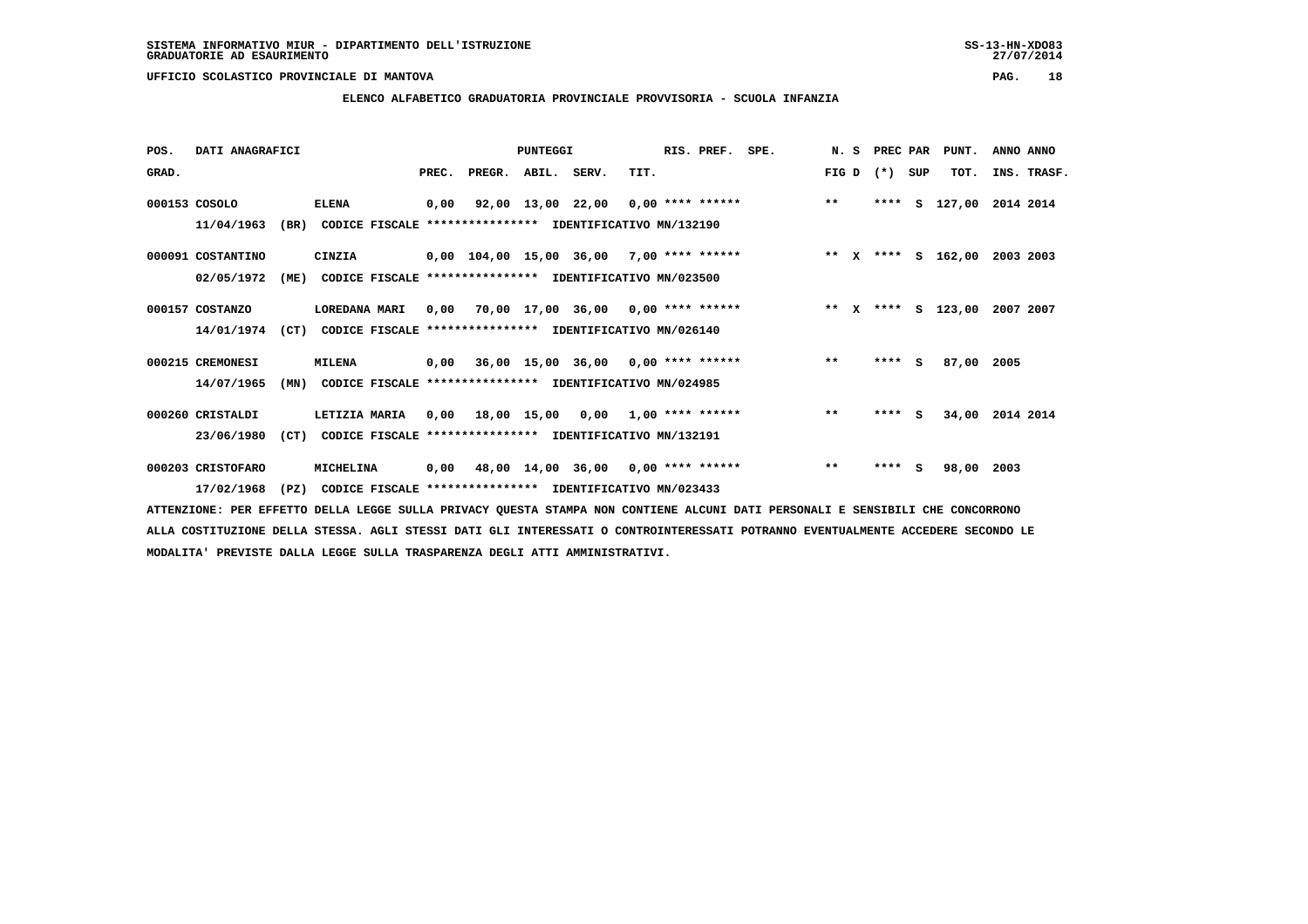| POS.  | DATI ANAGRAFICI   |      |                                                          |       |                                           | PUNTEGGI |                                      |      | RIS. PREF. | SPE. |       |              | N. S PREC PAR |     | PUNT.              | ANNO ANNO   |  |
|-------|-------------------|------|----------------------------------------------------------|-------|-------------------------------------------|----------|--------------------------------------|------|------------|------|-------|--------------|---------------|-----|--------------------|-------------|--|
| GRAD. |                   |      |                                                          | PREC. | PREGR. ABIL. SERV.                        |          |                                      | TIT. |            |      | FIG D |              | $(* )$        | SUP | TOT.               | INS. TRASF. |  |
|       | 000153 COSOLO     |      | ELENA                                                    | 0,00  |                                           |          | $92,00$ 13,00 22,00 0,00 **** ****** |      |            |      | $***$ |              |               |     | **** S 127,00      | 2014 2014   |  |
|       | 11/04/1963        | (BR) | CODICE FISCALE **************** IDENTIFICATIVO MN/132190 |       |                                           |          |                                      |      |            |      |       |              |               |     |                    |             |  |
|       | 000091 COSTANTINO |      | CINZIA                                                   |       | 0,00 104,00 15,00 36,00 7,00 **** ******  |          |                                      |      |            |      |       |              |               |     | ** X **** S 162,00 | 2003 2003   |  |
|       | 02/05/1972        | (ME) | CODICE FISCALE **************** IDENTIFICATIVO MN/023500 |       |                                           |          |                                      |      |            |      |       |              |               |     |                    |             |  |
|       | 000157 COSTANZO   |      | LOREDANA MARI                                            | 0,00  | 70,00 17,00 36,00 0,00 **** ******        |          |                                      |      |            |      | $* *$ | $\mathbf{x}$ |               |     | **** S 123,00      | 2007 2007   |  |
|       | 14/01/1974        | (CT) | CODICE FISCALE **************** IDENTIFICATIVO MN/026140 |       |                                           |          |                                      |      |            |      |       |              |               |     |                    |             |  |
|       | 000215 CREMONESI  |      | <b>MILENA</b>                                            |       | $0,00$ 36,00 15,00 36,00 0,00 **** ****** |          |                                      |      |            |      | $***$ |              | $***$ S       |     | 87,00              | 2005        |  |
|       | 14/07/1965        | (MN) | CODICE FISCALE **************** IDENTIFICATIVO MN/024985 |       |                                           |          |                                      |      |            |      |       |              |               |     |                    |             |  |
|       | 000260 CRISTALDI  |      | LETIZIA MARIA                                            |       | $0,00$ 18,00 15,00 0,00 1,00 **** ******  |          |                                      |      |            |      | $***$ |              | $***$ S       |     | 34,00              | 2014 2014   |  |
|       | 23/06/1980        | (CT) | CODICE FISCALE **************** IDENTIFICATIVO MN/132191 |       |                                           |          |                                      |      |            |      |       |              |               |     |                    |             |  |
|       | 000203 CRISTOFARO |      | MICHELINA                                                | 0,00  | 48,00 14,00 36,00 0,00 **** ******        |          |                                      |      |            |      | $* *$ |              | ****          | s   | 98,00 2003         |             |  |
|       | 17/02/1968        | (PZ) | CODICE FISCALE **************** IDENTIFICATIVO MN/023433 |       |                                           |          |                                      |      |            |      |       |              |               |     |                    |             |  |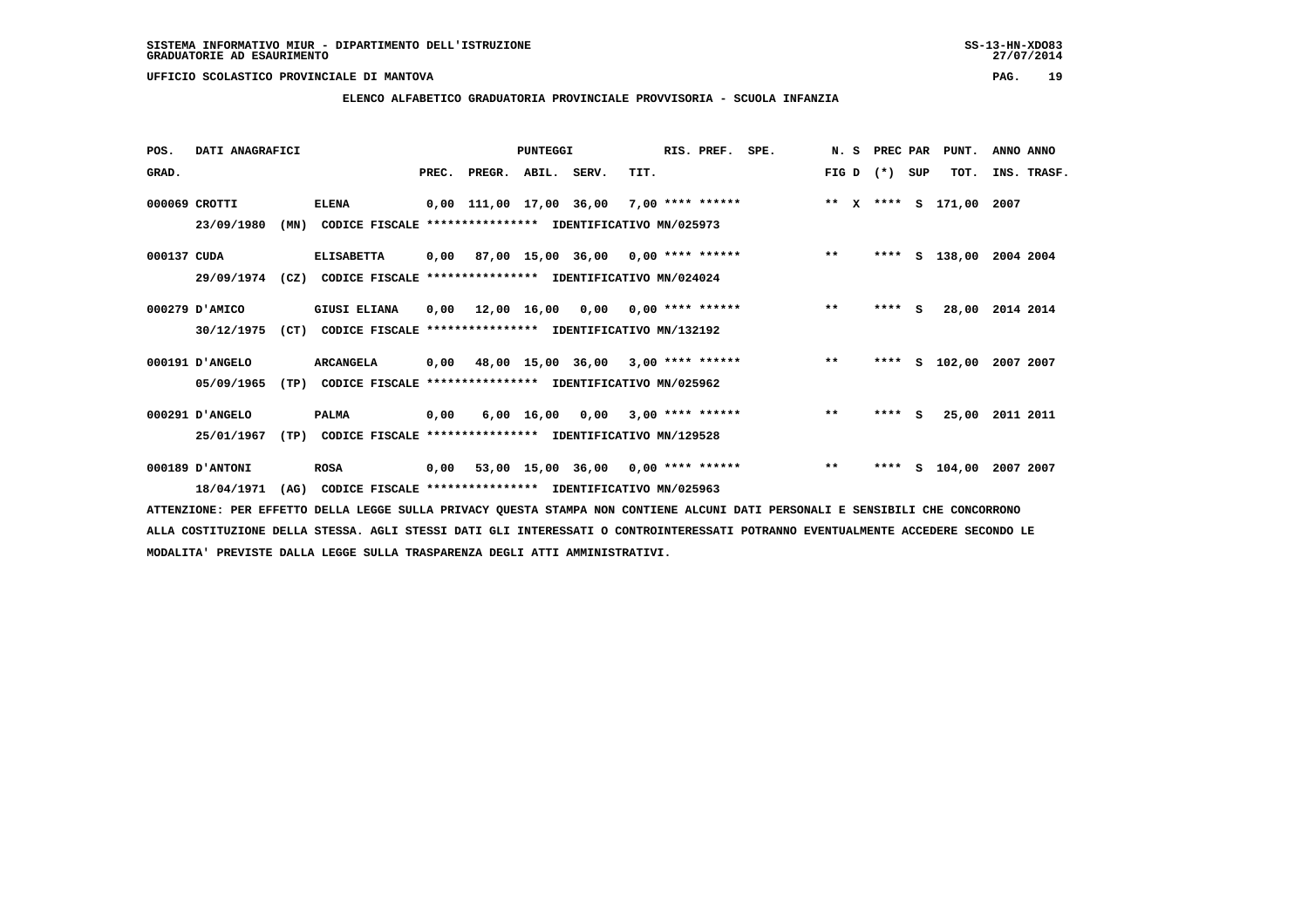| POS.        | DATI ANAGRAFICI |      |                                                               |      |                          | <b>PUNTEGGI</b> |                                                 |      | RIS. PREF.         | SPE.                                      |       | N. S PREC PAR |     | PUNT.                   | <b>ANNO ANNO</b> |             |
|-------------|-----------------|------|---------------------------------------------------------------|------|--------------------------|-----------------|-------------------------------------------------|------|--------------------|-------------------------------------------|-------|---------------|-----|-------------------------|------------------|-------------|
| GRAD.       |                 |      |                                                               |      | PREC. PREGR. ABIL. SERV. |                 |                                                 | TIT. |                    |                                           |       | $FIG D (*)$   | SUP | TOT.                    |                  | INS. TRASF. |
|             | 000069 CROTTI   |      | <b>ELENA</b>                                                  |      |                          |                 | $0,00$ 111,00 17,00 36,00 7,00 **** ******      |      |                    |                                           |       |               |     | ** X **** S 171,00 2007 |                  |             |
|             | 23/09/1980      | (MN) | CODICE FISCALE                                                |      |                          |                 | **************** IDENTIFICATIVO MN/025973       |      |                    |                                           |       |               |     |                         |                  |             |
| 000137 CUDA |                 |      | <b>ELISABETTA</b>                                             |      |                          |                 | $0,00$ 87,00 15,00 36,00 0,00 **** ******       |      |                    |                                           | $* *$ |               |     | **** S 138,00 2004 2004 |                  |             |
|             | 29/09/1974      | (CZ) | CODICE FISCALE **************** IDENTIFICATIVO MN/024024      |      |                          |                 |                                                 |      |                    |                                           |       |               |     |                         |                  |             |
|             | 000279 D'AMICO  |      | <b>GIUSI ELIANA</b>                                           | 0.00 |                          |                 | $12,00$ $16,00$ $0,00$ $0,00$ $***$ **** ****** |      |                    |                                           | $***$ | $***$ S       |     | 28,00                   | 2014 2014        |             |
|             | 30/12/1975      |      | (CT) CODICE FISCALE **************** IDENTIFICATIVO MN/132192 |      |                          |                 |                                                 |      |                    |                                           |       |               |     |                         |                  |             |
|             | 000191 D'ANGELO |      | <b>ARCANGELA</b>                                              |      |                          |                 | $0,00$ 48,00 15,00 36,00 3,00 **** ******       |      |                    |                                           | $***$ |               |     | **** S 102,00           | 2007 2007        |             |
|             | 05/09/1965      | (TP) | CODICE FISCALE **************** IDENTIFICATIVO MN/025962      |      |                          |                 |                                                 |      |                    |                                           |       |               |     |                         |                  |             |
|             | 000291 D'ANGELO |      | <b>PALMA</b>                                                  | 0,00 |                          | 6,00 16,00      | 0,00                                            |      | $3,00$ **** ****** |                                           | $***$ | ****          | - S | 25,00                   | 2011 2011        |             |
|             | 25/01/1967      | (TP) | CODICE FISCALE **************** IDENTIFICATIVO MN/129528      |      |                          |                 |                                                 |      |                    |                                           |       |               |     |                         |                  |             |
|             | 000189 D'ANTONI |      | <b>ROSA</b>                                                   |      |                          |                 |                                                 |      |                    | $0,00$ 53,00 15,00 36,00 0,00 **** ****** | $***$ | ****          | s   | 104,00                  | 2007 2007        |             |
|             | 18/04/1971      | (AG) | CODICE FISCALE **************** IDENTIFICATIVO MN/025963      |      |                          |                 |                                                 |      |                    |                                           |       |               |     |                         |                  |             |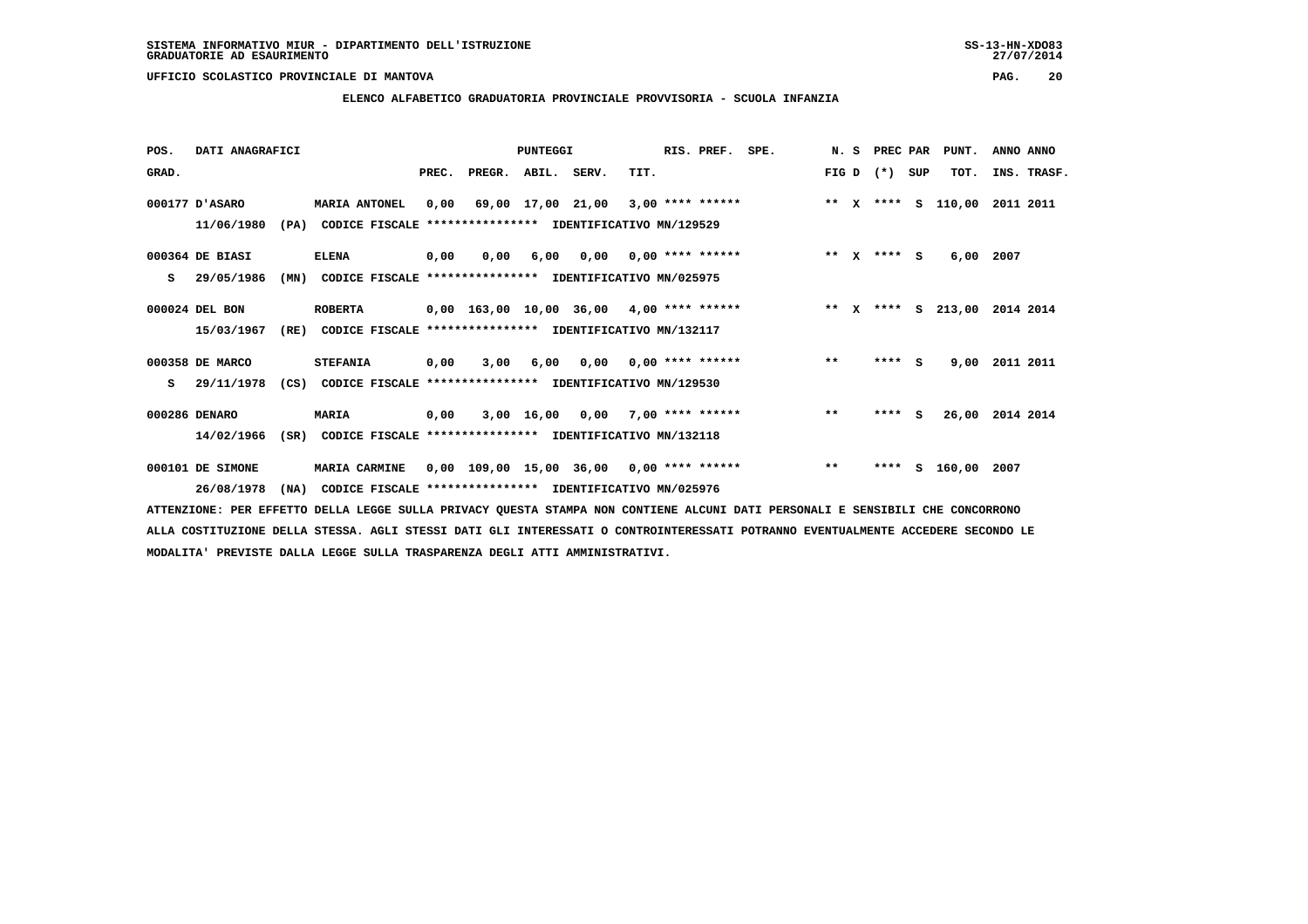### **ELENCO ALFABETICO GRADUATORIA PROVINCIALE PROVVISORIA - SCUOLA INFANZIA**

 **POS. DATI ANAGRAFICI PUNTEGGI RIS. PREF. SPE. N. S PREC PAR PUNT. ANNO ANNO**GRAD. **BRAD. PREC. PREGR. ABIL. SERV.** TIT. THE REGREATER FIG D (\*) SUP TOT. INS. TRASF.  **000177 D'ASARO MARIA ANTONEL 0,00 69,00 17,00 21,00 3,00 \*\*\*\* \*\*\*\*\*\* \*\* X \*\*\*\* S 110,00 2011 2011 11/06/1980 (PA) CODICE FISCALE \*\*\*\*\*\*\*\*\*\*\*\*\*\*\*\* IDENTIFICATIVO MN/129529 000364 DE BIASI ELENA 0,00 0,00 6,00 0,00 0,00 \*\*\*\* \*\*\*\*\*\* \*\* X \*\*\*\* S 6,00 2007 S 29/05/1986 (MN) CODICE FISCALE \*\*\*\*\*\*\*\*\*\*\*\*\*\*\*\* IDENTIFICATIVO MN/025975 000024 DEL BON ROBERTA 0,00 163,00 10,00 36,00 4,00 \*\*\*\* \*\*\*\*\*\* \*\* X \*\*\*\* S 213,00 2014 2014 15/03/1967 (RE) CODICE FISCALE \*\*\*\*\*\*\*\*\*\*\*\*\*\*\*\* IDENTIFICATIVO MN/132117 000358 DE MARCO STEFANIA 0,00 3,00 6,00 0,00 0,00 \*\*\*\* \*\*\*\*\*\* \*\* \*\*\*\* S 9,00 2011 2011 S 29/11/1978 (CS) CODICE FISCALE \*\*\*\*\*\*\*\*\*\*\*\*\*\*\*\* IDENTIFICATIVO MN/129530 000286 DENARO MARIA 0,00 3,00 16,00 0,00 7,00 \*\*\*\* \*\*\*\*\*\* \*\* \*\*\*\* S 26,00 2014 2014 14/02/1966 (SR) CODICE FISCALE \*\*\*\*\*\*\*\*\*\*\*\*\*\*\*\* IDENTIFICATIVO MN/132118 000101 DE SIMONE MARIA CARMINE 0,00 109,00 15,00 36,00 0,00 \*\*\*\* \*\*\*\*\*\* \*\* \*\*\*\* S 160,00 2007 26/08/1978 (NA) CODICE FISCALE \*\*\*\*\*\*\*\*\*\*\*\*\*\*\*\* IDENTIFICATIVO MN/025976**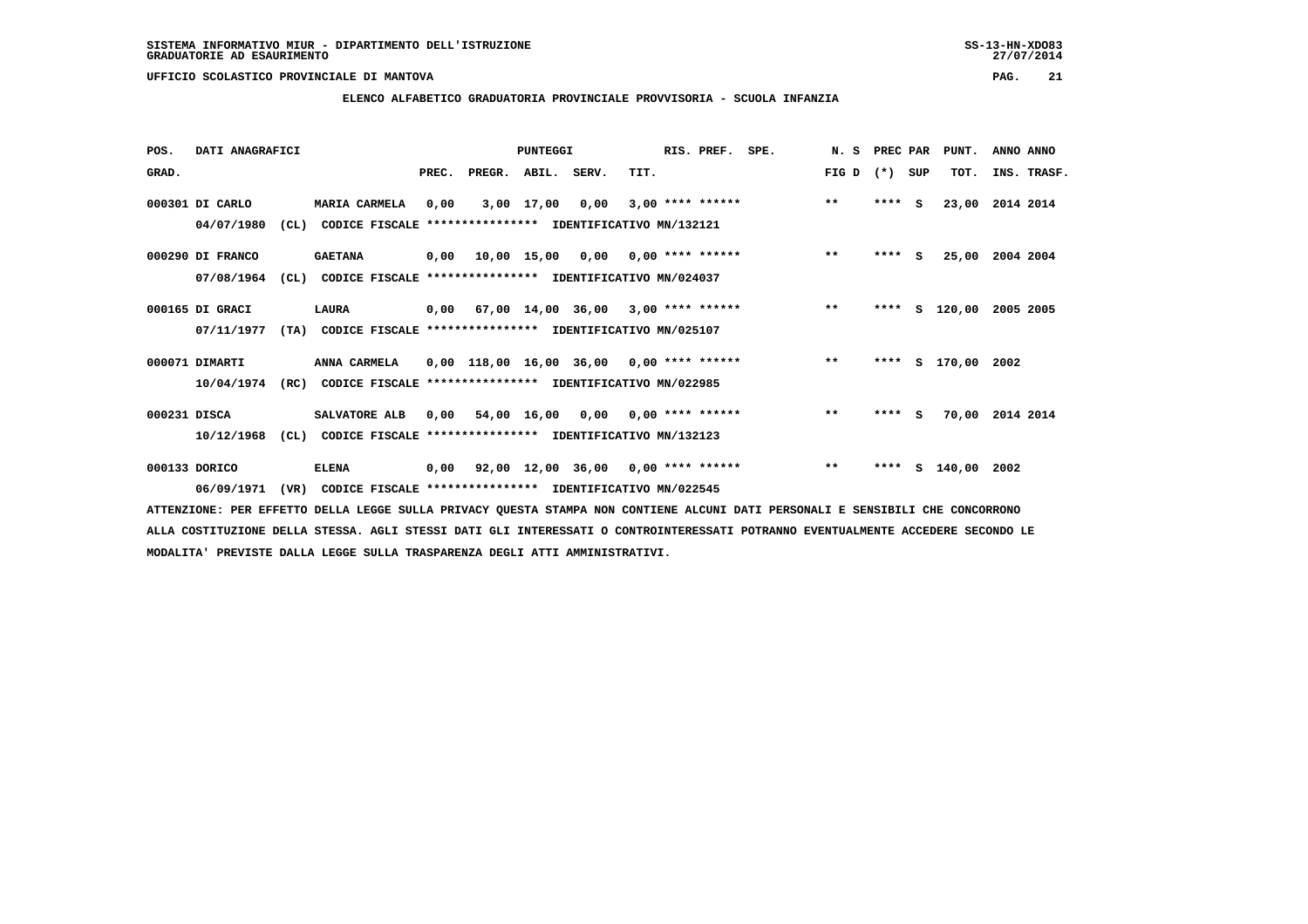| POS.         | DATI ANAGRAFICI  |     |                                                               |       |                                                         | <b>PUNTEGGI</b> |                 |      | RIS. PREF. SPE. |                    | N. S PREC PAR |         |          | PUNT.              | ANNO ANNO       |  |
|--------------|------------------|-----|---------------------------------------------------------------|-------|---------------------------------------------------------|-----------------|-----------------|------|-----------------|--------------------|---------------|---------|----------|--------------------|-----------------|--|
| GRAD.        |                  |     |                                                               | PREC. | PREGR. ABIL. SERV.                                      |                 |                 | TIT. |                 |                    | FIG D         | (*) SUP |          | TOT.               | INS. TRASF.     |  |
|              | 000301 DI CARLO  |     | MARIA CARMELA                                                 | 0,00  |                                                         |                 | 3,00 17,00 0,00 |      |                 | $3,00$ **** ****** | $***$         | $***$ S |          | 23,00              | 2014 2014       |  |
|              | 04/07/1980       |     | (CL) CODICE FISCALE **************** IDENTIFICATIVO MN/132121 |       |                                                         |                 |                 |      |                 |                    |               |         |          |                    |                 |  |
|              | 000290 DI FRANCO |     | <b>GAETANA</b>                                                |       | $0,00$ 10,00 15,00 0,00 0,00 **** ******                |                 |                 |      |                 |                    | $***$         | $***$ S |          |                    | 25,00 2004 2004 |  |
|              | 07/08/1964       | CL) | CODICE FISCALE **************** IDENTIFICATIVO MN/024037      |       |                                                         |                 |                 |      |                 |                    |               |         |          |                    |                 |  |
|              | 000165 DI GRACI  |     | <b>LAURA</b>                                                  |       | $0,00$ 67,00 14,00 36,00 3,00 **** ******               |                 |                 |      |                 |                    | $***$         | ****    |          | S 120,00 2005 2005 |                 |  |
|              | 07/11/1977       |     | (TA) CODICE FISCALE **************** IDENTIFICATIVO MN/025107 |       |                                                         |                 |                 |      |                 |                    |               |         |          |                    |                 |  |
|              | 000071 DIMARTI   |     | ANNA CARMELA                                                  |       | 0,00 118,00 16,00 36,00 0,00 **** ******                |                 |                 |      |                 |                    | $***$         | ****    |          | S 170,00 2002      |                 |  |
|              | 10/04/1974       |     | (RC) CODICE FISCALE **************** IDENTIFICATIVO MN/022985 |       |                                                         |                 |                 |      |                 |                    |               |         |          |                    |                 |  |
| 000231 DISCA |                  |     | SALVATORE ALB                                                 |       | $0,00$ 54,00 16,00 0,00 0,00 **** ******                |                 |                 |      |                 |                    | $***$         | ****    | <b>S</b> |                    | 70,00 2014 2014 |  |
|              | 10/12/1968       | CL) | CODICE FISCALE **************** IDENTIFICATIVO MN/132123      |       |                                                         |                 |                 |      |                 |                    |               |         |          |                    |                 |  |
|              | 000133 DORICO    |     | <b>ELENA</b>                                                  |       | $0,00$ $92,00$ $12,00$ $36,00$ $0,00$ $***$ **** ****** |                 |                 |      |                 |                    | $***$         | ****    |          | $S$ 140,00 2002    |                 |  |
|              | 06/09/1971       |     | (VR) CODICE FISCALE *************** IDENTIFICATIVO MN/022545  |       |                                                         |                 |                 |      |                 |                    |               |         |          |                    |                 |  |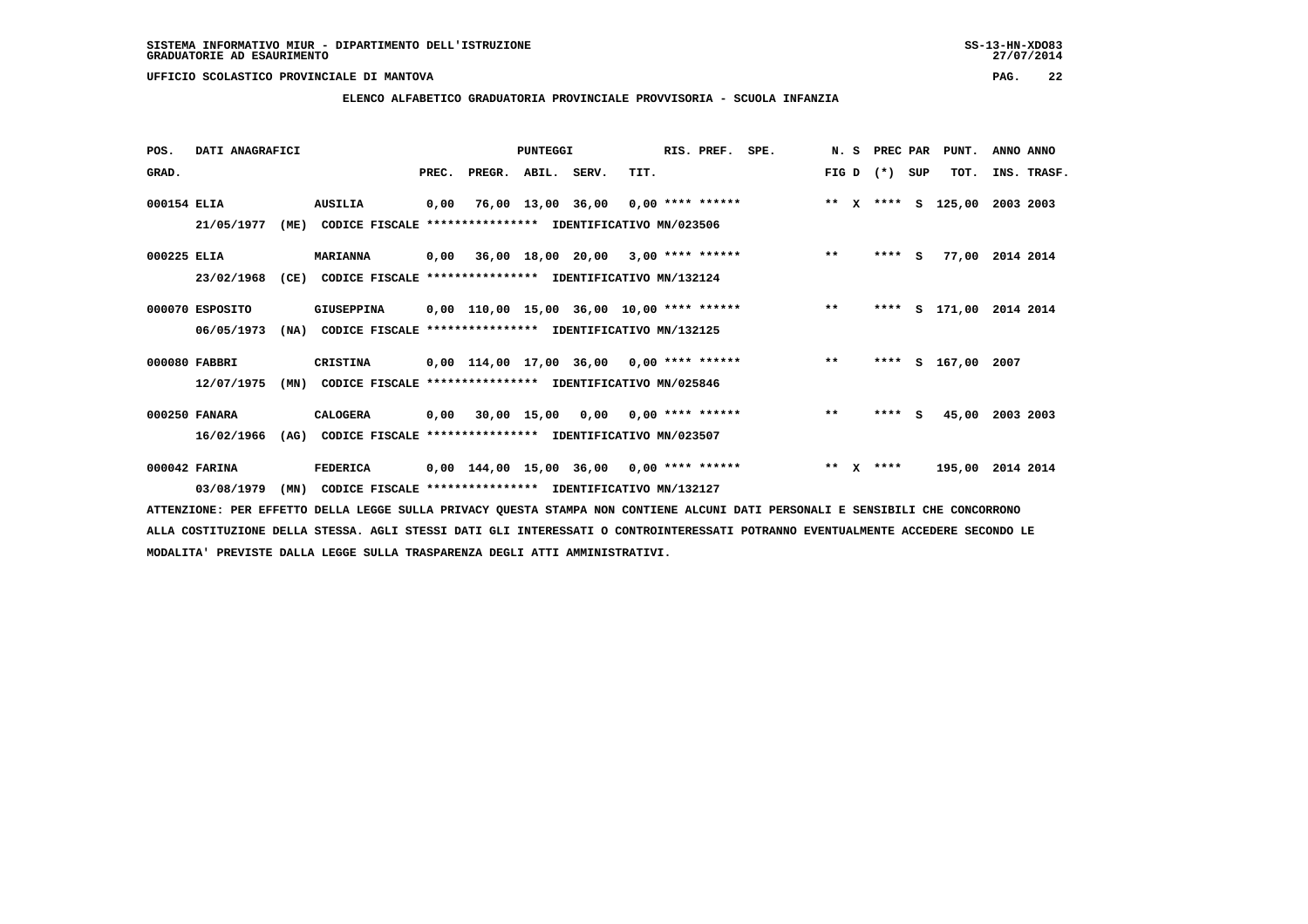**POS. DATI ANAGRAFICI PUNTEGGI RIS. PREF. SPE. N. S PREC PAR PUNT. ANNO ANNO**GRAD. **BRAD. PREC. PREGR. ABIL. SERV.** TIT. THE REGREATER FIG D (\*) SUP TOT. INS. TRASF.  **000154 ELIA AUSILIA 0,00 76,00 13,00 36,00 0,00 \*\*\*\* \*\*\*\*\*\* \*\* X \*\*\*\* S 125,00 2003 2003 21/05/1977 (ME) CODICE FISCALE \*\*\*\*\*\*\*\*\*\*\*\*\*\*\*\* IDENTIFICATIVO MN/023506 000225 ELIA MARIANNA 0,00 36,00 18,00 20,00 3,00 \*\*\*\* \*\*\*\*\*\* \*\* \*\*\*\* S 77,00 2014 2014 23/02/1968 (CE) CODICE FISCALE \*\*\*\*\*\*\*\*\*\*\*\*\*\*\*\* IDENTIFICATIVO MN/132124 000070 ESPOSITO GIUSEPPINA 0,00 110,00 15,00 36,00 10,00 \*\*\*\* \*\*\*\*\*\* \*\* \*\*\*\* S 171,00 2014 2014 06/05/1973 (NA) CODICE FISCALE \*\*\*\*\*\*\*\*\*\*\*\*\*\*\*\* IDENTIFICATIVO MN/132125 000080 FABBRI CRISTINA 0,00 114,00 17,00 36,00 0,00 \*\*\*\* \*\*\*\*\*\* \*\* \*\*\*\* S 167,00 2007 12/07/1975 (MN) CODICE FISCALE \*\*\*\*\*\*\*\*\*\*\*\*\*\*\*\* IDENTIFICATIVO MN/025846 000250 FANARA CALOGERA 0,00 30,00 15,00 0,00 0,00 \*\*\*\* \*\*\*\*\*\* \*\* \*\*\*\* S 45,00 2003 2003 16/02/1966 (AG) CODICE FISCALE \*\*\*\*\*\*\*\*\*\*\*\*\*\*\*\* IDENTIFICATIVO MN/023507**

 **000042 FARINA FEDERICA 0,00 144,00 15,00 36,00 0,00 \*\*\*\* \*\*\*\*\*\* \*\* X \*\*\*\* 195,00 2014 2014 03/08/1979 (MN) CODICE FISCALE \*\*\*\*\*\*\*\*\*\*\*\*\*\*\*\* IDENTIFICATIVO MN/132127**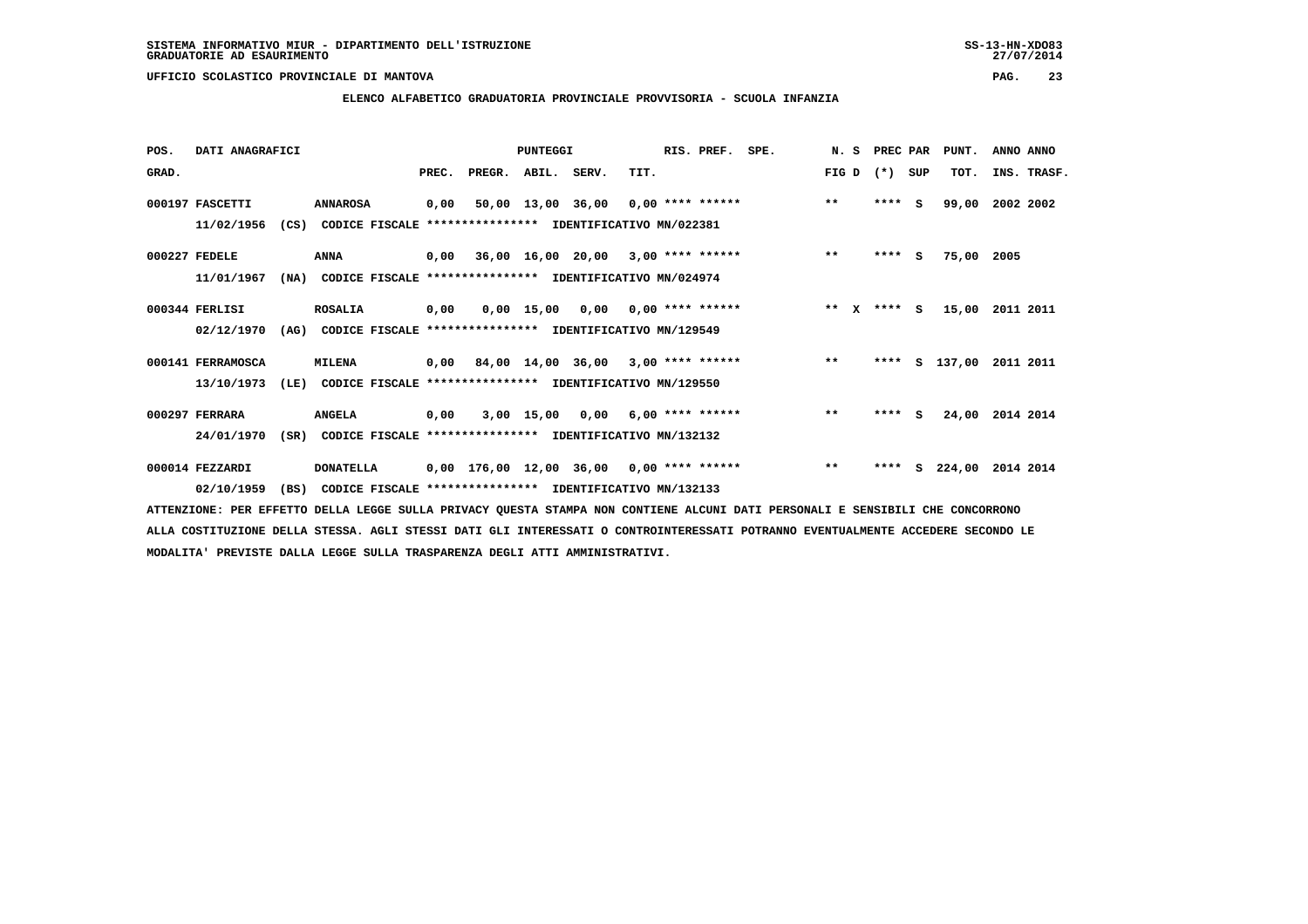### **ELENCO ALFABETICO GRADUATORIA PROVINCIALE PROVVISORIA - SCUOLA INFANZIA**

| POS.  | DATI ANAGRAFICI   |      |                                                               |       |                                           | PUNTEGGI |                                    |      | RIS. PREF. | SPE.                                      | N.S                   | PREC PAR |     | PUNT.         | ANNO ANNO   |
|-------|-------------------|------|---------------------------------------------------------------|-------|-------------------------------------------|----------|------------------------------------|------|------------|-------------------------------------------|-----------------------|----------|-----|---------------|-------------|
| GRAD. |                   |      |                                                               | PREC. | PREGR. ABIL. SERV.                        |          |                                    | TIT. |            |                                           | FIG D                 | $(*)$    | SUP | TOT.          | INS. TRASF. |
|       | 000197 FASCETTI   |      | <b>ANNAROSA</b>                                               | 0,00  |                                           |          | 50,00 13,00 36,00 0,00 **** ****** |      |            |                                           | $***$                 | $***5$   |     | 99,00         | 2002 2002   |
|       | 11/02/1956        | (CS) | CODICE FISCALE **************** IDENTIFICATIVO MN/022381      |       |                                           |          |                                    |      |            |                                           |                       |          |     |               |             |
|       | 000227 FEDELE     |      | ANNA                                                          |       | $0,00$ 36,00 16,00 20,00 3,00 **** ****** |          |                                    |      |            |                                           | $***$                 | $***$ S  |     | 75,00         | 2005        |
|       | 11/01/1967        | (NA) | CODICE FISCALE **************** IDENTIFICATIVO MN/024974      |       |                                           |          |                                    |      |            |                                           |                       |          |     |               |             |
|       | 000344 FERLISI    |      | <b>ROSALIA</b>                                                | 0,00  |                                           |          | $0,00$ 15,00 0,00 0,00 **** ****** |      |            |                                           | $* *$<br>$\mathbf{x}$ | $***$ S  |     | 15,00         | 2011 2011   |
|       | 02/12/1970        |      | (AG) CODICE FISCALE **************** IDENTIFICATIVO MN/129549 |       |                                           |          |                                    |      |            |                                           |                       |          |     |               |             |
|       | 000141 FERRAMOSCA |      | <b>MILENA</b>                                                 |       |                                           |          |                                    |      |            | $0,00$ 84,00 14,00 36,00 3,00 **** ****** | $***$                 |          |     | **** S 137,00 | 2011 2011   |
|       | 13/10/1973        | (LE) | CODICE FISCALE **************** IDENTIFICATIVO MN/129550      |       |                                           |          |                                    |      |            |                                           |                       |          |     |               |             |
|       | 000297 FERRARA    |      | <b>ANGELA</b>                                                 | 0,00  |                                           |          | $3,00$ 15,00 0,00 6,00 **** ****** |      |            |                                           | $***$                 | **** S   |     | 24,00         | 2014 2014   |
|       | 24/01/1970        |      | (SR) CODICE FISCALE **************** IDENTIFICATIVO MN/132132 |       |                                           |          |                                    |      |            |                                           |                       |          |     |               |             |
|       | 000014 FEZZARDI   |      | <b>DONATELLA</b>                                              |       |                                           |          |                                    |      |            | 0,00 176,00 12,00 36,00 0,00 **** ******  | $***$                 | ****     | s.  | 224,00        | 2014 2014   |
|       | 02/10/1959        | (BS) | CODICE FISCALE **************** IDENTIFICATIVO MN/132133      |       |                                           |          |                                    |      |            |                                           |                       |          |     |               |             |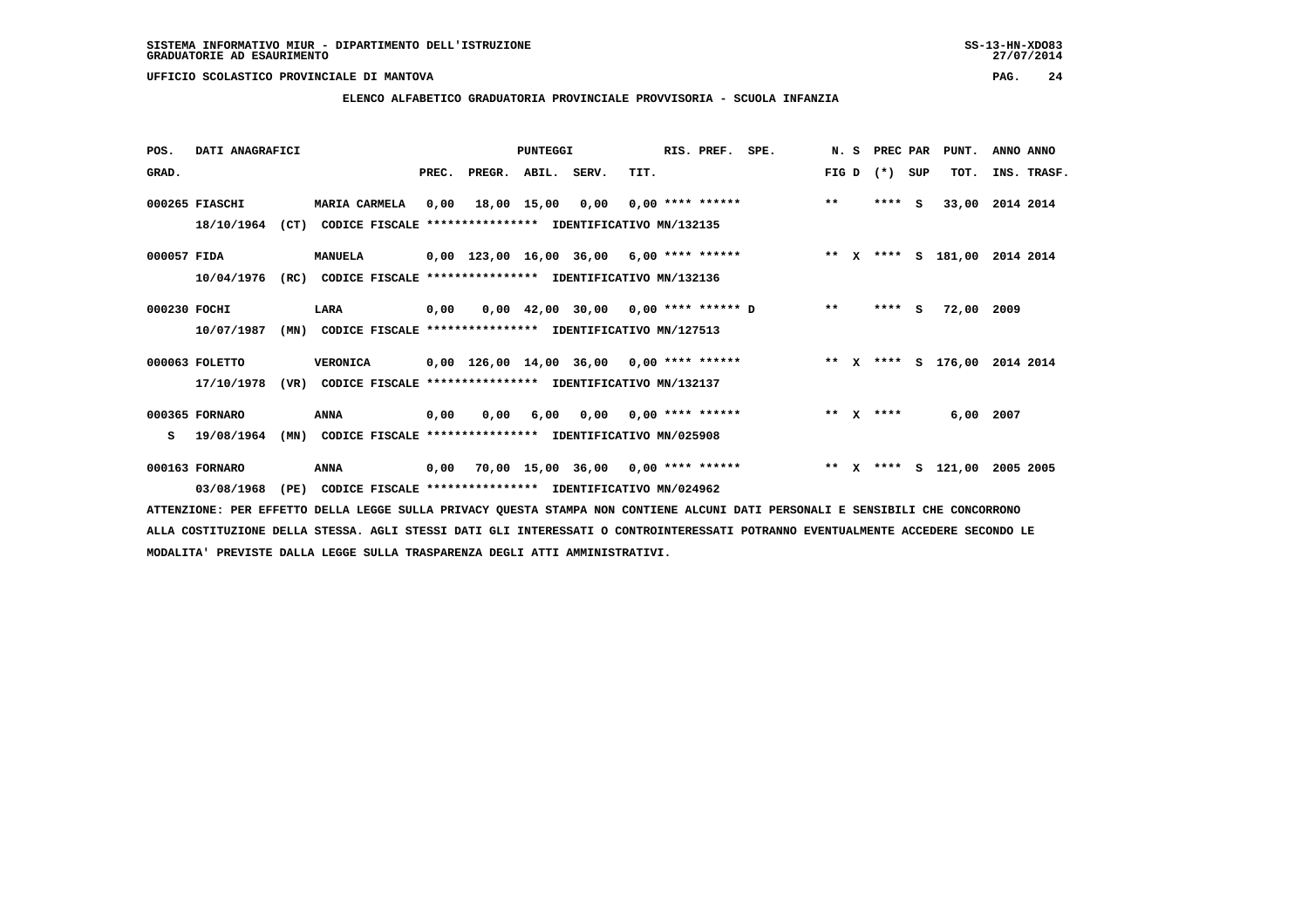# **ELENCO ALFABETICO GRADUATORIA PROVINCIALE PROVVISORIA - SCUOLA INFANZIA**

| POS.         | DATI ANAGRAFICI |      |                                                               |       |        | <b>PUNTEGGI</b> |                                            |      | RIS. PREF.         | SPE. | N. S  |              | PREC PAR |     | PUNT.              | ANNO ANNO                    |
|--------------|-----------------|------|---------------------------------------------------------------|-------|--------|-----------------|--------------------------------------------|------|--------------------|------|-------|--------------|----------|-----|--------------------|------------------------------|
| GRAD.        |                 |      |                                                               | PREC. | PREGR. | ABIL. SERV.     |                                            | TIT. |                    |      | FIG D |              | $(* )$   | SUP | TOT.               | INS. TRASF.                  |
|              | 000265 FIASCHI  |      | MARIA CARMELA                                                 | 0,00  |        | 18,00 15,00     | 0,00                                       |      | $0,00$ **** ****** |      | $***$ |              | ****     | - S | 33,00              | 2014 2014                    |
|              | 18/10/1964      |      | (CT) CODICE FISCALE **************** IDENTIFICATIVO MN/132135 |       |        |                 |                                            |      |                    |      |       |              |          |     |                    |                              |
| 000057 FIDA  |                 |      | <b>MANUELA</b>                                                |       |        |                 | $0,00$ 123,00 16,00 36,00 6,00 **** ****** |      |                    |      |       |              |          |     | ** X **** S 181,00 | 2014 2014                    |
|              | 10/04/1976      | (RC) | CODICE FISCALE **************** IDENTIFICATIVO MN/132136      |       |        |                 |                                            |      |                    |      |       |              |          |     |                    |                              |
| 000230 FOCHI |                 |      | LARA                                                          | 0,00  |        |                 | $0,00$ 42,00 30,00 0,00 **** ****** D      |      |                    |      | $***$ |              | ****     | - S | 72,00              | 2009                         |
|              | 10/07/1987      | (MN) | CODICE FISCALE **************** IDENTIFICATIVO MN/127513      |       |        |                 |                                            |      |                    |      |       |              |          |     |                    |                              |
|              | 000063 FOLETTO  |      | <b>VERONICA</b>                                               |       |        |                 | $0,00$ 126,00 14,00 36,00 0,00 **** ****** |      |                    |      |       |              |          |     |                    | ** X **** S 176,00 2014 2014 |
|              | 17/10/1978      | (VR) | CODICE FISCALE **************** IDENTIFICATIVO MN/132137      |       |        |                 |                                            |      |                    |      |       |              |          |     |                    |                              |
|              | 000365 FORNARO  |      | ANNA                                                          | 0,00  | 0.00   | 6,00            | 0,00                                       |      | 0,00 **** ******   |      | $***$ | $\mathbf{x}$ | ****     |     | 6,00 2007          |                              |
| s            | 19/08/1964      | (MN) | CODICE FISCALE **************** IDENTIFICATIVO MN/025908      |       |        |                 |                                            |      |                    |      |       |              |          |     |                    |                              |
|              | 000163 FORNARO  |      | ANNA                                                          | 0,00  |        |                 | 70,00 15,00 36,00 0,00 **** ******         |      |                    |      | $* *$ | $\mathbf{x}$ | ****     |     | S 121,00           | 2005 2005                    |
|              | 03/08/1968      | (PE) | CODICE FISCALE **************** IDENTIFICATIVO MN/024962      |       |        |                 |                                            |      |                    |      |       |              |          |     |                    |                              |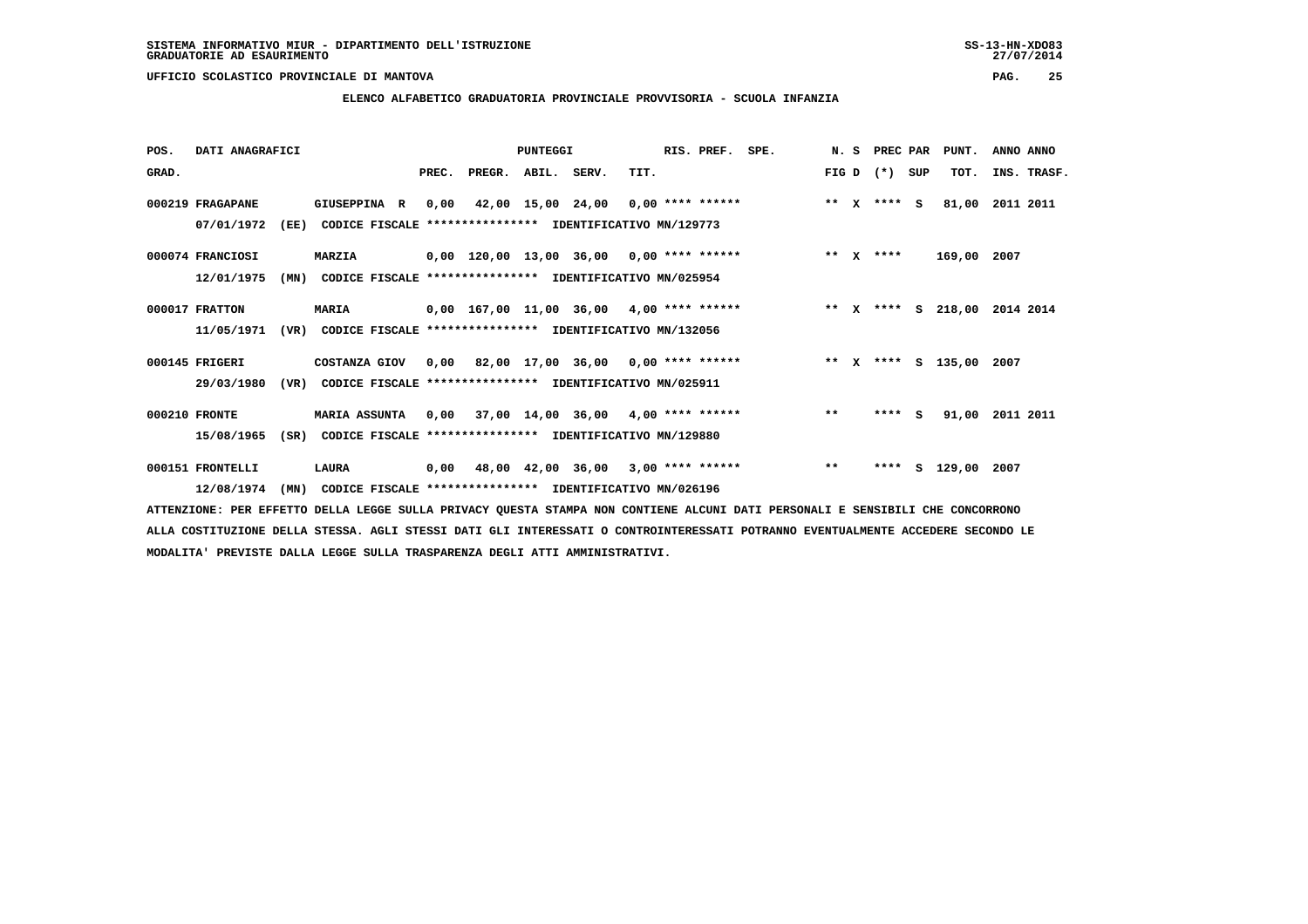# **ELENCO ALFABETICO GRADUATORIA PROVINCIALE PROVVISORIA - SCUOLA INFANZIA**

 **POS. DATI ANAGRAFICI PUNTEGGI RIS. PREF. SPE. N. S PREC PAR PUNT. ANNO ANNO**GRAD. **PREGRADE SERVEGER. ABIL. SERV. TIT.** FIG D (\*) SUP TOT. INS. TRASF.  **000219 FRAGAPANE GIUSEPPINA R 0,00 42,00 15,00 24,00 0,00 \*\*\*\* \*\*\*\*\*\* \*\* X \*\*\*\* S 81,00 2011 2011 07/01/1972 (EE) CODICE FISCALE \*\*\*\*\*\*\*\*\*\*\*\*\*\*\*\* IDENTIFICATIVO MN/129773 000074 FRANCIOSI MARZIA 0,00 120,00 13,00 36,00 0,00 \*\*\*\* \*\*\*\*\*\* \*\* X \*\*\*\* 169,00 2007 12/01/1975 (MN) CODICE FISCALE \*\*\*\*\*\*\*\*\*\*\*\*\*\*\*\* IDENTIFICATIVO MN/025954 000017 FRATTON MARIA 0,00 167,00 11,00 36,00 4,00 \*\*\*\* \*\*\*\*\*\* \*\* X \*\*\*\* S 218,00 2014 2014 11/05/1971 (VR) CODICE FISCALE \*\*\*\*\*\*\*\*\*\*\*\*\*\*\*\* IDENTIFICATIVO MN/132056**000145 FRIGERI COSTANZA GIOV 0,00 82,00 17,00 36,00 0,00 \*\*\*\* \*\*\*\*\*\* \*\*\*\* \*\*\*\* \$ 135,00 2007  **29/03/1980 (VR) CODICE FISCALE \*\*\*\*\*\*\*\*\*\*\*\*\*\*\*\* IDENTIFICATIVO MN/025911 000210 FRONTE MARIA ASSUNTA 0,00 37,00 14,00 36,00 4,00 \*\*\*\* \*\*\*\*\*\* \*\* \*\*\*\* S 91,00 2011 2011 15/08/1965 (SR) CODICE FISCALE \*\*\*\*\*\*\*\*\*\*\*\*\*\*\*\* IDENTIFICATIVO MN/129880 000151 FRONTELLI LAURA 0,00 48,00 42,00 36,00 3,00 \*\*\*\* \*\*\*\*\*\* \*\* \*\*\*\* S 129,00 2007 12/08/1974 (MN) CODICE FISCALE \*\*\*\*\*\*\*\*\*\*\*\*\*\*\*\* IDENTIFICATIVO MN/026196**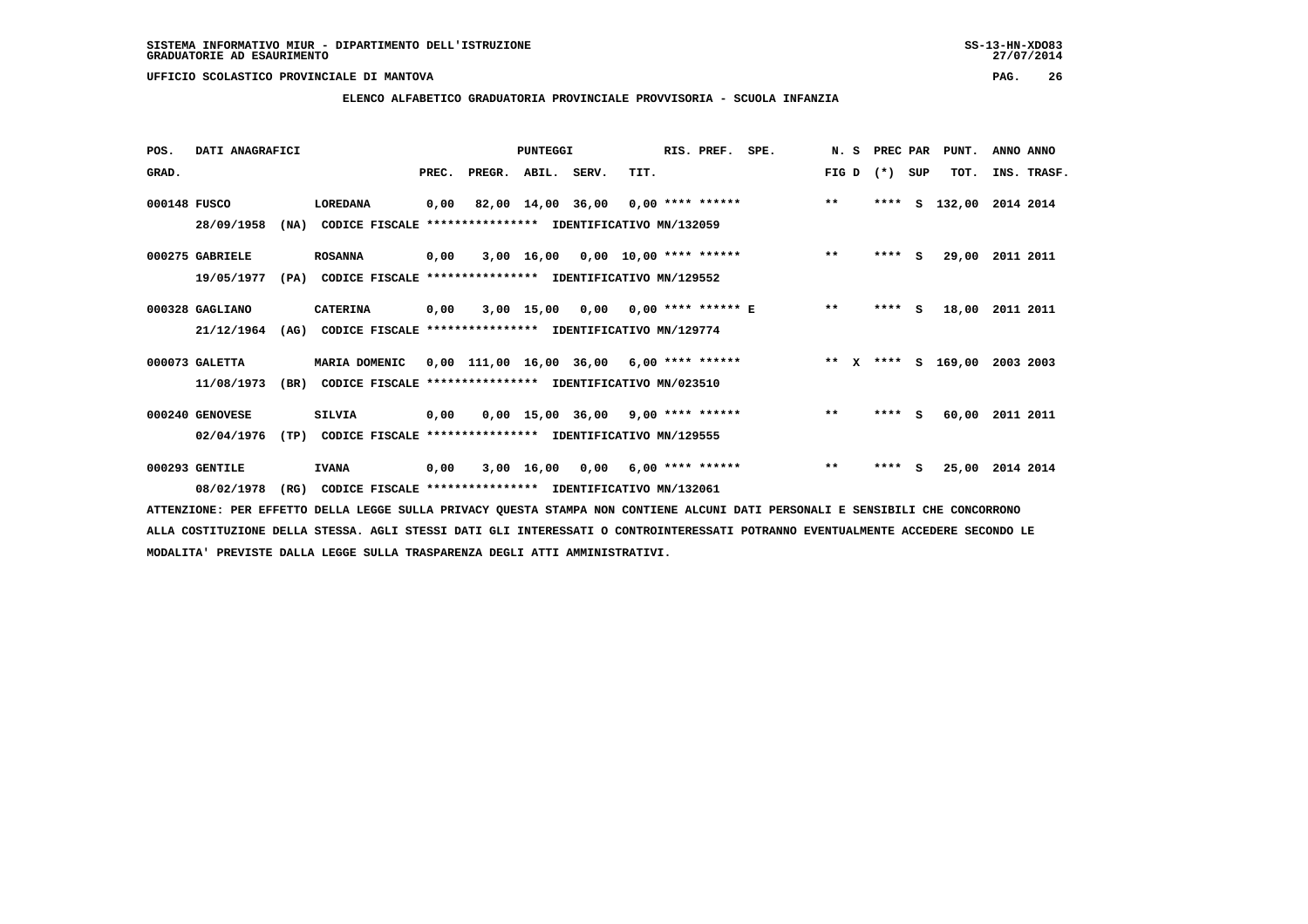### **ELENCO ALFABETICO GRADUATORIA PROVINCIALE PROVVISORIA - SCUOLA INFANZIA**

| POS.         | DATI ANAGRAFICI |      |                                                          |       |                                            | PUNTEGGI                            |      | RIS. PREF. | SPE.                               | N.S   |         | PREC PAR | PUNT.  | ANNO ANNO |             |
|--------------|-----------------|------|----------------------------------------------------------|-------|--------------------------------------------|-------------------------------------|------|------------|------------------------------------|-------|---------|----------|--------|-----------|-------------|
| GRAD.        |                 |      |                                                          | PREC. | PREGR. ABIL. SERV.                         |                                     | TIT. |            |                                    | FIG D | $(* )$  | SUP      | TOT.   |           | INS. TRASF. |
| 000148 FUSCO |                 |      | <b>LOREDANA</b>                                          | 0,00  |                                            | 82,00 14,00 36,00 0,00 **** ******  |      |            |                                    | $***$ | ****    | s        | 132,00 | 2014 2014 |             |
|              | 28/09/1958      | (NA) | CODICE FISCALE                                           |       | **************** IDENTIFICATIVO MN/132059  |                                     |      |            |                                    |       |         |          |        |           |             |
|              | 000275 GABRIELE |      | <b>ROSANNA</b>                                           | 0,00  |                                            | $3,00$ 16,00 0,00 10,00 **** ****** |      |            |                                    | $***$ | $***$ S |          | 29,00  | 2011 2011 |             |
|              | 19/05/1977      | (PA) | CODICE FISCALE **************** IDENTIFICATIVO MN/129552 |       |                                            |                                     |      |            |                                    |       |         |          |        |           |             |
|              | 000328 GAGLIANO |      | <b>CATERINA</b>                                          | 0,00  |                                            |                                     |      |            | 3,00 15,00 0,00 0,00 **** ****** E | $***$ | $***$ S |          | 18,00  | 2011 2011 |             |
|              | 21/12/1964      | (AG) | CODICE FISCALE **************** IDENTIFICATIVO MN/129774 |       |                                            |                                     |      |            |                                    |       |         |          |        |           |             |
|              | 000073 GALETTA  |      | MARIA DOMENIC                                            |       | $0,00$ 111,00 16,00 36,00 6,00 **** ****** |                                     |      |            | ** x **** s 169,00                 |       |         |          |        | 2003 2003 |             |
|              | 11/08/1973      | (BR) | CODICE FISCALE **************** IDENTIFICATIVO MN/023510 |       |                                            |                                     |      |            |                                    |       |         |          |        |           |             |
|              | 000240 GENOVESE |      | <b>SILVIA</b>                                            | 0,00  |                                            | $0.00$ 15.00 36.00 9.00 **** ****** |      |            |                                    | $***$ | $***5$  |          | 60,00  | 2011 2011 |             |
|              | 02/04/1976      | (TP) | CODICE FISCALE **************** IDENTIFICATIVO MN/129555 |       |                                            |                                     |      |            |                                    |       |         |          |        |           |             |
|              | 000293 GENTILE  |      | <b>IVANA</b>                                             | 0,00  |                                            | $3,00$ 16,00 0,00 6,00 **** ******  |      |            |                                    | $**$  | $***$ S |          | 25,00  | 2014 2014 |             |
|              | 08/02/1978      | (RG) | CODICE FISCALE **************** IDENTIFICATIVO MN/132061 |       |                                            |                                     |      |            |                                    |       |         |          |        |           |             |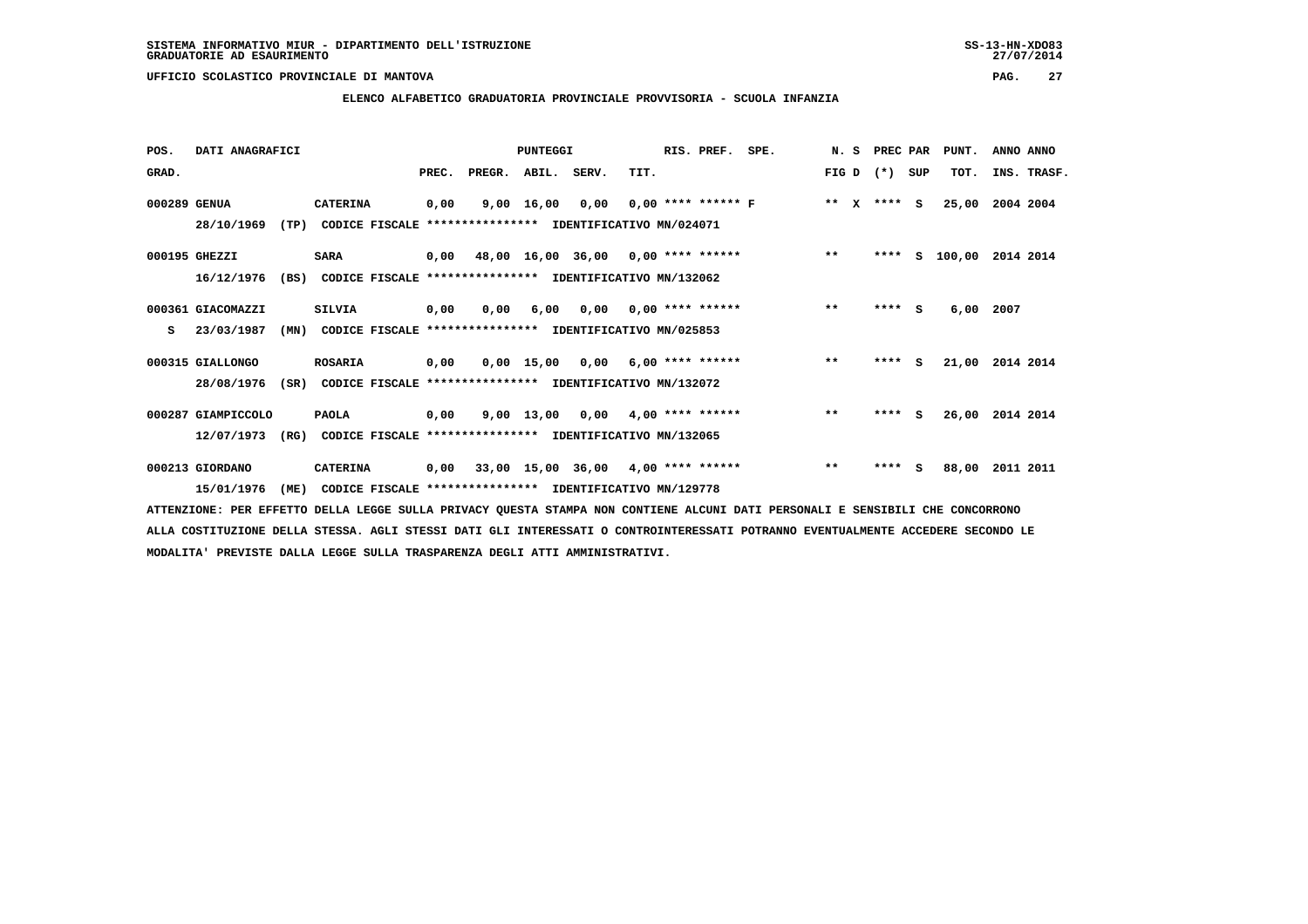# **ELENCO ALFABETICO GRADUATORIA PROVINCIALE PROVVISORIA - SCUOLA INFANZIA**

| POS.         | DATI ANAGRAFICI    |      |                                                          |       |                                           | PUNTEGGI           |                                      |      | RIS. PREF.           | SPE. | N.S    | PREC PAR |          | PUNT.    | ANNO ANNO   |
|--------------|--------------------|------|----------------------------------------------------------|-------|-------------------------------------------|--------------------|--------------------------------------|------|----------------------|------|--------|----------|----------|----------|-------------|
| GRAD.        |                    |      |                                                          | PREC. | PREGR.                                    | ABIL. SERV.        |                                      | TIT. |                      |      | FIG D  | $(*)$    | SUP      | TOT.     | INS. TRASF. |
| 000289 GENUA |                    |      | <b>CATERINA</b>                                          | 0,00  |                                           | $9,00 \quad 16,00$ | 0,00                                 |      | $0.00$ **** ****** F |      | ** $X$ | $***$ S  |          | 25,00    | 2004 2004   |
|              | 28/10/1969         | (TP) | CODICE FISCALE **************** IDENTIFICATIVO MN/024071 |       |                                           |                    |                                      |      |                      |      |        |          |          |          |             |
|              | 000195 GHEZZI      |      | <b>SARA</b>                                              |       | $0,00$ 48,00 16,00 36,00 0,00 **** ****** |                    |                                      |      |                      |      | $***$  | ****     |          | S 100,00 | 2014 2014   |
|              | 16/12/1976         | (BS) | CODICE FISCALE **************** IDENTIFICATIVO MN/132062 |       |                                           |                    |                                      |      |                      |      |        |          |          |          |             |
|              | 000361 GIACOMAZZI  |      | <b>SILVIA</b>                                            | 0,00  | 0,00                                      | 6,00               | 0,00                                 |      | $0.00$ **** ******   |      | $***$  | ****     | <b>S</b> | 6,00     | 2007        |
| s            | 23/03/1987         | (MN) | CODICE FISCALE **************** IDENTIFICATIVO MN/025853 |       |                                           |                    |                                      |      |                      |      |        |          |          |          |             |
|              | 000315 GIALLONGO   |      | <b>ROSARIA</b>                                           | 0,00  |                                           |                    | $0,00$ 15,00 0,00 6,00 **** ******   |      |                      |      | $**$   | $***$ S  |          | 21,00    | 2014 2014   |
|              | 28/08/1976         | (SR) | CODICE FISCALE **************** IDENTIFICATIVO MN/132072 |       |                                           |                    |                                      |      |                      |      |        |          |          |          |             |
|              | 000287 GIAMPICCOLO |      | <b>PAOLA</b>                                             | 0,00  |                                           | 9,00 13,00         | 0,00                                 |      | $4,00$ **** ******   |      | $***$  | ****     | - S      | 26,00    | 2014 2014   |
|              | 12/07/1973         | (RG) | CODICE FISCALE **************** IDENTIFICATIVO MN/132065 |       |                                           |                    |                                      |      |                      |      |        |          |          |          |             |
|              | 000213 GIORDANO    |      | <b>CATERINA</b>                                          | 0,00  |                                           |                    | $33,00$ 15,00 36,00 4,00 **** ****** |      |                      |      | $***$  | ****     | S.       | 88,00    | 2011 2011   |
|              | 15/01/1976         | (ME) | CODICE FISCALE **************** IDENTIFICATIVO MN/129778 |       |                                           |                    |                                      |      |                      |      |        |          |          |          |             |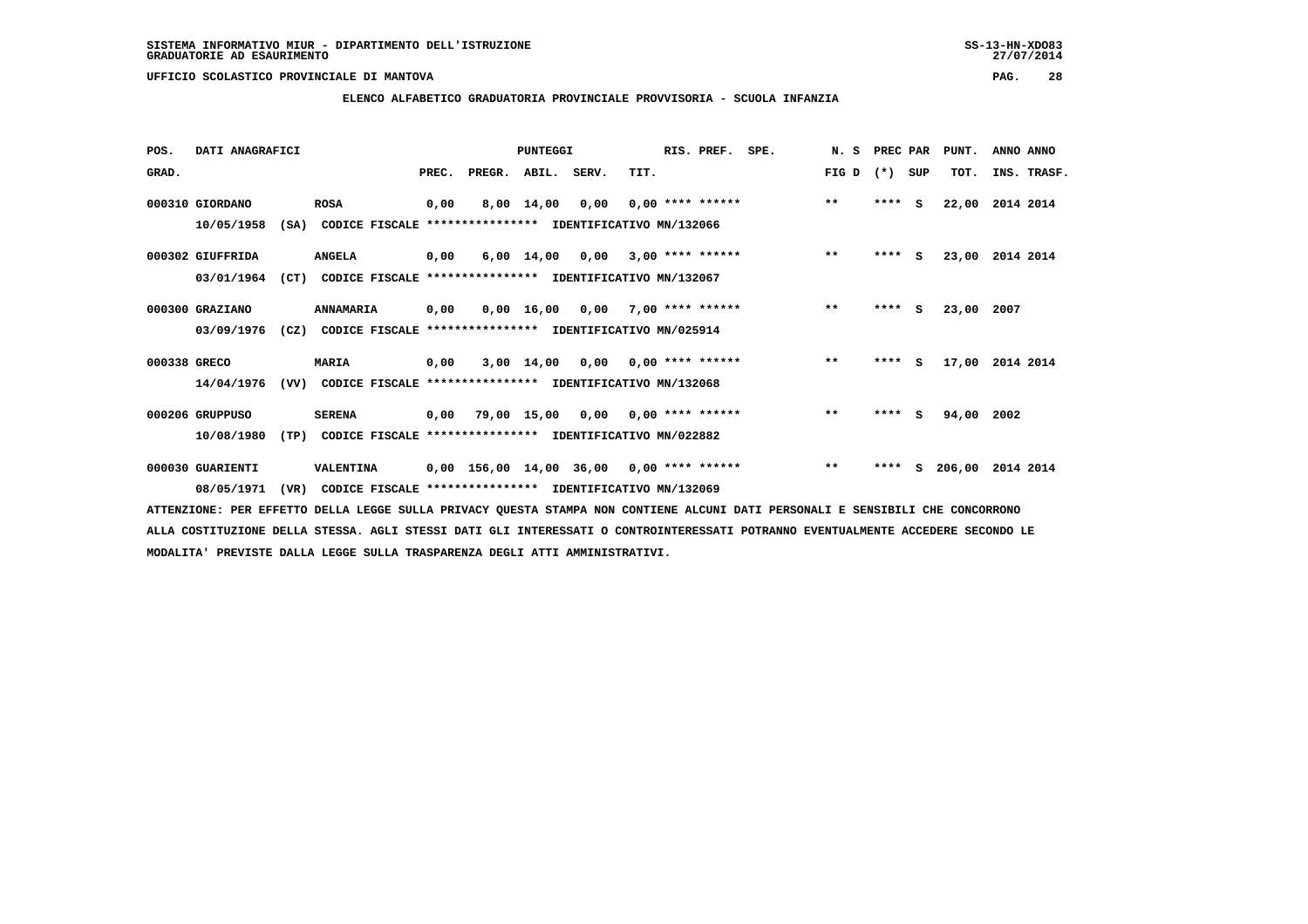# **ELENCO ALFABETICO GRADUATORIA PROVINCIALE PROVVISORIA - SCUOLA INFANZIA**

| POS.         | DATI ANAGRAFICI  |      |                                                          |       |                                            | PUNTEGGI    |                                    |      | RIS. PREF.         | SPE. | N.S   | PREC PAR |          | PUNT.  | ANNO ANNO   |
|--------------|------------------|------|----------------------------------------------------------|-------|--------------------------------------------|-------------|------------------------------------|------|--------------------|------|-------|----------|----------|--------|-------------|
| GRAD.        |                  |      |                                                          | PREC. | PREGR.                                     | ABIL. SERV. |                                    | TIT. |                    |      | FIG D | $(*)$    | SUP      | TOT.   | INS. TRASF. |
|              | 000310 GIORDANO  |      | <b>ROSA</b>                                              | 0,00  |                                            | 8,00 14,00  | 0,00                               |      | $0.00$ **** ****** |      | $***$ | ****     | <b>S</b> | 22,00  | 2014 2014   |
|              | 10/05/1958       | (SA) | CODICE FISCALE **************** IDENTIFICATIVO MN/132066 |       |                                            |             |                                    |      |                    |      |       |          |          |        |             |
|              | 000302 GIUFFRIDA |      | <b>ANGELA</b>                                            | 0,00  |                                            |             | 6,00 14,00 0,00                    |      | $3,00$ **** ****** |      | $***$ | $***$ S  |          | 23,00  | 2014 2014   |
|              | 03/01/1964       | (CT) | CODICE FISCALE **************** IDENTIFICATIVO MN/132067 |       |                                            |             |                                    |      |                    |      |       |          |          |        |             |
|              | 000300 GRAZIANO  |      | ANNAMARIA                                                | 0,00  |                                            | 0,00 16,00  | 0,00                               |      | $7,00$ **** ****** |      | $***$ | ****     | - S      | 23,00  | 2007        |
|              | 03/09/1976       | (CZ) | CODICE FISCALE **************** IDENTIFICATIVO MN/025914 |       |                                            |             |                                    |      |                    |      |       |          |          |        |             |
| 000338 GRECO |                  |      | <b>MARIA</b>                                             | 0,00  |                                            |             | $3,00$ 14,00 0,00 0,00 **** ****** |      |                    |      | $**$  | $***$ S  |          | 17,00  | 2014 2014   |
|              | 14/04/1976       | (VV) | CODICE FISCALE **************** IDENTIFICATIVO MN/132068 |       |                                            |             |                                    |      |                    |      |       |          |          |        |             |
|              | 000206 GRUPPUSO  |      | <b>SERENA</b>                                            | 0,00  | 79,00 15,00                                |             | 0,00                               |      | $0,00$ **** ****** |      | $***$ | ****     | - S      | 94,00  | 2002        |
|              | 10/08/1980       | (TP) | CODICE FISCALE **************** IDENTIFICATIVO MN/022882 |       |                                            |             |                                    |      |                    |      |       |          |          |        |             |
|              | 000030 GUARIENTI |      | VALENTINA                                                |       | $0,00$ 156,00 14,00 36,00 0,00 **** ****** |             |                                    |      |                    |      | $***$ | ****     | s        | 206,00 | 2014 2014   |
|              | 08/05/1971       | (VR) | CODICE FISCALE **************** IDENTIFICATIVO MN/132069 |       |                                            |             |                                    |      |                    |      |       |          |          |        |             |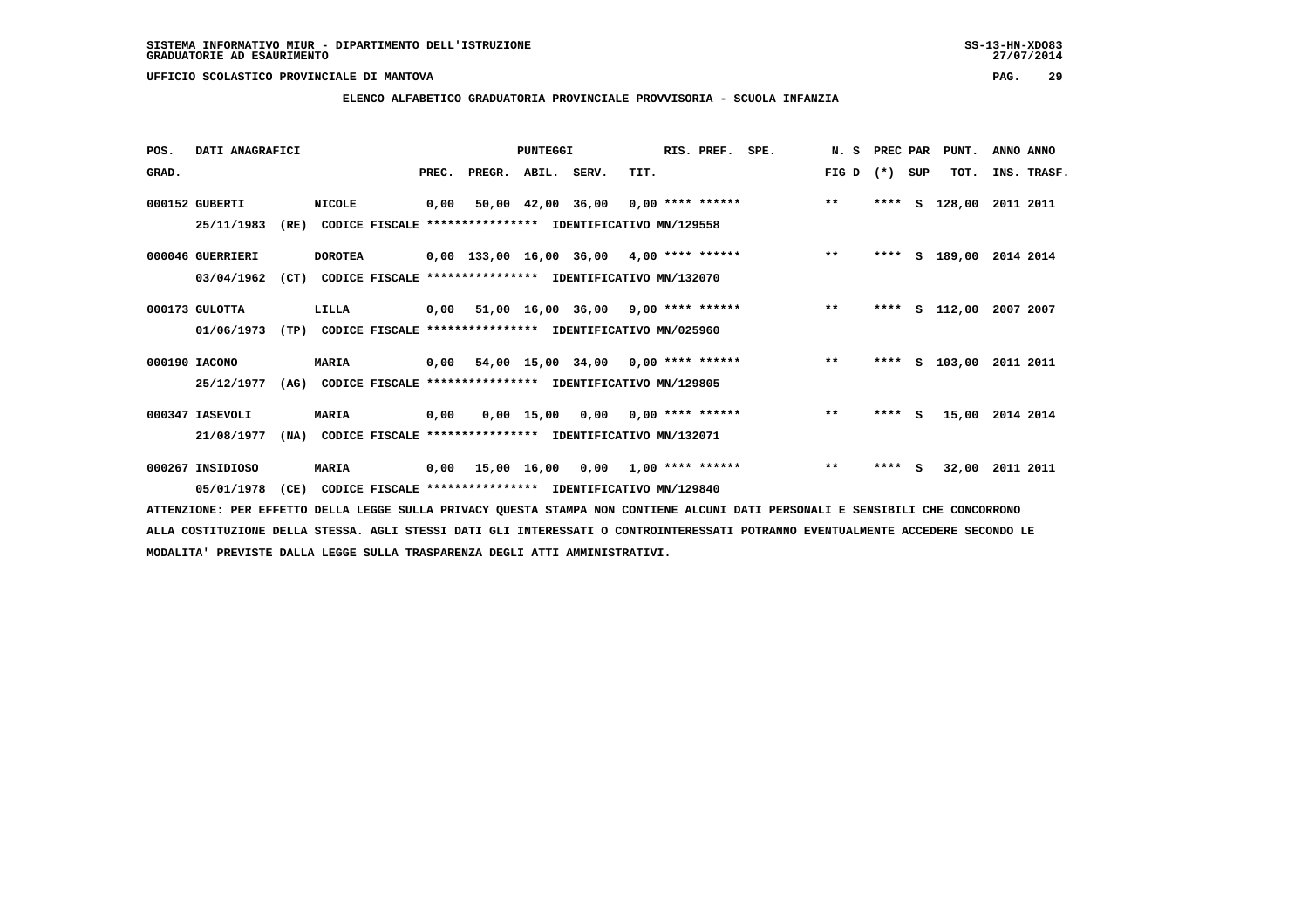**POS. DATI ANAGRAFICI PUNTEGGI RIS. PREF. SPE. N. S PREC PAR PUNT. ANNO ANNO**GRAD. **BRAD. PREC. PREGR. ABIL. SERV.** TIT. THE REGREATER FIG D (\*) SUP TOT. INS. TRASF.  **000152 GUBERTI NICOLE 0,00 50,00 42,00 36,00 0,00 \*\*\*\* \*\*\*\*\*\* \*\* \*\*\*\* S 128,00 2011 2011 25/11/1983 (RE) CODICE FISCALE \*\*\*\*\*\*\*\*\*\*\*\*\*\*\*\* IDENTIFICATIVO MN/129558 000046 GUERRIERI DOROTEA 0,00 133,00 16,00 36,00 4,00 \*\*\*\* \*\*\*\*\*\* \*\* \*\*\*\* S 189,00 2014 2014 03/04/1962 (CT) CODICE FISCALE \*\*\*\*\*\*\*\*\*\*\*\*\*\*\*\* IDENTIFICATIVO MN/132070 000173 GULOTTA LILLA 0,00 51,00 16,00 36,00 9,00 \*\*\*\* \*\*\*\*\*\* \*\* \*\*\*\* S 112,00 2007 2007 01/06/1973 (TP) CODICE FISCALE \*\*\*\*\*\*\*\*\*\*\*\*\*\*\*\* IDENTIFICATIVO MN/025960 000190 IACONO MARIA 0,00 54,00 15,00 34,00 0,00 \*\*\*\* \*\*\*\*\*\* \*\* \*\*\*\* S 103,00 2011 2011 25/12/1977 (AG) CODICE FISCALE \*\*\*\*\*\*\*\*\*\*\*\*\*\*\*\* IDENTIFICATIVO MN/129805 000347 IASEVOLI MARIA 0,00 0,00 15,00 0,00 0,00 \*\*\*\* \*\*\*\*\*\* \*\* \*\*\*\* S 15,00 2014 2014**

 **21/08/1977 (NA) CODICE FISCALE \*\*\*\*\*\*\*\*\*\*\*\*\*\*\*\* IDENTIFICATIVO MN/132071 000267 INSIDIOSO MARIA 0,00 15,00 16,00 0,00 1,00 \*\*\*\* \*\*\*\*\*\* \*\* \*\*\*\* S 32,00 2011 2011**

 **05/01/1978 (CE) CODICE FISCALE \*\*\*\*\*\*\*\*\*\*\*\*\*\*\*\* IDENTIFICATIVO MN/129840**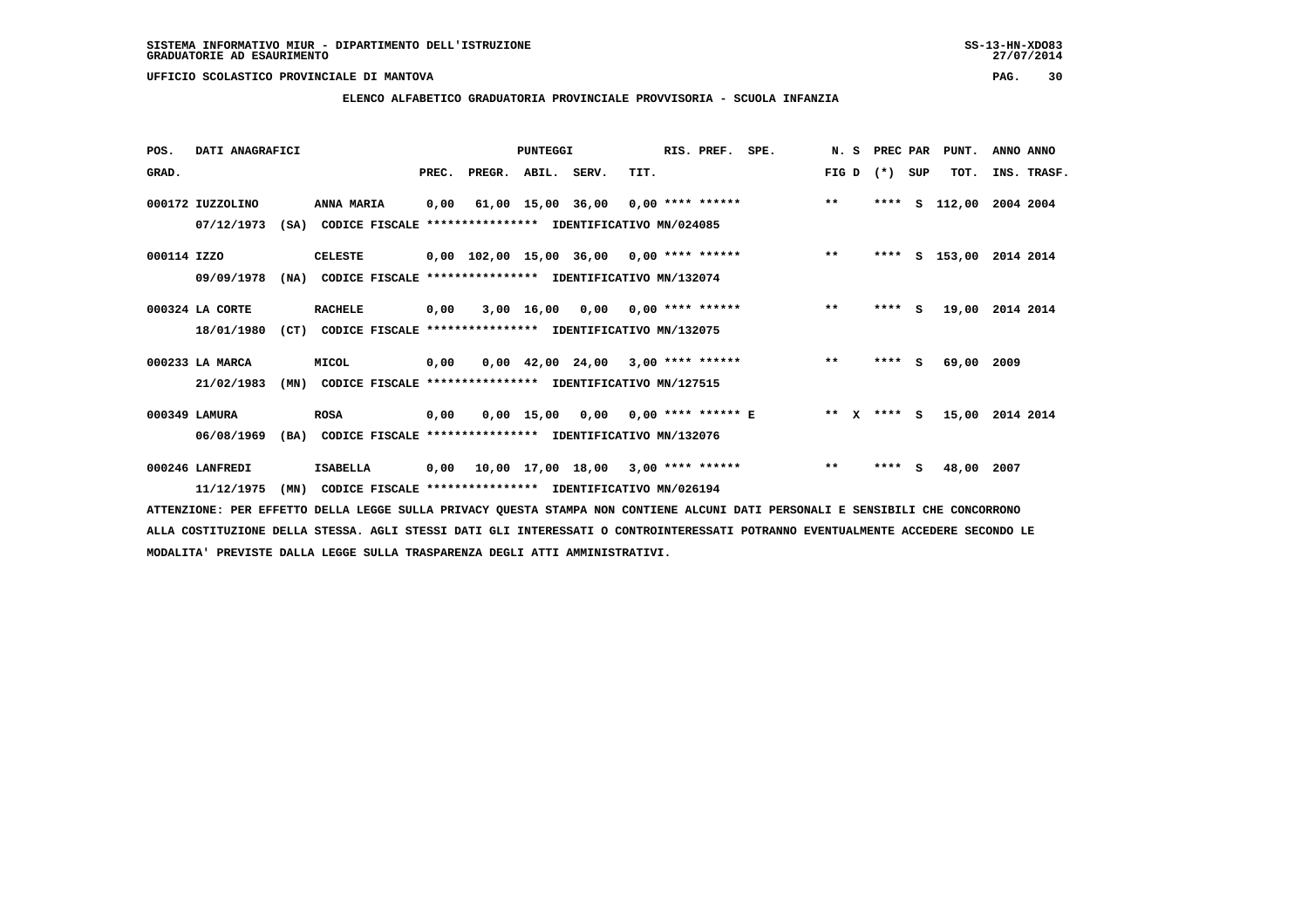### **ELENCO ALFABETICO GRADUATORIA PROVINCIALE PROVVISORIA - SCUOLA INFANZIA**

| POS.        | DATI ANAGRAFICI  |      |                                                          |       |                    | PUNTEGGI   |                                                               |      | RIS. PREF.                | SPE. | N.S     |       | PREC PAR | PUNT.      | ANNO ANNO   |
|-------------|------------------|------|----------------------------------------------------------|-------|--------------------|------------|---------------------------------------------------------------|------|---------------------------|------|---------|-------|----------|------------|-------------|
| GRAD.       |                  |      |                                                          | PREC. | PREGR. ABIL. SERV. |            |                                                               | TIT. |                           |      | FIG D   | $(*)$ | SUP      | TOT.       | INS. TRASF. |
|             | 000172 IUZZOLINO |      | ANNA MARIA                                               | 0,00  |                    |            | $61,00$ 15,00 36,00 0,00 **** ******                          |      |                           |      | $***$   | ****  | s        | 112,00     | 2004 2004   |
|             | 07/12/1973       | (SA) | CODICE FISCALE **************** IDENTIFICATIVO MN/024085 |       |                    |            |                                                               |      |                           |      |         |       |          |            |             |
| 000114 IZZO |                  |      | <b>CELESTE</b>                                           |       |                    |            | $0,00$ 102,00 15,00 36,00 0,00 **** ******                    |      |                           |      | $***$   | ****  |          | S 153,00   | 2014 2014   |
|             | 09/09/1978       | (NA) | CODICE FISCALE **************** IDENTIFICATIVO MN/132074 |       |                    |            |                                                               |      |                           |      |         |       |          |            |             |
|             | 000324 LA CORTE  |      | <b>RACHELE</b>                                           | 0,00  |                    | 3,00 16,00 |                                                               |      | $0,00$ $0,00$ **** ****** |      | $***$   | ****  | S.       | 19,00      | 2014 2014   |
|             | 18/01/1980       | (CT) | CODICE FISCALE **************** IDENTIFICATIVO MN/132075 |       |                    |            |                                                               |      |                           |      |         |       |          |            |             |
|             | 000233 LA MARCA  |      | MICOL                                                    | 0,00  |                    |            | $0.00 \quad 42.00 \quad 24.00 \quad 3.00 \quad *** \quad ***$ |      |                           |      | $***$   | ****  | S.       | 69,00 2009 |             |
|             | 21/02/1983       | (MN) | CODICE FISCALE                                           |       |                    |            | **************** IDENTIFICATIVO MN/127515                     |      |                           |      |         |       |          |            |             |
|             | 000349 LAMURA    |      | <b>ROSA</b>                                              | 0,00  |                    |            | $0,00$ 15,00 0,00 0,00 **** ****** E                          |      |                           |      | $***$ X |       | $***$ S  | 15,00      | 2014 2014   |
|             | 06/08/1969       | (BA) | CODICE FISCALE **************** IDENTIFICATIVO MN/132076 |       |                    |            |                                                               |      |                           |      |         |       |          |            |             |
|             | 000246 LANFREDI  |      | <b>ISABELLA</b>                                          | 0,00  |                    |            | $10,00$ $17,00$ $18,00$ $3,00$ **** ******                    |      |                           |      | $***$   | ****  | <b>S</b> | 48,00      | 2007        |
|             | 11/12/1975       | (MN) | CODICE FISCALE **************** IDENTIFICATIVO MN/026194 |       |                    |            |                                                               |      |                           |      |         |       |          |            |             |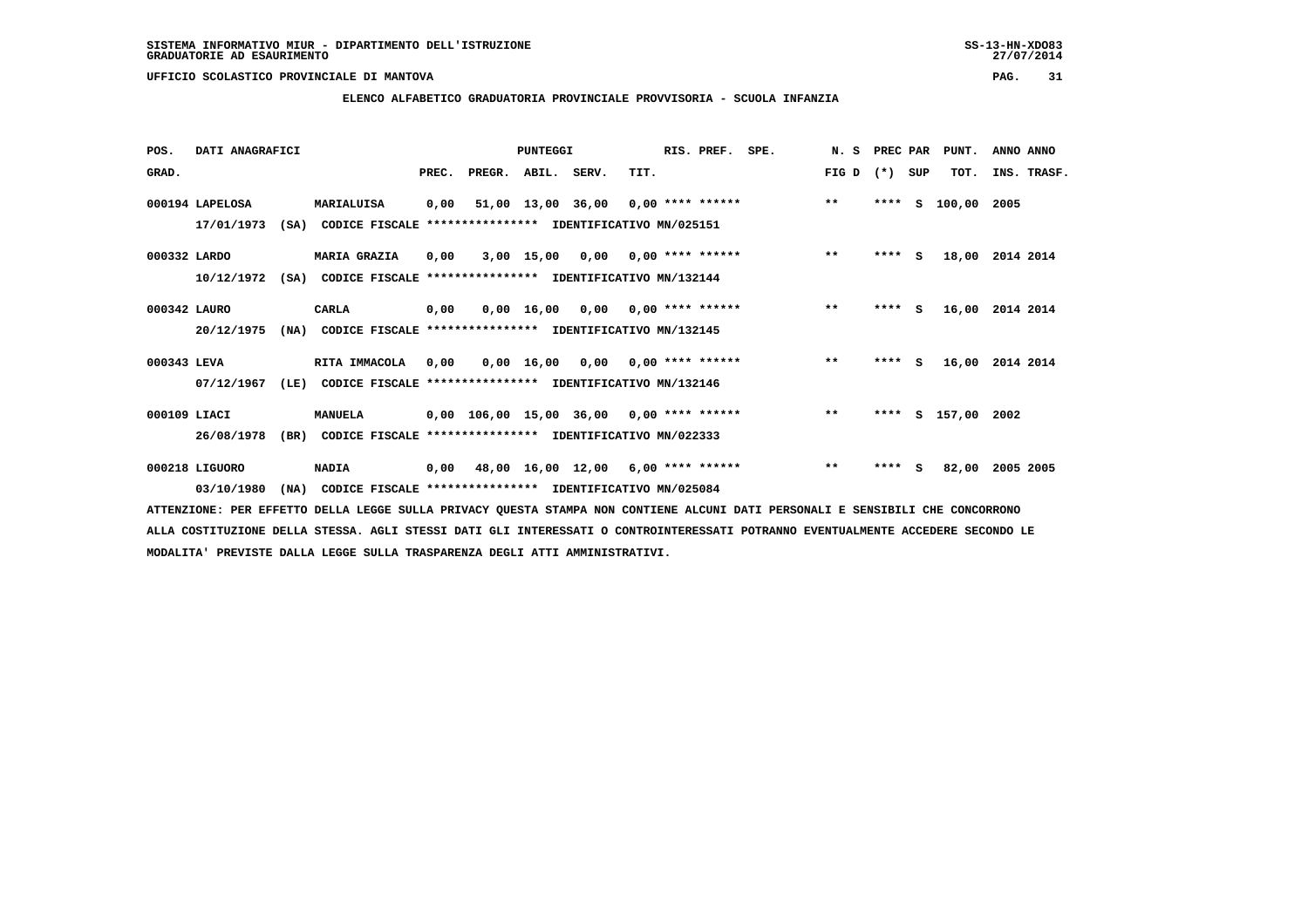### **ELENCO ALFABETICO GRADUATORIA PROVINCIALE PROVVISORIA - SCUOLA INFANZIA**

| POS.         | DATI ANAGRAFICI |      |                                                               |       |                                          | PUNTEGGI |                                    |      | RIS. PREF. | SPE.                                      | N.S   | PREC PAR |     | PUNT.         | ANNO ANNO   |
|--------------|-----------------|------|---------------------------------------------------------------|-------|------------------------------------------|----------|------------------------------------|------|------------|-------------------------------------------|-------|----------|-----|---------------|-------------|
| GRAD.        |                 |      |                                                               | PREC. | PREGR. ABIL. SERV.                       |          |                                    | TIT. |            |                                           | FIG D | $(*)$    | SUP | TOT.          | INS. TRASF. |
|              | 000194 LAPELOSA |      | MARIALUISA                                                    | 0,00  |                                          |          |                                    |      |            | 51,00 13,00 36,00 0,00 **** ****** *** ** |       | ****     | S.  | 100,00 2005   |             |
|              | 17/01/1973      |      | (SA) CODICE FISCALE **************** IDENTIFICATIVO MN/025151 |       |                                          |          |                                    |      |            |                                           |       |          |     |               |             |
| 000332 LARDO |                 |      | <b>MARIA GRAZIA</b>                                           | 0,00  |                                          |          |                                    |      |            | 3,00 15,00 0,00 0,00 **** ******          | $***$ | $***$ S  |     | 18,00         | 2014 2014   |
|              | 10/12/1972      | (SA) | CODICE FISCALE **************** IDENTIFICATIVO MN/132144      |       |                                          |          |                                    |      |            |                                           |       |          |     |               |             |
| 000342 LAURO |                 |      | CARLA                                                         | 0,00  |                                          |          | $0,00$ 16,00 0,00 0,00 **** ****** |      |            |                                           | $***$ | **** $S$ |     | 16,00         | 2014 2014   |
|              | 20/12/1975      |      | (NA) CODICE FISCALE **************** IDENTIFICATIVO MN/132145 |       |                                          |          |                                    |      |            |                                           |       |          |     |               |             |
| 000343 LEVA  |                 |      | RITA IMMACOLA                                                 | 0,00  |                                          |          |                                    |      |            | 0,00 16,00 0,00 0,00 **** ******          | $***$ | $***$ S  |     | 16,00         | 2014 2014   |
|              | 07/12/1967      | (LE) | CODICE FISCALE **************** IDENTIFICATIVO MN/132146      |       |                                          |          |                                    |      |            |                                           |       |          |     |               |             |
| 000109 LIACI |                 |      | <b>MANUELA</b>                                                |       | 0,00 106,00 15,00 36,00 0,00 **** ****** |          |                                    |      |            |                                           | $***$ | ****     |     | S 157,00 2002 |             |
|              | 26/08/1978      | (BR) | CODICE FISCALE **************** IDENTIFICATIVO MN/022333      |       |                                          |          |                                    |      |            |                                           |       |          |     |               |             |
|              | 000218 LIGUORO  |      | <b>NADIA</b>                                                  |       |                                          |          |                                    |      |            | 0,00 48,00 16,00 12,00 6,00 **** ******   | $***$ | ****     | S.  | 82,00         | 2005 2005   |
|              | 03/10/1980      | (NA) | CODICE FISCALE **************** IDENTIFICATIVO MN/025084      |       |                                          |          |                                    |      |            |                                           |       |          |     |               |             |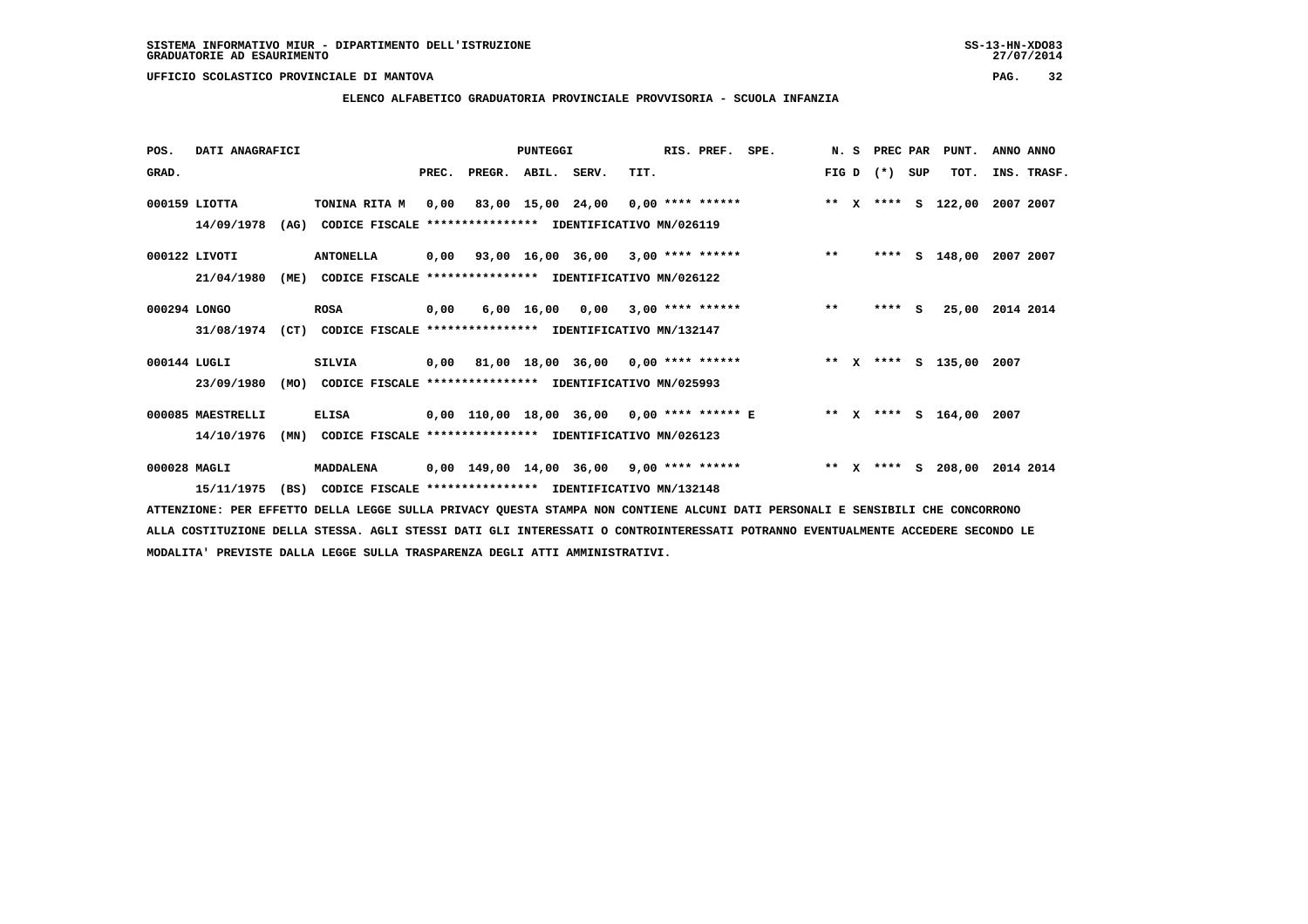**POS. DATI ANAGRAFICI PUNTEGGI RIS. PREF. SPE. N. S PREC PAR PUNT. ANNO ANNO**GRAD. **BRAD. PREC. PREGR. ABIL. SERV.** TIT. THE REGREATER FIG D (\*) SUP TOT. INS. TRASF.  **000159 LIOTTA TONINA RITA M 0,00 83,00 15,00 24,00 0,00 \*\*\*\* \*\*\*\*\*\* \*\* X \*\*\*\* S 122,00 2007 2007 14/09/1978 (AG) CODICE FISCALE \*\*\*\*\*\*\*\*\*\*\*\*\*\*\*\* IDENTIFICATIVO MN/026119 000122 LIVOTI ANTONELLA 0,00 93,00 16,00 36,00 3,00 \*\*\*\* \*\*\*\*\*\* \*\* \*\*\*\* S 148,00 2007 2007 21/04/1980 (ME) CODICE FISCALE \*\*\*\*\*\*\*\*\*\*\*\*\*\*\*\* IDENTIFICATIVO MN/026122 000294 LONGO ROSA 0,00 6,00 16,00 0,00 3,00 \*\*\*\* \*\*\*\*\*\* \*\* \*\*\*\* S 25,00 2014 2014 31/08/1974 (CT) CODICE FISCALE \*\*\*\*\*\*\*\*\*\*\*\*\*\*\*\* IDENTIFICATIVO MN/132147 000144 LUGLI SILVIA 0,00 81,00 18,00 36,00 0,00 \*\*\*\* \*\*\*\*\*\* \*\* X \*\*\*\* S 135,00 2007 23/09/1980 (MO) CODICE FISCALE \*\*\*\*\*\*\*\*\*\*\*\*\*\*\*\* IDENTIFICATIVO MN/025993 000085 MAESTRELLI ELISA 0,00 110,00 18,00 36,00 0,00 \*\*\*\* \*\*\*\*\*\* E \*\* X \*\*\*\* S 164,00 2007 14/10/1976 (MN) CODICE FISCALE \*\*\*\*\*\*\*\*\*\*\*\*\*\*\*\* IDENTIFICATIVO MN/026123 000028 MAGLI MADDALENA 0,00 149,00 14,00 36,00 9,00 \*\*\*\* \*\*\*\*\*\* \*\* X \*\*\*\* S 208,00 2014 2014 15/11/1975 (BS) CODICE FISCALE \*\*\*\*\*\*\*\*\*\*\*\*\*\*\*\* IDENTIFICATIVO MN/132148**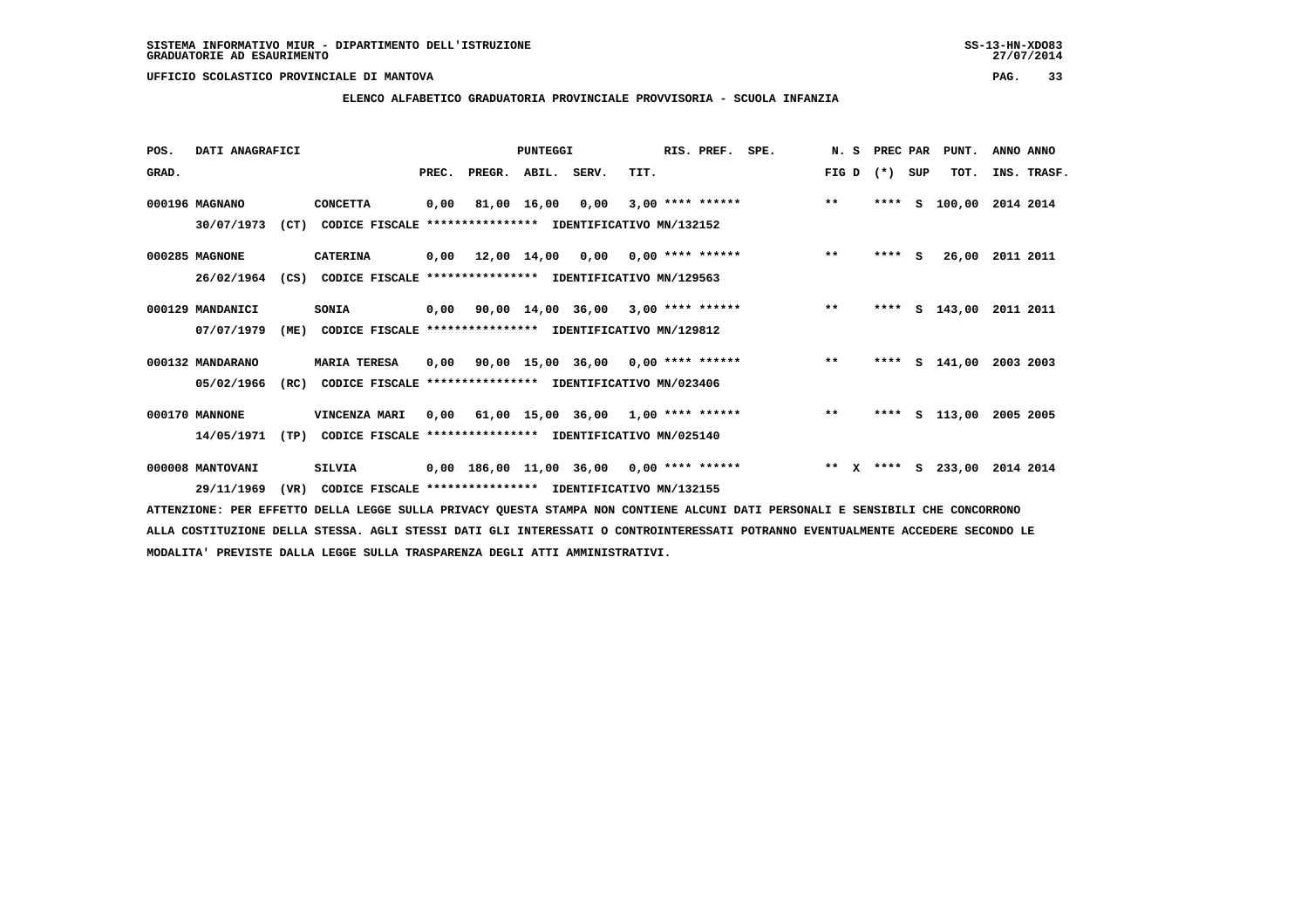### **ELENCO ALFABETICO GRADUATORIA PROVINCIALE PROVVISORIA - SCUOLA INFANZIA**

| POS.  | DATI ANAGRAFICI  |      |                                                          |       |        | PUNTEGGI    |                                            |      | RIS. PREF.         | SPE. | N.S    |         | PREC PAR | PUNT.         | ANNO ANNO   |
|-------|------------------|------|----------------------------------------------------------|-------|--------|-------------|--------------------------------------------|------|--------------------|------|--------|---------|----------|---------------|-------------|
| GRAD. |                  |      |                                                          | PREC. | PREGR. | ABIL. SERV. |                                            | TIT. |                    |      | FIG D  | $(*)$   | SUP      | TOT.          | INS. TRASF. |
|       | 000196 MAGNANO   |      | <b>CONCETTA</b>                                          | 0,00  |        | 81,00 16,00 | 0,00                                       |      | $3,00$ **** ****** |      | $***$  | ****    | s        | 100,00        | 2014 2014   |
|       | 30/07/1973       | (CT) | CODICE FISCALE **************** IDENTIFICATIVO MN/132152 |       |        |             |                                            |      |                    |      |        |         |          |               |             |
|       | 000285 MAGNONE   |      | <b>CATERINA</b>                                          |       |        |             | $0,00$ 12,00 14,00 0,00 0,00 **** ******   |      |                    |      | $***$  | $***$ S |          | 26,00         | 2011 2011   |
|       | 26/02/1964       | (CS) | CODICE FISCALE **************** IDENTIFICATIVO MN/129563 |       |        |             |                                            |      |                    |      |        |         |          |               |             |
|       | 000129 MANDANICI |      | SONIA                                                    | 0,00  |        |             | 90,00 14,00 36,00                          |      | $3,00$ **** ****** |      | $***$  | ****    | s        | 143,00        | 2011 2011   |
|       | 07/07/1979       | (ME) | CODICE FISCALE **************** IDENTIFICATIVO MN/129812 |       |        |             |                                            |      |                    |      |        |         |          |               |             |
|       | 000132 MANDARANO |      | <b>MARIA TERESA</b>                                      | 0,00  |        |             | 90,00 15,00 36,00 0,00 **** ******         |      |                    |      | $**$   | ****    | s        | 141,00        | 2003 2003   |
|       | 05/02/1966       | (RC) | CODICE FISCALE                                           |       |        |             | **************** IDENTIFICATIVO MN/023406  |      |                    |      |        |         |          |               |             |
|       | 000170 MANNONE   |      | VINCENZA MARI                                            | 0,00  |        |             | 61,00 15,00 36,00 1,00 **** ******         |      |                    |      | $***$  | ****    | s        | 113,00        | 2005 2005   |
|       | 14/05/1971       | (TP) | CODICE FISCALE **************** IDENTIFICATIVO MN/025140 |       |        |             |                                            |      |                    |      |        |         |          |               |             |
|       | 000008 MANTOVANI |      | <b>SILVIA</b>                                            |       |        |             | $0,00$ 186,00 11,00 36,00 0,00 **** ****** |      |                    |      | ** $X$ |         |          | **** S 233,00 | 2014 2014   |
|       | 29/11/1969       | (VR) | CODICE FISCALE **************** IDENTIFICATIVO MN/132155 |       |        |             |                                            |      |                    |      |        |         |          |               |             |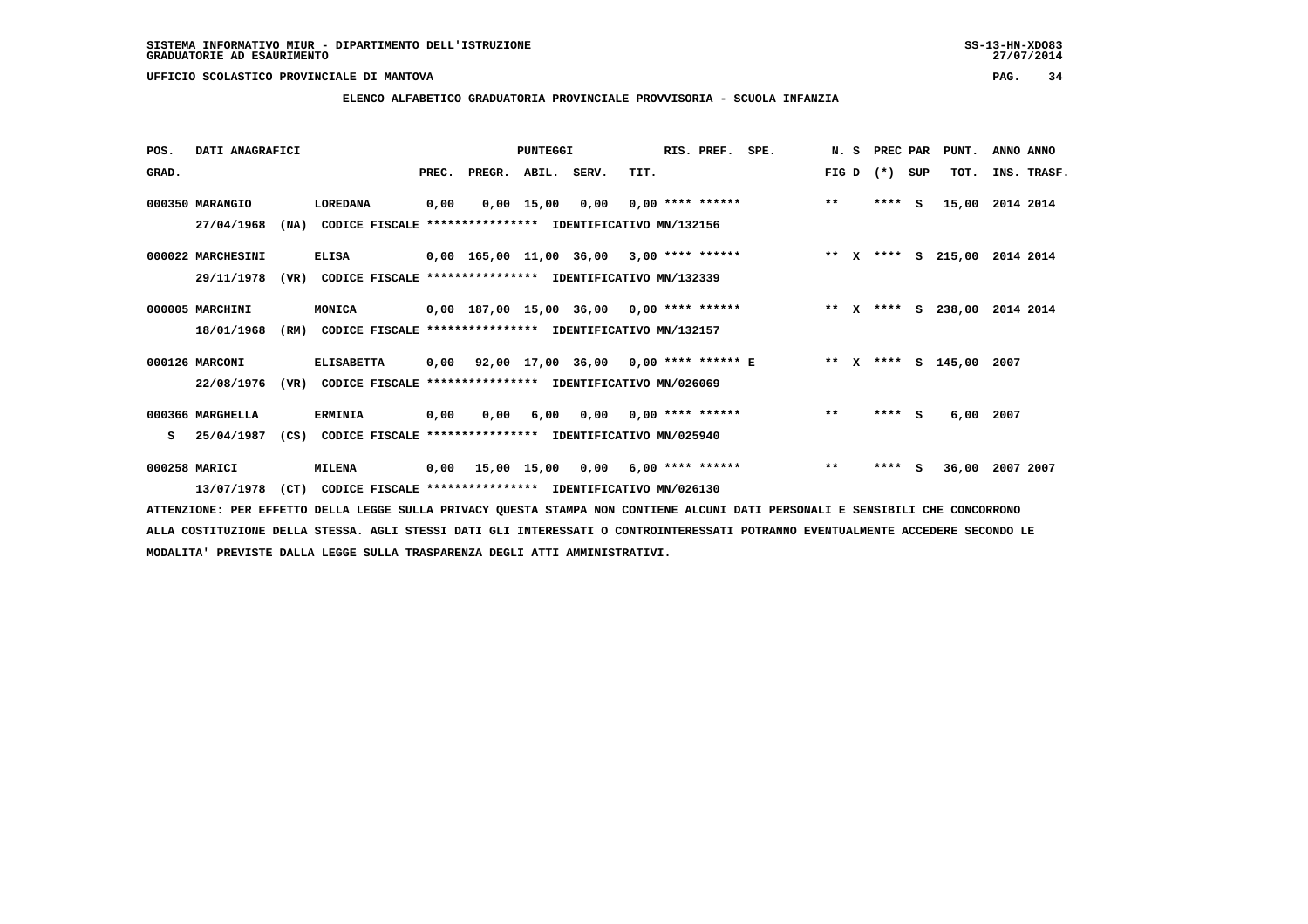### **ELENCO ALFABETICO GRADUATORIA PROVINCIALE PROVVISORIA - SCUOLA INFANZIA**

| POS.  | DATI ANAGRAFICI   |      |                                                          |       |        | PUNTEGGI    |                                            |      | RIS. PREF.         | SPE. | N.S   |              | PREC PAR |     | PUNT.              | ANNO ANNO   |
|-------|-------------------|------|----------------------------------------------------------|-------|--------|-------------|--------------------------------------------|------|--------------------|------|-------|--------------|----------|-----|--------------------|-------------|
| GRAD. |                   |      |                                                          | PREC. | PREGR. | ABIL. SERV. |                                            | TIT. |                    |      | FIG D |              | $(*)$    | SUP | TOT.               | INS. TRASF. |
|       | 000350 MARANGIO   |      | <b>LOREDANA</b>                                          | 0,00  | 0,00   | 15,00       | 0,00                                       |      | $0,00$ **** ****** |      | $***$ |              | ****     | - S | 15,00              | 2014 2014   |
|       | 27/04/1968        | (NA) | CODICE FISCALE **************** IDENTIFICATIVO MN/132156 |       |        |             |                                            |      |                    |      |       |              |          |     |                    |             |
|       | 000022 MARCHESINI |      | <b>ELISA</b>                                             |       |        |             | $0,00$ 165,00 11,00 36,00 3,00 **** ****** |      |                    |      |       |              |          |     | ** X **** S 215,00 | 2014 2014   |
|       | 29/11/1978        | (VR) | CODICE FISCALE **************** IDENTIFICATIVO MN/132339 |       |        |             |                                            |      |                    |      |       |              |          |     |                    |             |
|       | 000005 MARCHINI   |      | MONICA                                                   |       |        |             | $0,00$ 187,00 15,00 36,00 0,00 **** ****** |      |                    |      | $**$  | $\mathbf{x}$ | $***$ S  |     | 238,00             | 2014 2014   |
|       | 18/01/1968        | (RM) | CODICE FISCALE **************** IDENTIFICATIVO MN/132157 |       |        |             |                                            |      |                    |      |       |              |          |     |                    |             |
|       | 000126 MARCONI    |      | <b>ELISABETTA</b>                                        | 0,00  |        |             | 92,00 17,00 36,00 0,00 **** ****** E       |      |                    |      |       |              |          |     | ** x **** s 145,00 | 2007        |
|       | 22/08/1976        | (VR) | CODICE FISCALE                                           |       |        |             | **************** IDENTIFICATIVO MN/026069  |      |                    |      |       |              |          |     |                    |             |
|       | 000366 MARGHELLA  |      | <b>ERMINIA</b>                                           | 0,00  | 0,00   | 6,00        | 0,00                                       |      | $0.00$ **** ****** |      | $* *$ |              | ****     | - S | 6,00               | 2007        |
| s     | 25/04/1987        | (CS) | CODICE FISCALE **************** IDENTIFICATIVO MN/025940 |       |        |             |                                            |      |                    |      |       |              |          |     |                    |             |
|       | 000258 MARICI     |      | <b>MILENA</b>                                            | 0,00  |        |             | 15,00 15,00 0,00                           |      | 6,00 **** ******   |      | $***$ |              | ****     | s   | 36,00              | 2007 2007   |
|       | 13/07/1978        | (CT) | CODICE FISCALE **************** IDENTIFICATIVO MN/026130 |       |        |             |                                            |      |                    |      |       |              |          |     |                    |             |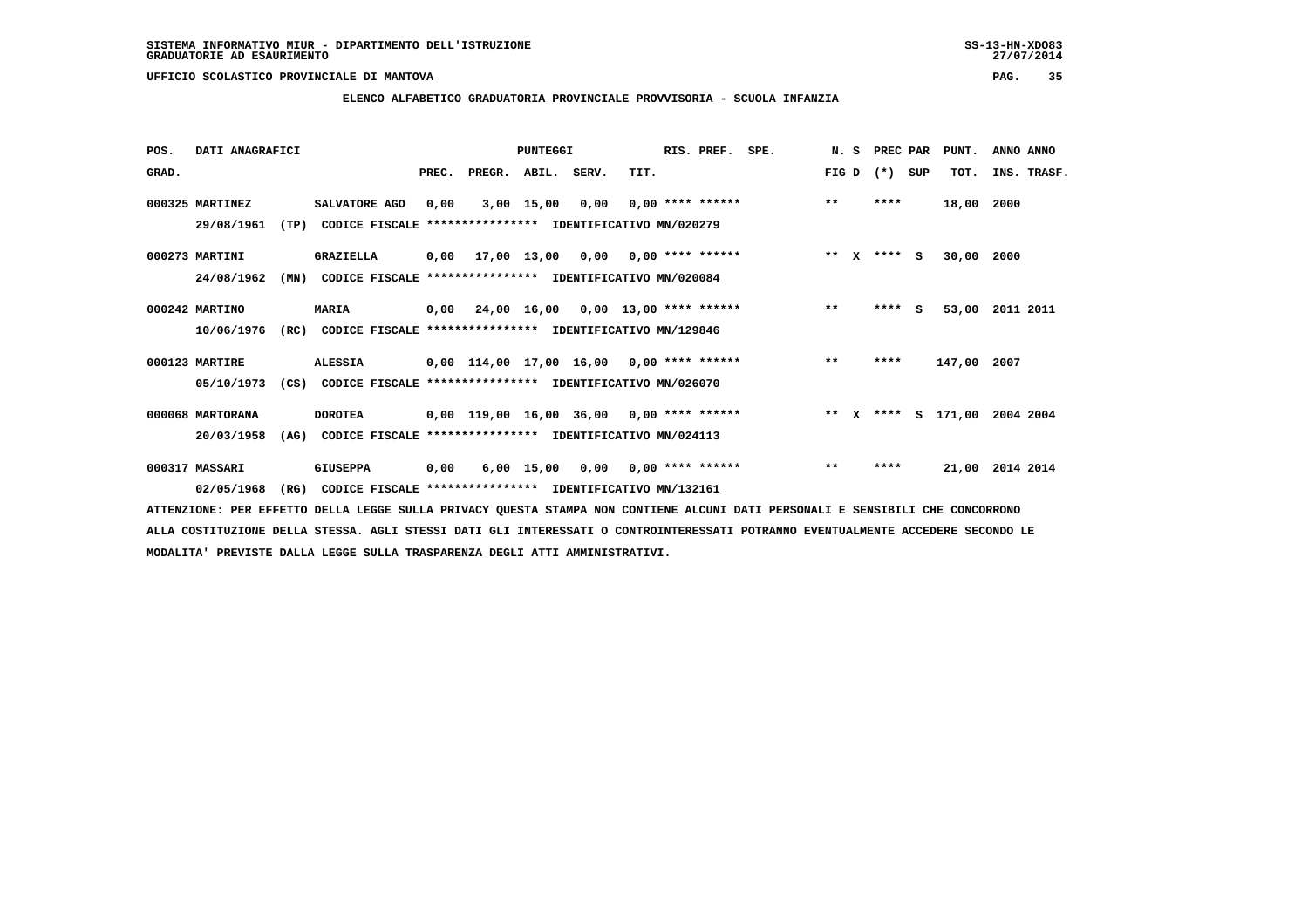# **ELENCO ALFABETICO GRADUATORIA PROVINCIALE PROVVISORIA - SCUOLA INFANZIA**

| POS.  | DATI ANAGRAFICI  |      |                                                          |       |                                            | <b>PUNTEGGI</b> |                                      |      | RIS. PREF.         | SPE. | N.S   |              | PREC PAR      |     | PUNT.       | ANNO ANNO |             |
|-------|------------------|------|----------------------------------------------------------|-------|--------------------------------------------|-----------------|--------------------------------------|------|--------------------|------|-------|--------------|---------------|-----|-------------|-----------|-------------|
| GRAD. |                  |      |                                                          | PREC. | PREGR.                                     | ABIL.           | SERV.                                | TIT. |                    |      | FIG D |              | $(*)$         | SUP | TOT.        |           | INS. TRASF. |
|       | 000325 MARTINEZ  |      | SALVATORE AGO                                            | 0.00  |                                            | 3,00 15,00      | 0,00                                 |      | $0.00$ **** ****** |      | $***$ |              | ****          |     | 18,00       | 2000      |             |
|       | 29/08/1961       | (TP) | CODICE FISCALE **************** IDENTIFICATIVO MN/020279 |       |                                            |                 |                                      |      |                    |      |       |              |               |     |             |           |             |
|       | 000273 MARTINI   |      | <b>GRAZIELLA</b>                                         |       | $0,00$ 17,00 13,00 0,00 0,00 **** ******   |                 |                                      |      |                    |      |       |              | ** $X$ **** S |     | 30,00       | 2000      |             |
|       | 24/08/1962       | (MN) | CODICE FISCALE **************** IDENTIFICATIVO MN/020084 |       |                                            |                 |                                      |      |                    |      |       |              |               |     |             |           |             |
|       | 000242 MARTINO   |      | <b>MARIA</b>                                             | 0,00  |                                            |                 | $24,00$ 16,00 0,00 13,00 **** ****** |      |                    |      | $***$ |              | $***$ S       |     | 53,00       | 2011 2011 |             |
|       | 10/06/1976       | (RC) | CODICE FISCALE **************** IDENTIFICATIVO MN/129846 |       |                                            |                 |                                      |      |                    |      |       |              |               |     |             |           |             |
|       | 000123 MARTIRE   |      | <b>ALESSIA</b>                                           |       | $0,00$ 114,00 17,00 16,00 0,00 **** ****** |                 |                                      |      |                    |      | $***$ |              | ****          |     | 147,00 2007 |           |             |
|       | 05/10/1973       | (CS) | CODICE FISCALE **************** IDENTIFICATIVO MN/026070 |       |                                            |                 |                                      |      |                    |      |       |              |               |     |             |           |             |
|       | 000068 MARTORANA |      | <b>DOROTEA</b>                                           |       | $0,00$ 119,00 16,00 36,00 0,00 **** ****** |                 |                                      |      |                    |      | $* *$ | $\mathbf{x}$ | ****          | S.  | 171,00      | 2004 2004 |             |
|       | 20/03/1958       | (AG) | CODICE FISCALE **************** IDENTIFICATIVO MN/024113 |       |                                            |                 |                                      |      |                    |      |       |              |               |     |             |           |             |
|       | 000317 MASSARI   |      | <b>GIUSEPPA</b>                                          | 0,00  |                                            |                 | $6,00$ 15,00 0,00 0,00 **** ******   |      |                    |      | $***$ |              | ****          |     | 21,00       | 2014 2014 |             |
|       | 02/05/1968       | (RG) | CODICE FISCALE **************** IDENTIFICATIVO MN/132161 |       |                                            |                 |                                      |      |                    |      |       |              |               |     |             |           |             |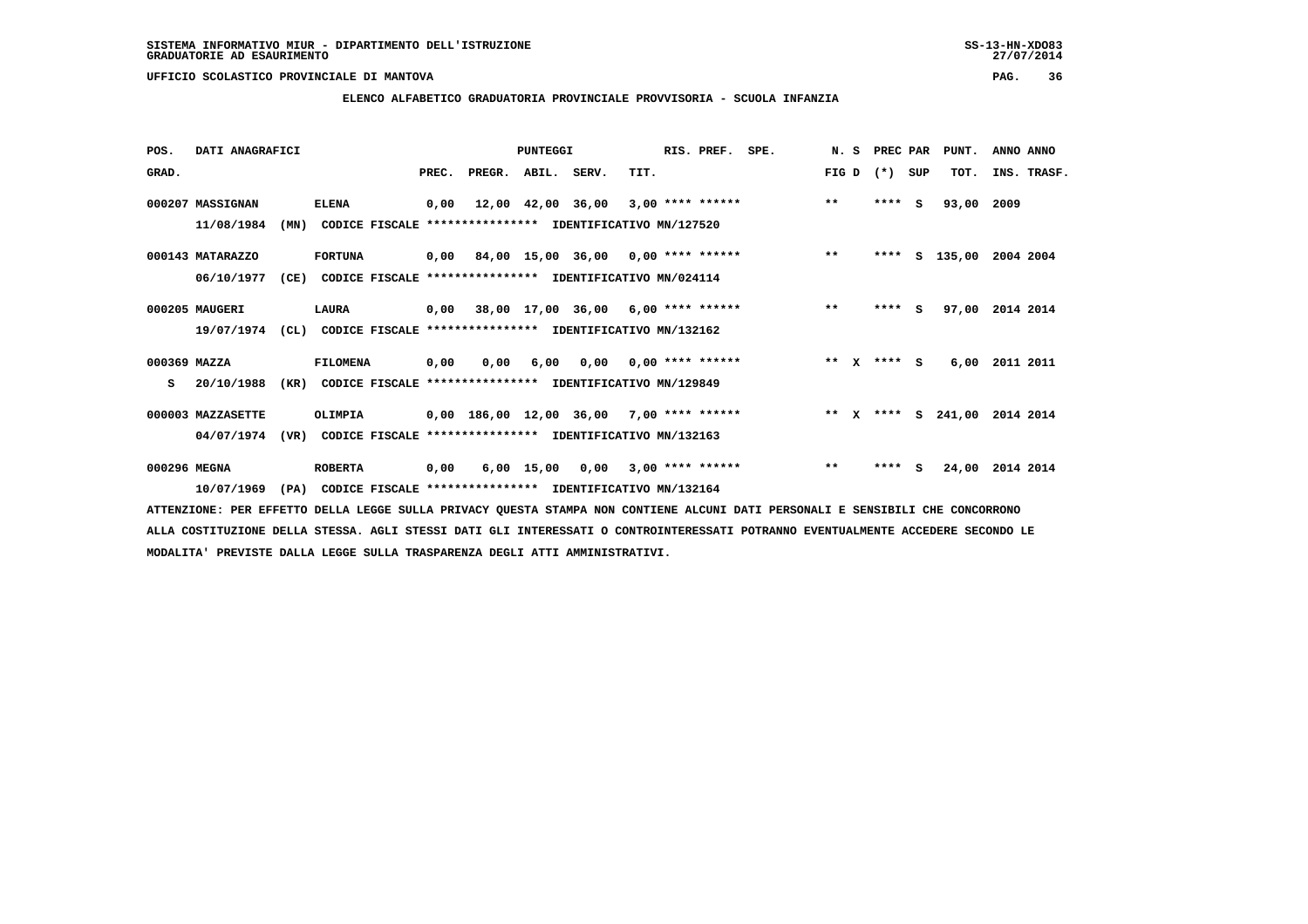# **ELENCO ALFABETICO GRADUATORIA PROVINCIALE PROVVISORIA - SCUOLA INFANZIA**

| POS.         | DATI ANAGRAFICI   |      |                                                               |       |        | PUNTEGGI    |                                           |      | RIS. PREF.         | SPE. | N.S    | PREC PAR      |          | PUNT.    | ANNO ANNO |             |
|--------------|-------------------|------|---------------------------------------------------------------|-------|--------|-------------|-------------------------------------------|------|--------------------|------|--------|---------------|----------|----------|-----------|-------------|
| GRAD.        |                   |      |                                                               | PREC. | PREGR. | ABIL. SERV. |                                           | TIT. |                    |      | FIG D  | $(*)$         | SUP      | TOT.     |           | INS. TRASF. |
|              | 000207 MASSIGNAN  |      | <b>ELENA</b>                                                  | 0,00  |        |             | 12,00 42,00 36,00                         |      | $3,00$ **** ****** |      | $***$  | ****          | <b>S</b> | 93,00    | 2009      |             |
|              | 11/08/1984        | (MN) | CODICE FISCALE **************** IDENTIFICATIVO MN/127520      |       |        |             |                                           |      |                    |      |        |               |          |          |           |             |
|              | 000143 MATARAZZO  |      | <b>FORTUNA</b>                                                |       |        |             | $0,00$ 84,00 15,00 36,00 0,00 **** ****** |      |                    |      | $***$  | ****          |          | S 135,00 | 2004 2004 |             |
|              | 06/10/1977        | (CE) | CODICE FISCALE **************** IDENTIFICATIVO MN/024114      |       |        |             |                                           |      |                    |      |        |               |          |          |           |             |
|              | 000205 MAUGERI    |      | LAURA                                                         | 0,00  |        |             | 38,00 17,00 36,00 6,00 **** ******        |      |                    |      | $***$  | ****          | <b>S</b> | 97,00    | 2014 2014 |             |
|              | 19/07/1974        |      | (CL) CODICE FISCALE **************** IDENTIFICATIVO MN/132162 |       |        |             |                                           |      |                    |      |        |               |          |          |           |             |
| 000369 MAZZA |                   |      | <b>FILOMENA</b>                                               | 0,00  | 0.00   | 6,00        | $0.00$ $0.00$ $***$ **** *****            |      |                    |      |        | ** $X$ **** S |          | 6,00     | 2011 2011 |             |
| s            | 20/10/1988        | (KR) | CODICE FISCALE **************** IDENTIFICATIVO MN/129849      |       |        |             |                                           |      |                    |      |        |               |          |          |           |             |
|              | 000003 MAZZASETTE |      | OLIMPIA                                                       |       |        |             | 0,00 186,00 12,00 36,00 7,00 **** ******  |      |                    |      | ** $X$ | $***$ S       |          | 241,00   | 2014 2014 |             |
|              | 04/07/1974        | (VR) | CODICE FISCALE **************** IDENTIFICATIVO MN/132163      |       |        |             |                                           |      |                    |      |        |               |          |          |           |             |
| 000296 MEGNA |                   |      | <b>ROBERTA</b>                                                | 0,00  |        |             | $6,00$ 15,00 0,00 3,00 **** ******        |      |                    |      | $***$  | ****          | s        | 24,00    | 2014 2014 |             |
|              | 10/07/1969        | (PA) | CODICE FISCALE **************** IDENTIFICATIVO MN/132164      |       |        |             |                                           |      |                    |      |        |               |          |          |           |             |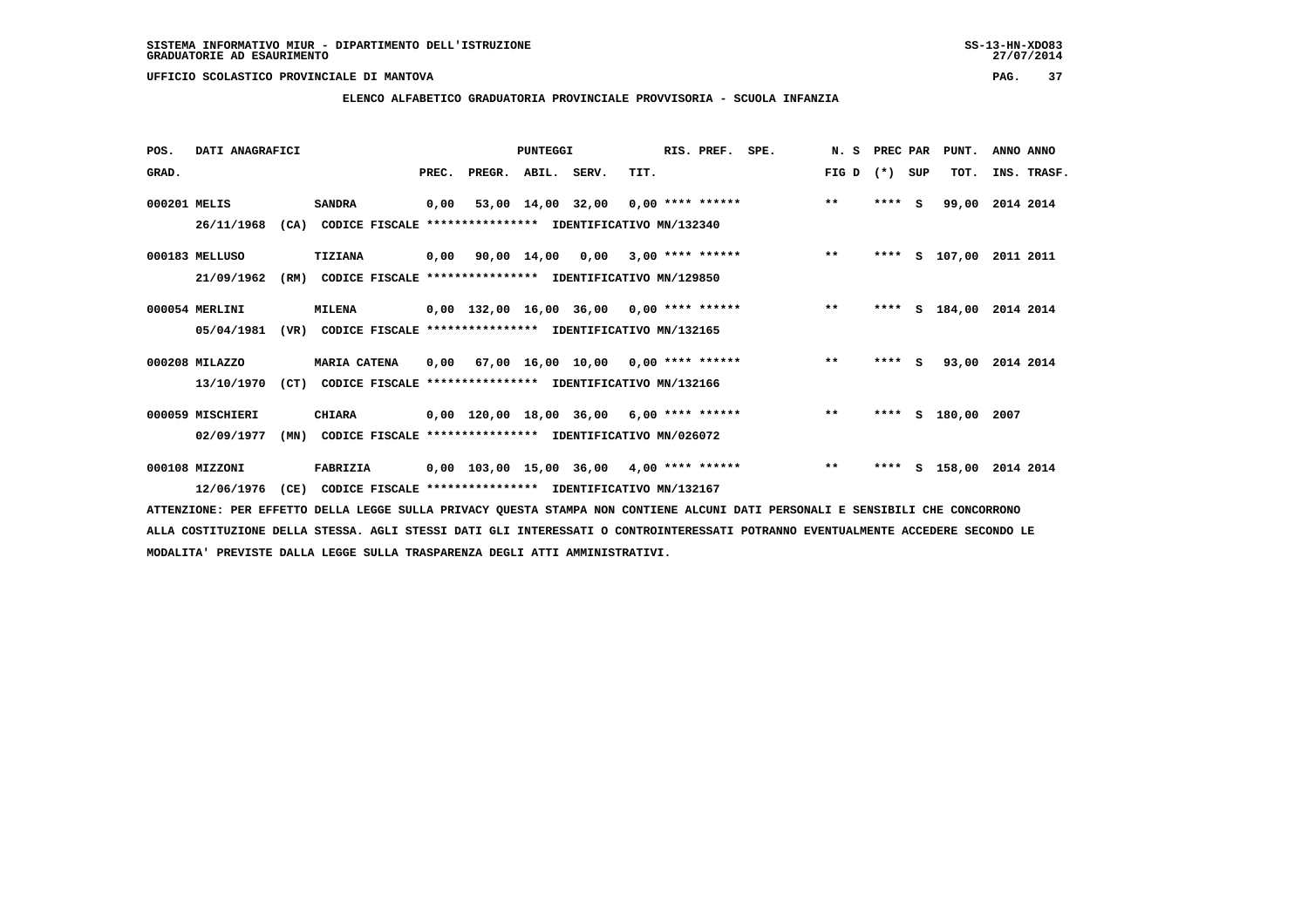#### **ELENCO ALFABETICO GRADUATORIA PROVINCIALE PROVVISORIA - SCUOLA INFANZIA**

| POS.         | DATI ANAGRAFICI  |      |                                                          |       |                    | PUNTEGGI |                                                  |      | RIS. PREF. | SPE.                                     | N.S   | PREC PAR |     | PUNT.    | ANNO ANNO   |
|--------------|------------------|------|----------------------------------------------------------|-------|--------------------|----------|--------------------------------------------------|------|------------|------------------------------------------|-------|----------|-----|----------|-------------|
| GRAD.        |                  |      |                                                          | PREC. | PREGR. ABIL. SERV. |          |                                                  | TIT. |            |                                          | FIG D | $(*)$    | SUP | TOT.     | INS. TRASF. |
| 000201 MELIS |                  |      | <b>SANDRA</b>                                            | 0,00  |                    |          | 53,00 14,00 32,00 0,00 **** ******               |      |            |                                          | $***$ | $***5$   |     | 99,00    | 2014 2014   |
|              | 26/11/1968       | (CA) | CODICE FISCALE **************** IDENTIFICATIVO MN/132340 |       |                    |          |                                                  |      |            |                                          |       |          |     |          |             |
|              | 000183 MELLUSO   |      | <b>TIZIANA</b>                                           |       |                    |          | $0,00$ $90,00$ $14,00$ $0,00$ $3,00$ **** ****** |      |            |                                          | $***$ | ****     |     | S 107,00 | 2011 2011   |
|              | 21/09/1962       | (RM) | CODICE FISCALE **************** IDENTIFICATIVO MN/129850 |       |                    |          |                                                  |      |            |                                          |       |          |     |          |             |
|              | 000054 MERLINI   |      | <b>MILENA</b>                                            |       |                    |          | 0,00 132,00 16,00 36,00 0,00 **** ******         |      |            |                                          | $***$ | ****     | s   | 184,00   | 2014 2014   |
|              | 05/04/1981       | (VR) | CODICE FISCALE **************** IDENTIFICATIVO MN/132165 |       |                    |          |                                                  |      |            |                                          |       |          |     |          |             |
|              | 000208 MILAZZO   |      | <b>MARIA CATENA</b>                                      |       |                    |          | $0,00$ 67,00 16,00 10,00 0,00 **** ******        |      |            |                                          | $***$ | $***$ S  |     | 93,00    | 2014 2014   |
|              | 13/10/1970       | (CT) | CODICE FISCALE **************** IDENTIFICATIVO MN/132166 |       |                    |          |                                                  |      |            |                                          |       |          |     |          |             |
|              | 000059 MISCHIERI |      | CHIARA                                                   |       |                    |          | 0,00 120,00 18,00 36,00 6,00 **** ******         |      |            |                                          | $***$ | ****     | s   | 180,00   | 2007        |
|              | 02/09/1977       | (MN) | CODICE FISCALE **************** IDENTIFICATIVO MN/026072 |       |                    |          |                                                  |      |            |                                          |       |          |     |          |             |
|              | 000108 MIZZONI   |      | FABRIZIA                                                 |       |                    |          |                                                  |      |            | 0,00 103,00 15,00 36,00 4,00 **** ****** | $***$ | ****     | s   | 158,00   | 2014 2014   |
|              | 12/06/1976       | (CE) | CODICE FISCALE **************** IDENTIFICATIVO MN/132167 |       |                    |          |                                                  |      |            |                                          |       |          |     |          |             |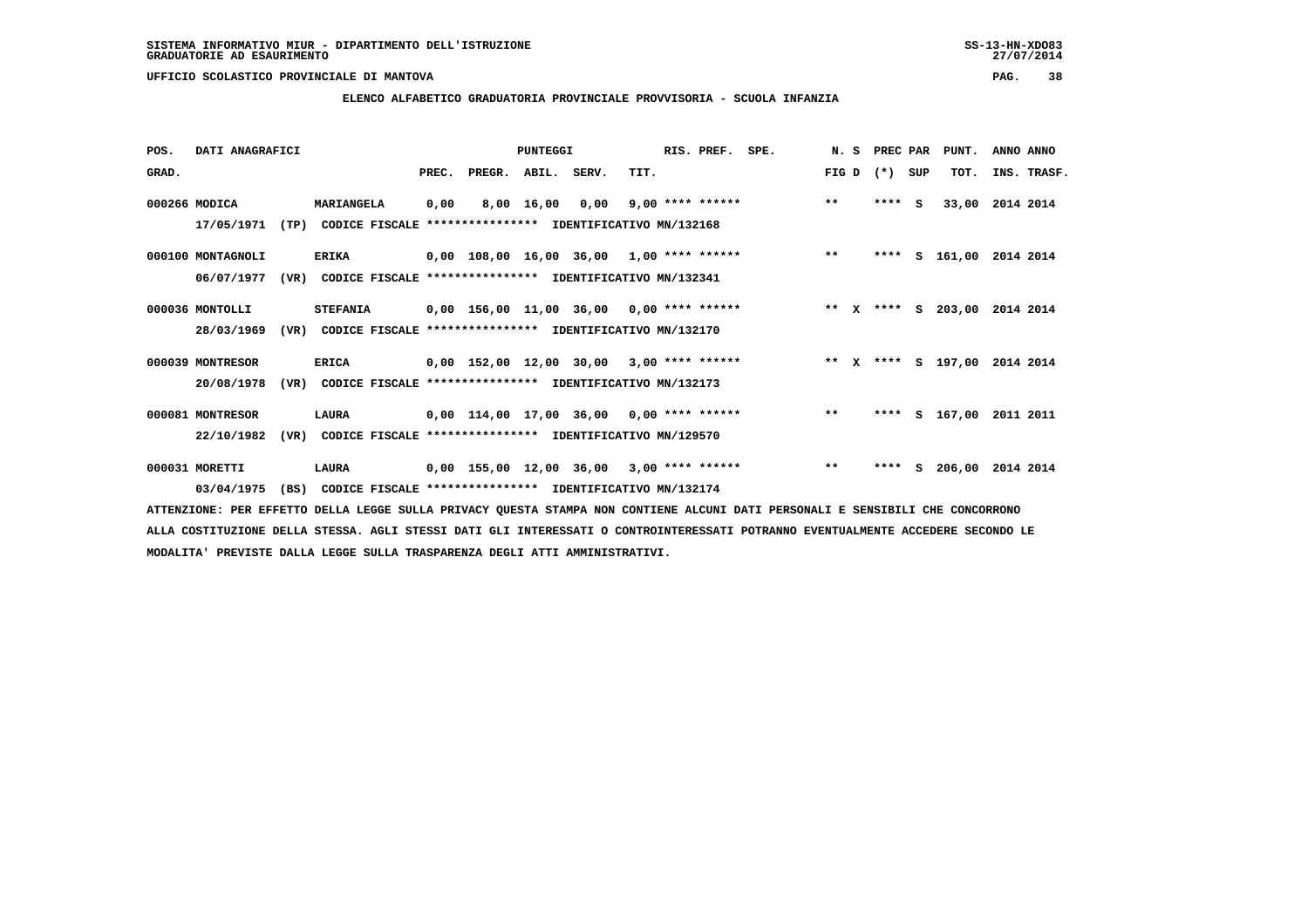| POS.  | DATI ANAGRAFICI   |      |                                                               |       |                                            | <b>PUNTEGGI</b> |      |      | RIS. PREF. SPE.    |                                            | N. S    | PREC PAR |     | PUNT.         | ANNO ANNO   |
|-------|-------------------|------|---------------------------------------------------------------|-------|--------------------------------------------|-----------------|------|------|--------------------|--------------------------------------------|---------|----------|-----|---------------|-------------|
| GRAD. |                   |      |                                                               | PREC. | PREGR. ABIL. SERV.                         |                 |      | TIT. |                    |                                            | FIG D   | $(* )$   | SUP | TOT.          | INS. TRASF. |
|       | 000266 MODICA     |      | MARIANGELA                                                    | 0,00  |                                            | 8,00 16,00      | 0,00 |      | $9,00$ **** ****** |                                            | $***$   | $***$ S  |     | 33,00         | 2014 2014   |
|       | 17/05/1971        | (TP) | CODICE FISCALE                                                |       | **************** IDENTIFICATIVO MN/132168  |                 |      |      |                    |                                            |         |          |     |               |             |
|       | 000100 MONTAGNOLI |      | <b>ERIKA</b>                                                  |       | 0,00 108,00 16,00 36,00 1,00 **** ******   |                 |      |      |                    |                                            | $***$   |          |     | **** S 161,00 | 2014 2014   |
|       | 06/07/1977        | (VR) | CODICE FISCALE **************** IDENTIFICATIVO MN/132341      |       |                                            |                 |      |      |                    |                                            |         |          |     |               |             |
|       | 000036 MONTOLLI   |      | <b>STEFANIA</b>                                               |       | 0,00 156,00 11,00 36,00 0,00 **** ******   |                 |      |      |                    |                                            | $***$ X |          |     | **** S 203,00 | 2014 2014   |
|       | 28/03/1969        |      | (VR) CODICE FISCALE **************** IDENTIFICATIVO MN/132170 |       |                                            |                 |      |      |                    |                                            |         |          |     |               |             |
|       | 000039 MONTRESOR  |      | <b>ERICA</b>                                                  |       | $0,00$ 152,00 12,00 30,00 3,00 **** ****** |                 |      |      |                    | ** x **** s 197,00 2014 2014               |         |          |     |               |             |
|       | 20/08/1978        | (VR) | CODICE FISCALE **************** IDENTIFICATIVO MN/132173      |       |                                            |                 |      |      |                    |                                            |         |          |     |               |             |
|       | 000081 MONTRESOR  |      | LAURA                                                         |       | 0,00 114,00 17,00 36,00 0,00 **** ******   |                 |      |      |                    |                                            | $**$    | ****     |     | S 167,00      | 2011 2011   |
|       | 22/10/1982        | (VR) | CODICE FISCALE **************** IDENTIFICATIVO MN/129570      |       |                                            |                 |      |      |                    |                                            |         |          |     |               |             |
|       | 000031 MORETTI    |      | LAURA                                                         |       |                                            |                 |      |      |                    | $0,00$ 155,00 12,00 36,00 3,00 **** ****** | $***$   | ****     |     | S 206,00      | 2014 2014   |
|       | 03/04/1975        | (BS) | CODICE FISCALE **************** IDENTIFICATIVO MN/132174      |       |                                            |                 |      |      |                    |                                            |         |          |     |               |             |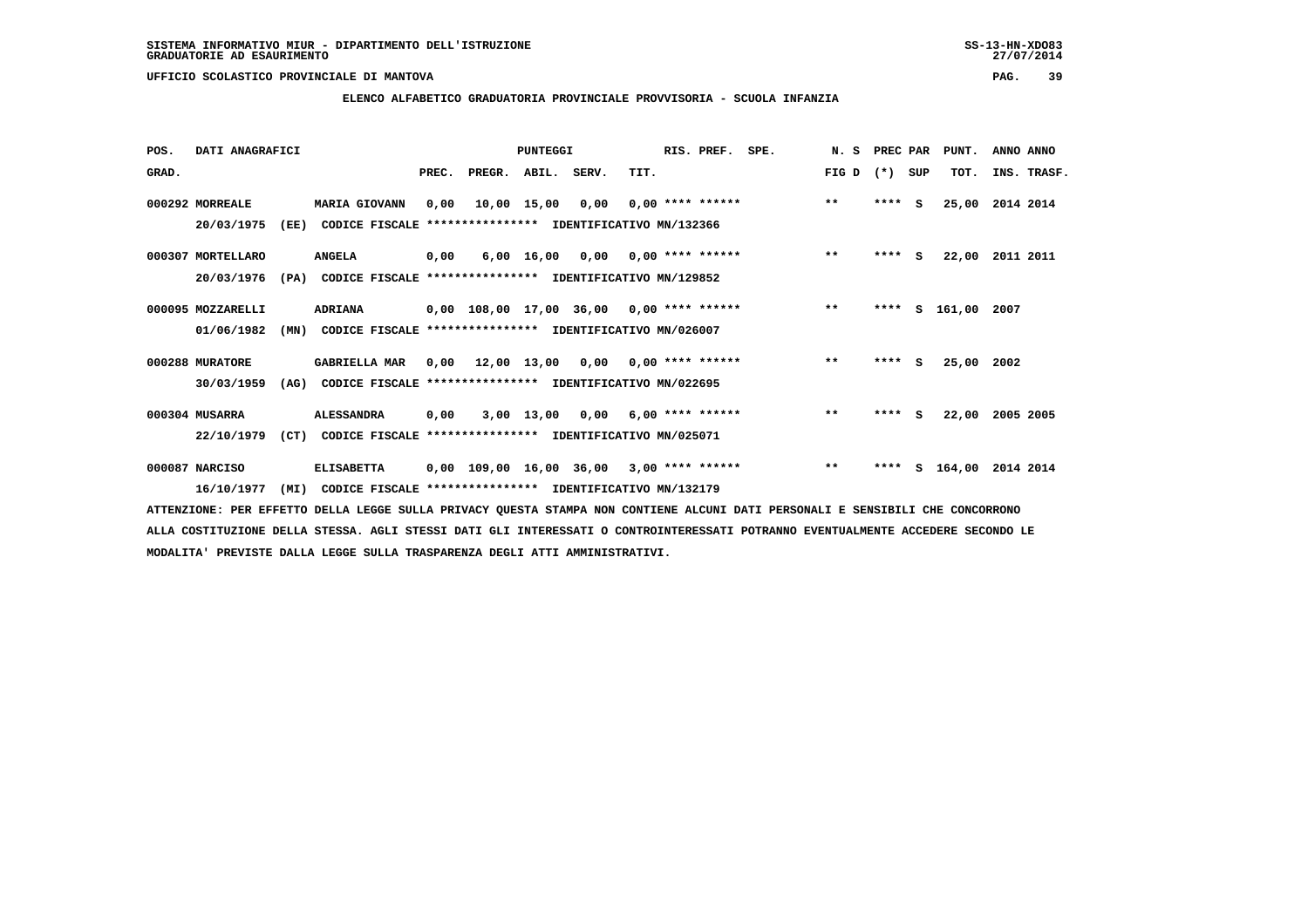$27/07/2014$ 

# **ELENCO ALFABETICO GRADUATORIA PROVINCIALE PROVVISORIA - SCUOLA INFANZIA**

| POS.  | DATI ANAGRAFICI   |      |                                                          |       |                                            | <b>PUNTEGGI</b> |                 |      | RIS. PREF.         | SPE. | N. S PREC PAR |         |     | PUNT.         | ANNO ANNO          |  |
|-------|-------------------|------|----------------------------------------------------------|-------|--------------------------------------------|-----------------|-----------------|------|--------------------|------|---------------|---------|-----|---------------|--------------------|--|
| GRAD. |                   |      |                                                          | PREC. | PREGR.                                     | ABIL.           | SERV.           | TIT. |                    |      | FIG D         | $(* )$  | SUP | TOT.          | INS. TRASF.        |  |
|       | 000292 MORREALE   |      | <b>MARIA GIOVANN</b>                                     | 0,00  |                                            | 10,00 15,00     | 0,00            |      | $0.00$ **** ****** |      | $***$         | $***$ S |     | 25,00         | 2014 2014          |  |
|       | 20/03/1975        | (EE) | CODICE FISCALE                                           |       | *************** IDENTIFICATIVO MN/132366   |                 |                 |      |                    |      |               |         |     |               |                    |  |
|       | 000307 MORTELLARO |      | <b>ANGELA</b>                                            | 0,00  |                                            |                 | 6,00 16,00 0,00 |      | $0.00$ **** ****** |      | $**$          | $***$ S |     | 22,00         | 2011 2011          |  |
|       | 20/03/1976        | (PA) | CODICE FISCALE **************** IDENTIFICATIVO MN/129852 |       |                                            |                 |                 |      |                    |      |               |         |     |               |                    |  |
|       | 000095 MOZZARELLI |      | ADRIANA                                                  |       | $0,00$ 108,00 17,00 36,00 0,00 **** ****** |                 |                 |      |                    |      | $***$         |         |     | **** S 161,00 | 2007               |  |
|       | 01/06/1982        | (MN) | CODICE FISCALE                                           |       | *************** IDENTIFICATIVO MN/026007   |                 |                 |      |                    |      |               |         |     |               |                    |  |
|       | 000288 MURATORE   |      | <b>GABRIELLA MAR</b>                                     |       | 0,00 12,00 13,00 0,00                      |                 |                 |      | $0.00$ **** ****** |      | $\star\star$  | $***$ S |     | 25,00 2002    |                    |  |
|       | 30/03/1959        | (AG) | CODICE FISCALE **************** IDENTIFICATIVO MN/022695 |       |                                            |                 |                 |      |                    |      |               |         |     |               |                    |  |
|       | 000304 MUSARRA    |      | <b>ALESSANDRA</b>                                        | 0,00  |                                            | 3,00 13,00      | 0,00            |      | $6,00$ **** ****** |      | $* *$         | $***$ S |     | 22,00         | 2005 2005          |  |
|       | 22/10/1979        | (CT) | CODICE FISCALE                                           |       | **************** IDENTIFICATIVO MN/025071  |                 |                 |      |                    |      |               |         |     |               |                    |  |
|       | 000087 NARCISO    |      | <b>ELISABETTA</b>                                        |       | 0,00 109,00 16,00 36,00                    |                 |                 |      | $3,00$ **** ****** |      | $***$         | ****    |     |               | S 164,00 2014 2014 |  |
|       | 16/10/1977        | (MI) | CODICE FISCALE                                           |       | **************** IDENTIFICATIVO MN/132179  |                 |                 |      |                    |      |               |         |     |               |                    |  |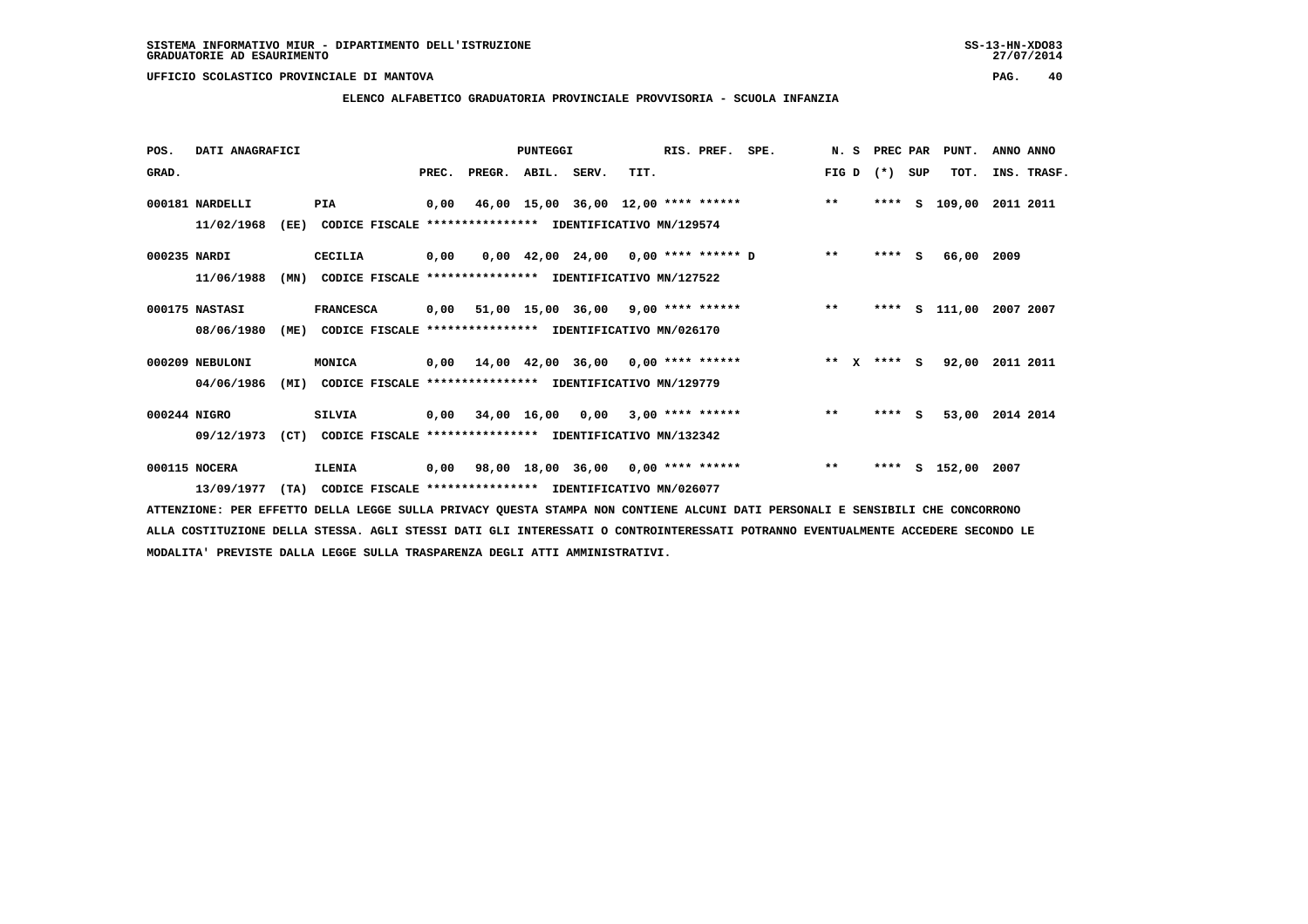# **ELENCO ALFABETICO GRADUATORIA PROVINCIALE PROVVISORIA - SCUOLA INFANZIA**

| POS.         | DATI ANAGRAFICI |      |                                                               |       |                                           | <b>PUNTEGGI</b> |                                    |      | RIS. PREF. | SPE.                                        | N.S    | PREC PAR |     | PUNT.    | ANNO ANNO       |  |
|--------------|-----------------|------|---------------------------------------------------------------|-------|-------------------------------------------|-----------------|------------------------------------|------|------------|---------------------------------------------|--------|----------|-----|----------|-----------------|--|
| GRAD.        |                 |      |                                                               | PREC. | PREGR. ABIL. SERV.                        |                 |                                    | TIT. |            |                                             | FIG D  | $(*)$    | SUP | TOT.     | INS. TRASF.     |  |
|              | 000181 NARDELLI |      | PIA                                                           | 0,00  |                                           |                 |                                    |      |            | 46,00 15,00 36,00 12,00 **** ****** *** *** |        | ****     | s   | 109,00   | 2011 2011       |  |
|              | 11/02/1968      | (EE) | CODICE FISCALE **************** IDENTIFICATIVO MN/129574      |       |                                           |                 |                                    |      |            |                                             |        |          |     |          |                 |  |
| 000235 NARDI |                 |      | CECILIA                                                       | 0,00  |                                           |                 |                                    |      |            | $0,00$ 42,00 24,00 0,00 **** ****** D **    |        | $***$ S  |     | 66,00    | 2009            |  |
|              | 11/06/1988      | (MN) | CODICE FISCALE **************** IDENTIFICATIVO MN/127522      |       |                                           |                 |                                    |      |            |                                             |        |          |     |          |                 |  |
|              | 000175 NASTASI  |      | <b>FRANCESCA</b>                                              |       | $0,00$ 51,00 15,00 36,00 9,00 **** ****** |                 |                                    |      |            |                                             | $***$  | ****     | s   | 111,00   | 2007 2007       |  |
|              | 08/06/1980      | (ME) | CODICE FISCALE **************** IDENTIFICATIVO MN/026170      |       |                                           |                 |                                    |      |            |                                             |        |          |     |          |                 |  |
|              | 000209 NEBULONI |      | MONICA                                                        |       | $0,00$ 14,00 42,00 36,00 0,00 **** ****** |                 |                                    |      |            |                                             | ** $X$ | **** S   |     | 92,00    | 2011 2011       |  |
|              | 04/06/1986      | (MI) | CODICE FISCALE **************** IDENTIFICATIVO MN/129779      |       |                                           |                 |                                    |      |            |                                             |        |          |     |          |                 |  |
| 000244 NIGRO |                 |      | <b>SILVIA</b>                                                 |       | $0,00$ 34,00 16,00 0,00 3,00 **** ******  |                 |                                    |      |            |                                             | $* *$  | $***$ S  |     |          | 53,00 2014 2014 |  |
|              | 09/12/1973      | (CT) | CODICE FISCALE **************** IDENTIFICATIVO MN/132342      |       |                                           |                 |                                    |      |            |                                             |        |          |     |          |                 |  |
|              | 000115 NOCERA   |      | <b>ILENIA</b>                                                 | 0,00  |                                           |                 | 98,00 18,00 36,00 0,00 **** ****** |      |            |                                             | $***$  | ****     |     | s 152,00 | 2007            |  |
|              | 13/09/1977      |      | (TA) CODICE FISCALE **************** IDENTIFICATIVO MN/026077 |       |                                           |                 |                                    |      |            |                                             |        |          |     |          |                 |  |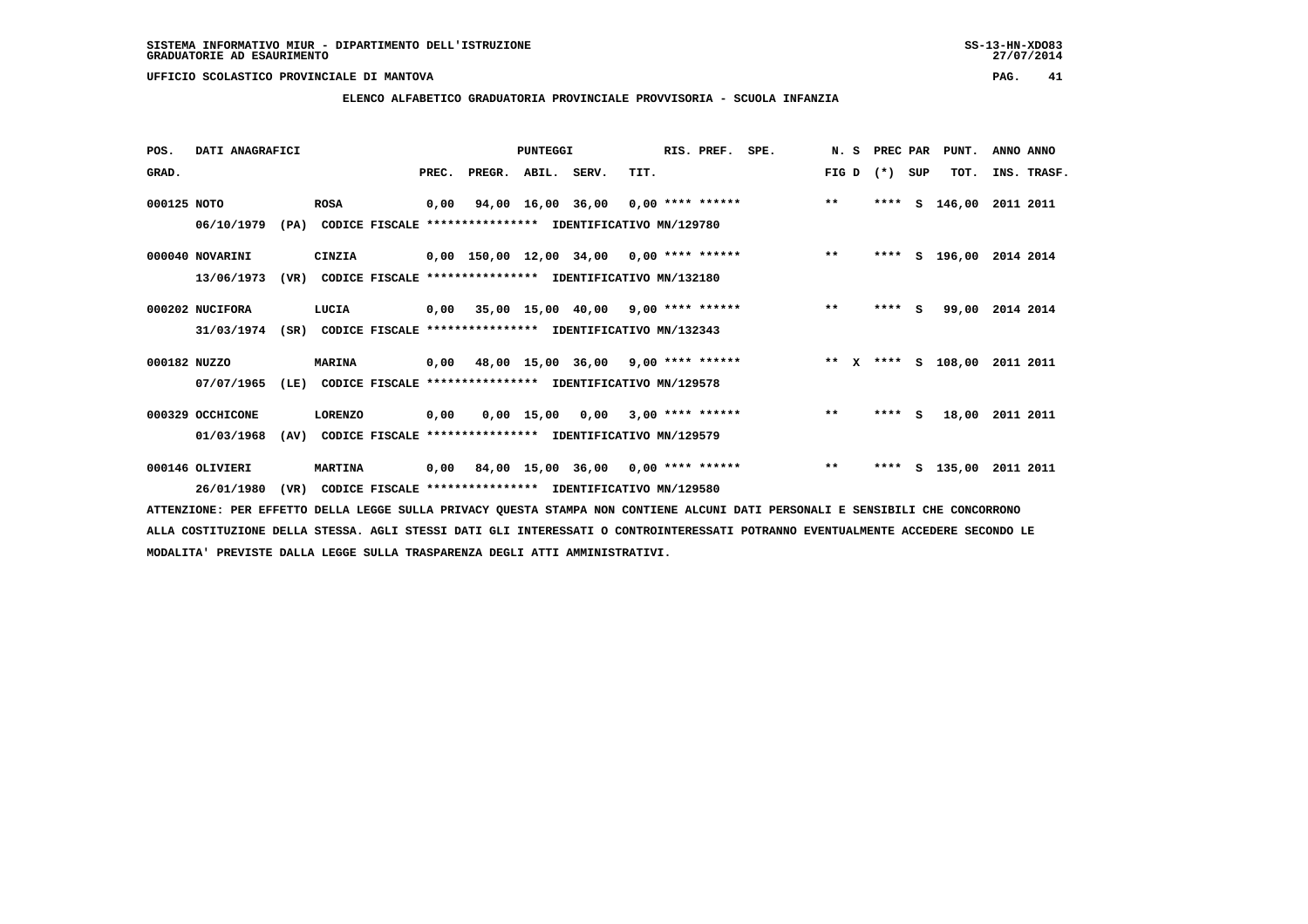| POS.         | DATI ANAGRAFICI  |      |                                                               |       |                                            | PUNTEGGI |                                      |      | RIS. PREF. | SPE. |              | N. S PREC PAR |           | PUNT.              | <b>ANNO ANNO</b> |  |
|--------------|------------------|------|---------------------------------------------------------------|-------|--------------------------------------------|----------|--------------------------------------|------|------------|------|--------------|---------------|-----------|--------------------|------------------|--|
| GRAD.        |                  |      |                                                               | PREC. | PREGR. ABIL. SERV.                         |          |                                      | TIT. |            |      | FIG D        | $(* )$        | SUP       | TOT.               | INS. TRASF.      |  |
| 000125 NOTO  |                  |      | <b>ROSA</b>                                                   | 0,00  |                                            |          | $94,00$ 16,00 36,00 0,00 **** ****** |      |            |      | $***$        | ****          |           | S 146,00           | 2011 2011        |  |
|              | 06/10/1979       | (PA) | CODICE FISCALE **************** IDENTIFICATIVO MN/129780      |       |                                            |          |                                      |      |            |      |              |               |           |                    |                  |  |
|              | 000040 NOVARINI  |      | CINZIA                                                        |       | $0,00$ 150,00 12,00 34,00 0,00 **** ****** |          |                                      |      |            |      | $***$        | ****          |           | S 196,00 2014 2014 |                  |  |
|              | 13/06/1973       | (VR) | CODICE FISCALE **************** IDENTIFICATIVO MN/132180      |       |                                            |          |                                      |      |            |      |              |               |           |                    |                  |  |
|              | 000202 NUCIFORA  |      | LUCIA                                                         | 0,00  |                                            |          | 35,00 15,00 40,00 9,00 **** ******   |      |            |      | $***$        |               | $***$ S   | 99,00              | 2014 2014        |  |
|              | 31/03/1974       |      | (SR) CODICE FISCALE **************** IDENTIFICATIVO MN/132343 |       |                                            |          |                                      |      |            |      |              |               |           |                    |                  |  |
| 000182 NUZZO |                  |      | <b>MARINA</b>                                                 |       | $0,00$ 48,00 15,00 36,00 9,00 **** ******  |          |                                      |      |            |      | $***$ X      |               |           | **** S 108,00      | 2011 2011        |  |
|              | 07/07/1965       | (LE) | CODICE FISCALE **************** IDENTIFICATIVO MN/129578      |       |                                            |          |                                      |      |            |      |              |               |           |                    |                  |  |
|              | 000329 OCCHICONE |      | <b>LORENZO</b>                                                | 0,00  |                                            |          | $0,00$ 15,00 0,00 3,00 **** ******   |      |            |      | $\star\star$ |               | **** S    | 18,00              | 2011 2011        |  |
|              | 01/03/1968       | (AV) | CODICE FISCALE **************** IDENTIFICATIVO MN/129579      |       |                                            |          |                                      |      |            |      |              |               |           |                    |                  |  |
|              | 000146 OLIVIERI  |      | <b>MARTINA</b>                                                | 0,00  |                                            |          | 84,00 15,00 36,00 0,00 **** ******   |      |            |      | $***$        |               | ****<br>s | 135,00             | 2011 2011        |  |
|              | 26/01/1980       |      | (VR) CODICE FISCALE **************** IDENTIFICATIVO MN/129580 |       |                                            |          |                                      |      |            |      |              |               |           |                    |                  |  |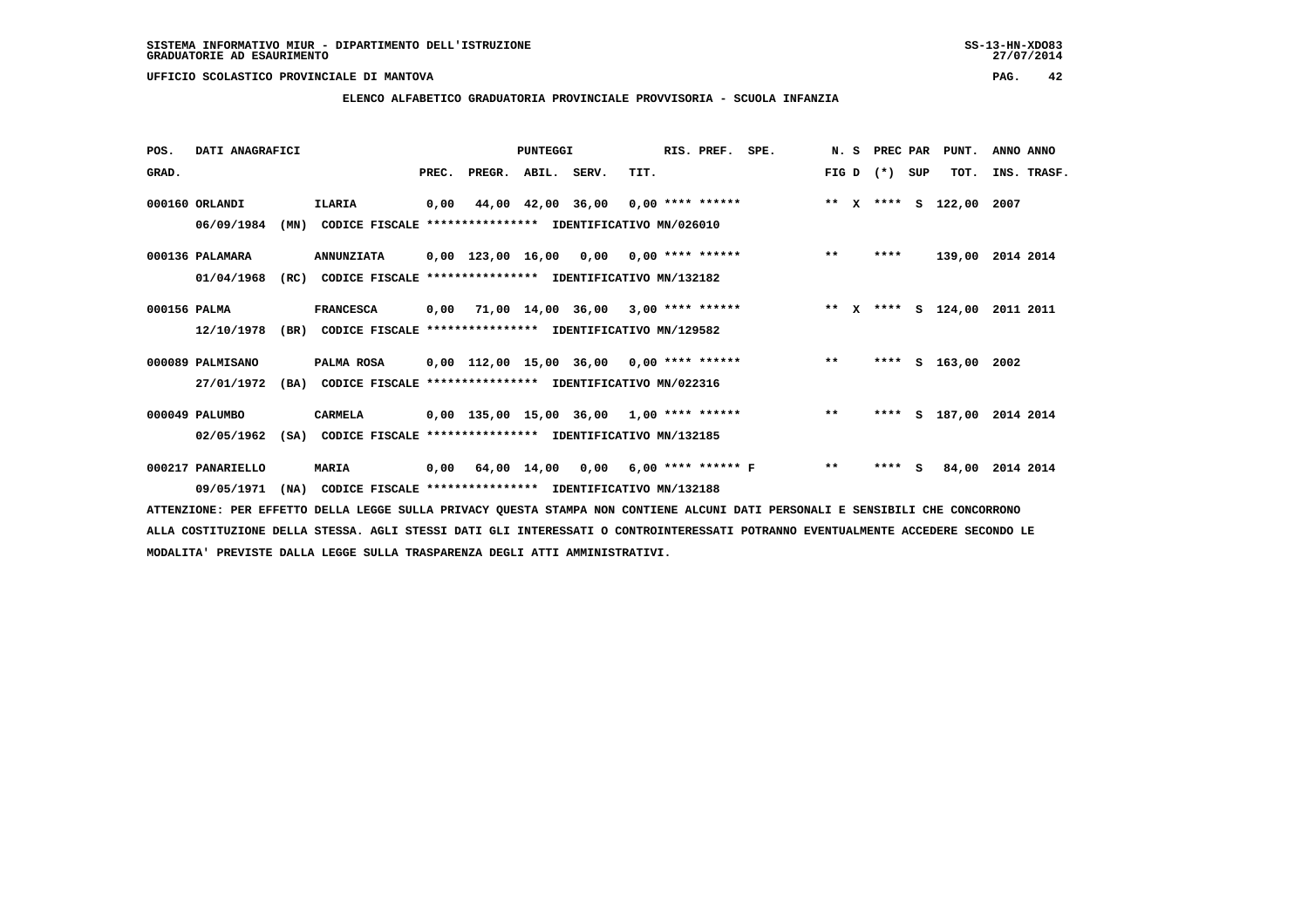### **ELENCO ALFABETICO GRADUATORIA PROVINCIALE PROVVISORIA - SCUOLA INFANZIA**

| POS.         | DATI ANAGRAFICI   |                                                                  |       |                    | PUNTEGGI |                                                  |      | RIS. PREF. | SPE.                                                              | N.S   | PREC PAR |     | PUNT.         | ANNO ANNO          |
|--------------|-------------------|------------------------------------------------------------------|-------|--------------------|----------|--------------------------------------------------|------|------------|-------------------------------------------------------------------|-------|----------|-----|---------------|--------------------|
| GRAD.        |                   |                                                                  | PREC. | PREGR. ABIL. SERV. |          |                                                  | TIT. |            |                                                                   | FIG D | $(* )$   | SUP | тот.          | INS. TRASF.        |
|              | 000160 ORLANDI    | <b>ILARIA</b>                                                    | 0,00  |                    |          |                                                  |      |            | 44,00 42,00 36,00 0,00 **** ****** **** *** ** **** S 122,00 2007 |       |          |     |               |                    |
|              | 06/09/1984        | (MN)<br>CODICE FISCALE **************** IDENTIFICATIVO MN/026010 |       |                    |          |                                                  |      |            |                                                                   |       |          |     |               |                    |
|              | 000136 PALAMARA   | <b>ANNUNZIATA</b>                                                |       |                    |          | $0,00$ 123,00 16,00 0,00 0,00 **** ******        |      |            |                                                                   | $***$ | ****     |     |               | 139,00 2014 2014   |
|              | 01/04/1968        | (RC)<br>CODICE FISCALE **************** IDENTIFICATIVO MN/132182 |       |                    |          |                                                  |      |            |                                                                   |       |          |     |               |                    |
| 000156 PALMA |                   | <b>FRANCESCA</b>                                                 | 0.00  |                    |          | $71,00$ $14,00$ $36,00$ $3,00$ $***$ **** ****** |      |            | ** X **** S 124,00                                                |       |          |     |               | 2011 2011          |
|              | 12/10/1978        | (BR)<br>CODICE FISCALE **************** IDENTIFICATIVO MN/129582 |       |                    |          |                                                  |      |            |                                                                   |       |          |     |               |                    |
|              | 000089 PALMISANO  | PALMA ROSA                                                       |       |                    |          | $0,00$ 112,00 15,00 36,00 0,00 **** ******       |      |            |                                                                   | $* *$ | ****     |     | S 163,00 2002 |                    |
|              | 27/01/1972        | (BA)<br>CODICE FISCALE **************** IDENTIFICATIVO MN/022316 |       |                    |          |                                                  |      |            |                                                                   |       |          |     |               |                    |
|              | 000049 PALUMBO    | CARMELA                                                          |       |                    |          | $0,00$ 135,00 15,00 36,00 1,00 **** ******       |      |            |                                                                   | $***$ | ****     |     |               | S 187,00 2014 2014 |
|              | 02/05/1962        | (SA) CODICE FISCALE **************** IDENTIFICATIVO MN/132185    |       |                    |          |                                                  |      |            |                                                                   |       |          |     |               |                    |
|              | 000217 PANARIELLO | <b>MARIA</b>                                                     |       |                    |          |                                                  |      |            | 0,00 64,00 14,00 0,00 6,00 **** ****** F                          | $***$ | $***$ S  |     | 84,00         | 2014 2014          |
|              | 09/05/1971        | (NA)<br>CODICE FISCALE **************** IDENTIFICATIVO MN/132188 |       |                    |          |                                                  |      |            |                                                                   |       |          |     |               |                    |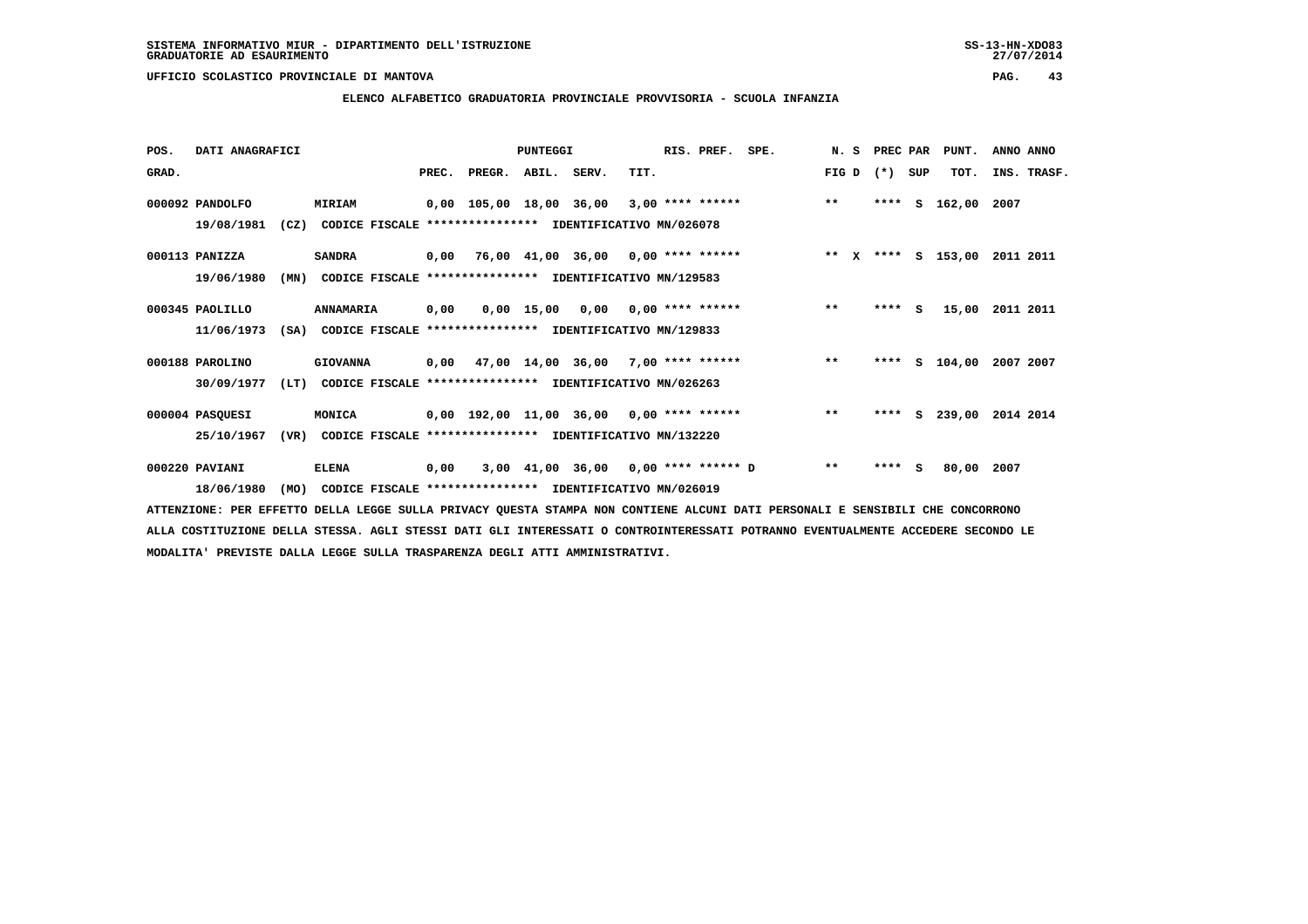### **ELENCO ALFABETICO GRADUATORIA PROVINCIALE PROVVISORIA - SCUOLA INFANZIA**

| POS.  | DATI ANAGRAFICI |      |                                                          |       |                         | PUNTEGGI     |                                            |      | RIS. PREF.         | SPE. | N.S   | PREC PAR |     | PUNT.              | ANNO ANNO |             |
|-------|-----------------|------|----------------------------------------------------------|-------|-------------------------|--------------|--------------------------------------------|------|--------------------|------|-------|----------|-----|--------------------|-----------|-------------|
| GRAD. |                 |      |                                                          | PREC. | PREGR.                  | ABIL. SERV.  |                                            | TIT. |                    |      | FIG D | $(*)$    | SUP | TOT.               |           | INS. TRASF. |
|       | 000092 PANDOLFO |      | <b>MIRIAM</b>                                            |       | 0,00 105,00 18,00 36,00 |              |                                            |      | $3,00$ **** ****** |      | $***$ | ****     | s   | 162,00             | 2007      |             |
|       | 19/08/1981      | (CZ) | CODICE FISCALE **************** IDENTIFICATIVO MN/026078 |       |                         |              |                                            |      |                    |      |       |          |     |                    |           |             |
|       | 000113 PANIZZA  |      | <b>SANDRA</b>                                            |       |                         |              | $0,00$ 76,00 41,00 36,00 0,00 **** ******  |      |                    |      |       |          |     | ** X **** S 153,00 | 2011 2011 |             |
|       | 19/06/1980      | (MN) | CODICE FISCALE **************** IDENTIFICATIVO MN/129583 |       |                         |              |                                            |      |                    |      |       |          |     |                    |           |             |
|       | 000345 PAOLILLO |      | ANNAMARIA                                                | 0,00  |                         | $0,00$ 15,00 | 0,00                                       |      | $0.00$ **** ****** |      | $***$ | $***$ S  |     | 15,00              | 2011 2011 |             |
|       | 11/06/1973      | (SA) | CODICE FISCALE **************** IDENTIFICATIVO MN/129833 |       |                         |              |                                            |      |                    |      |       |          |     |                    |           |             |
|       | 000188 PAROLINO |      | <b>GIOVANNA</b>                                          |       |                         |              | $0,00$ 47,00 14,00 36,00 7,00 **** ******  |      |                    |      | $***$ | ****     |     | $S$ 104,00         | 2007 2007 |             |
|       | 30/09/1977      | (LT) | CODICE FISCALE **************** IDENTIFICATIVO MN/026263 |       |                         |              |                                            |      |                    |      |       |          |     |                    |           |             |
|       | 000004 PASQUESI |      | MONICA                                                   |       |                         |              | $0,00$ 192,00 11,00 36,00 0,00 **** ****** |      |                    |      | $* *$ | ****     | s   | 239,00             | 2014 2014 |             |
|       | 25/10/1967      | (VR) | CODICE FISCALE **************** IDENTIFICATIVO MN/132220 |       |                         |              |                                            |      |                    |      |       |          |     |                    |           |             |
|       | 000220 PAVIANI  |      | <b>ELENA</b>                                             | 0,00  |                         |              | $3,00$ 41,00 36,00 0,00 **** ****** D      |      |                    |      | $**$  | ****     | s   | 80,00              | 2007      |             |
|       | 18/06/1980      | (MO) | CODICE FISCALE **************** IDENTIFICATIVO MN/026019 |       |                         |              |                                            |      |                    |      |       |          |     |                    |           |             |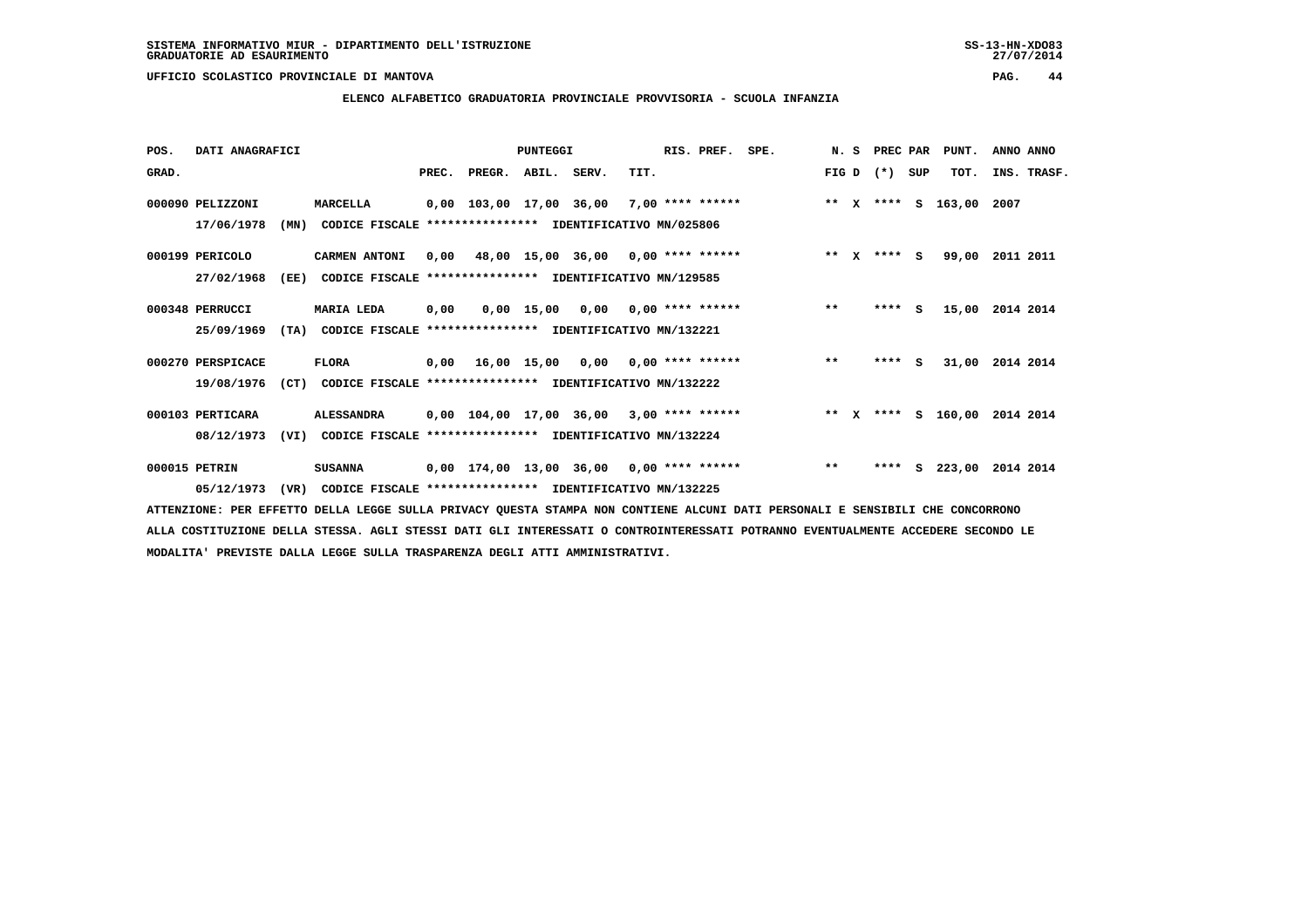| POS.  | DATI ANAGRAFICI   |      |                                                               |       |                                                          | PUNTEGGI |                                    |      | RIS. PREF. | SPE. |         |                 | N. S PREC PAR PUNT.     | ANNO ANNO |             |
|-------|-------------------|------|---------------------------------------------------------------|-------|----------------------------------------------------------|----------|------------------------------------|------|------------|------|---------|-----------------|-------------------------|-----------|-------------|
| GRAD. |                   |      |                                                               | PREC. | PREGR. ABIL. SERV.                                       |          |                                    | TIT. |            |      |         | FIG D $(*)$ SUP | TOT.                    |           | INS. TRASF. |
|       | 000090 PELIZZONI  |      | MARCELLA                                                      |       | $0,00$ 103,00 17,00 36,00 7,00 **** ******               |          |                                    |      |            |      |         |                 | ** X **** S 163,00 2007 |           |             |
|       | 17/06/1978        | (MN) | CODICE FISCALE                                                |       | *************** IDENTIFICATIVO MN/025806                 |          |                                    |      |            |      |         |                 |                         |           |             |
|       | 000199 PERICOLO   |      | <b>CARMEN ANTONI</b>                                          |       | $0,00$ 48,00 15,00 36,00 0,00 **** ******                |          |                                    |      |            |      | $***$ X | $***$ S         | 99,00                   | 2011 2011 |             |
|       | 27/02/1968        | (EE) | CODICE FISCALE **************** IDENTIFICATIVO MN/129585      |       |                                                          |          |                                    |      |            |      |         |                 |                         |           |             |
|       | 000348 PERRUCCI   |      | MARIA LEDA                                                    | 0,00  |                                                          |          | $0.00$ 15.00 0.00 0.00 **** ****** |      |            |      | $**$    | **** S          | 15,00                   | 2014 2014 |             |
|       | 25/09/1969        |      | (TA) CODICE FISCALE **************** IDENTIFICATIVO MN/132221 |       |                                                          |          |                                    |      |            |      |         |                 |                         |           |             |
|       | 000270 PERSPICACE |      | <b>FLORA</b>                                                  |       | $0,00$ 16,00 15,00 0,00 0,00 **** ******                 |          |                                    |      |            |      | $***$   | $***$ S         | 31,00                   | 2014 2014 |             |
|       | 19/08/1976        | (CT) | CODICE FISCALE **************** IDENTIFICATIVO MN/132222      |       |                                                          |          |                                    |      |            |      |         |                 |                         |           |             |
|       | 000103 PERTICARA  |      | ALESSANDRA                                                    |       | $0,00$ $104,00$ $17,00$ $36,00$ $3,00$ $***$ **** ****** |          |                                    |      |            |      | $***$ X |                 | **** S 160,00 2014 2014 |           |             |
|       | 08/12/1973        | (VI) | CODICE FISCALE **************** IDENTIFICATIVO MN/132224      |       |                                                          |          |                                    |      |            |      |         |                 |                         |           |             |
|       | 000015 PETRIN     |      | SUSANNA                                                       |       | $0,00$ 174,00 13,00 36,00 0,00 **** ******               |          |                                    |      |            |      | $***$   | ****            | S 223,00                | 2014 2014 |             |
|       | 05/12/1973        |      | (VR) CODICE FISCALE **************** IDENTIFICATIVO MN/132225 |       |                                                          |          |                                    |      |            |      |         |                 |                         |           |             |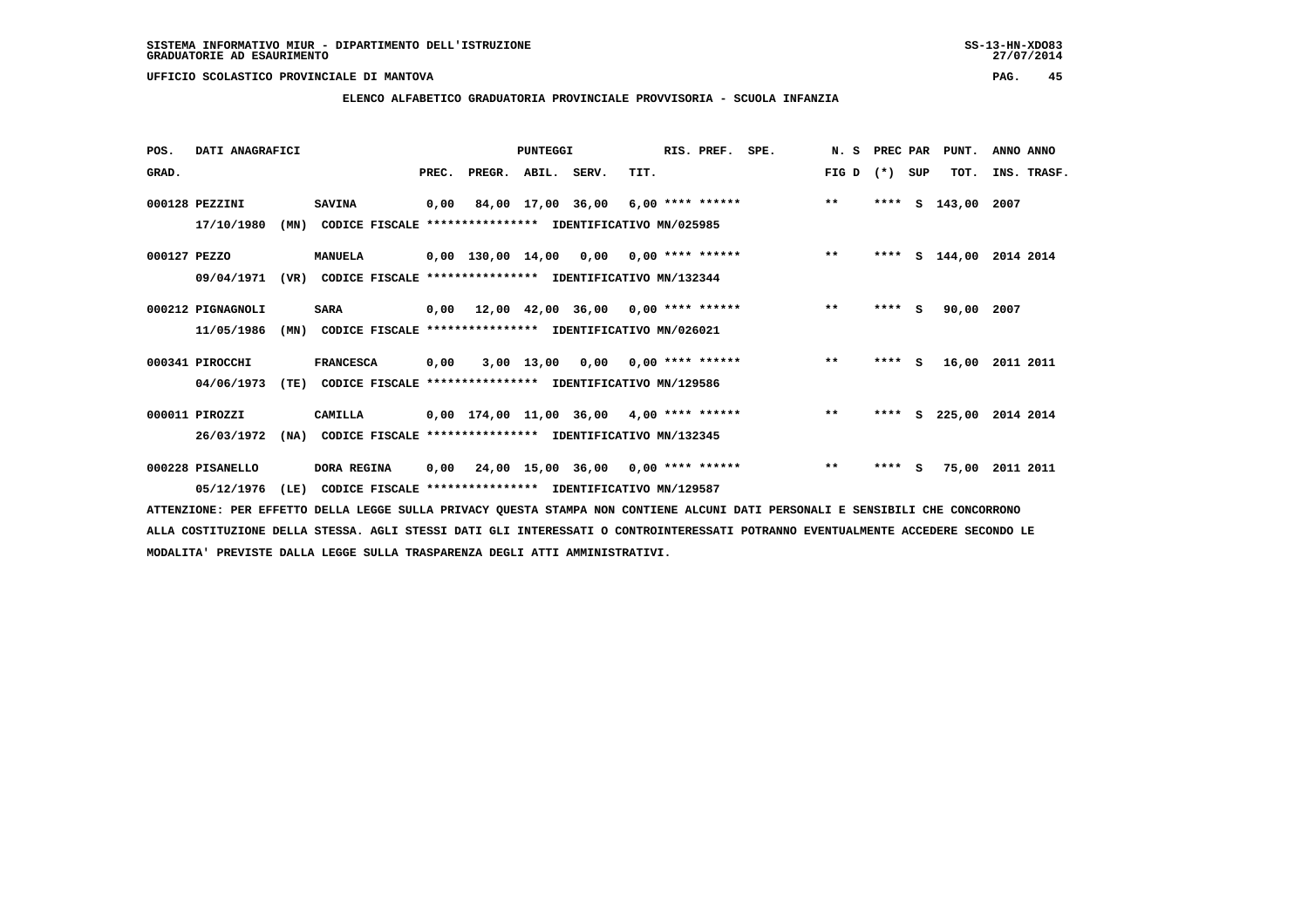### **ELENCO ALFABETICO GRADUATORIA PROVINCIALE PROVVISORIA - SCUOLA INFANZIA**

| POS.         | DATI ANAGRAFICI   |      |                                                          |       |        | PUNTEGGI    |                                            |      | RIS. PREF. | SPE. | N.S   | PREC PAR |     | PUNT.  | ANNO ANNO   |
|--------------|-------------------|------|----------------------------------------------------------|-------|--------|-------------|--------------------------------------------|------|------------|------|-------|----------|-----|--------|-------------|
| GRAD.        |                   |      |                                                          | PREC. | PREGR. | ABIL. SERV. |                                            | TIT. |            |      | FIG D | $(*)$    | SUP | TOT.   | INS. TRASF. |
|              | 000128 PEZZINI    |      | <b>SAVINA</b>                                            | 0,00  |        |             | 84,00 17,00 36,00 6,00 **** ******         |      |            |      | $***$ | ****     | s   | 143,00 | 2007        |
|              | 17/10/1980        | (MN) | CODICE FISCALE **************** IDENTIFICATIVO MN/025985 |       |        |             |                                            |      |            |      |       |          |     |        |             |
| 000127 PEZZO |                   |      | <b>MANUELA</b>                                           |       |        |             | $0,00$ 130,00 14,00 0,00 0,00 **** ******  |      |            |      | $***$ | ****     | s   | 144,00 | 2014 2014   |
|              | 09/04/1971        | (VR) | CODICE FISCALE **************** IDENTIFICATIVO MN/132344 |       |        |             |                                            |      |            |      |       |          |     |        |             |
|              | 000212 PIGNAGNOLI |      | <b>SARA</b>                                              | 0,00  |        |             | $12,00$ $42,00$ $36,00$ $0,00$ **** ****** |      |            |      | $***$ | ****     | - S | 90,00  | 2007        |
|              | 11/05/1986        | (MN) | CODICE FISCALE **************** IDENTIFICATIVO MN/026021 |       |        |             |                                            |      |            |      |       |          |     |        |             |
|              | 000341 PIROCCHI   |      | <b>FRANCESCA</b>                                         | 0,00  |        |             | $3,00$ 13,00 0,00 0,00 **** ******         |      |            |      | $**$  | $***$ S  |     | 16,00  | 2011 2011   |
|              | 04/06/1973        | (TE) | CODICE FISCALE **************** IDENTIFICATIVO MN/129586 |       |        |             |                                            |      |            |      |       |          |     |        |             |
|              | 000011 PIROZZI    |      | CAMILLA                                                  |       |        |             | $0,00$ 174,00 11,00 36,00 4,00 **** ****** |      |            |      | $***$ | ****     | s   | 225,00 | 2014 2014   |
|              | 26/03/1972        | (NA) | CODICE FISCALE **************** IDENTIFICATIVO MN/132345 |       |        |             |                                            |      |            |      |       |          |     |        |             |
|              | 000228 PISANELLO  |      | <b>DORA REGINA</b>                                       | 0,00  |        |             | $24,00$ 15,00 36,00 0,00 **** ******       |      |            |      | $***$ | ****     | - S | 75,00  | 2011 2011   |
|              | 05/12/1976        | (LE) | CODICE FISCALE **************** IDENTIFICATIVO MN/129587 |       |        |             |                                            |      |            |      |       |          |     |        |             |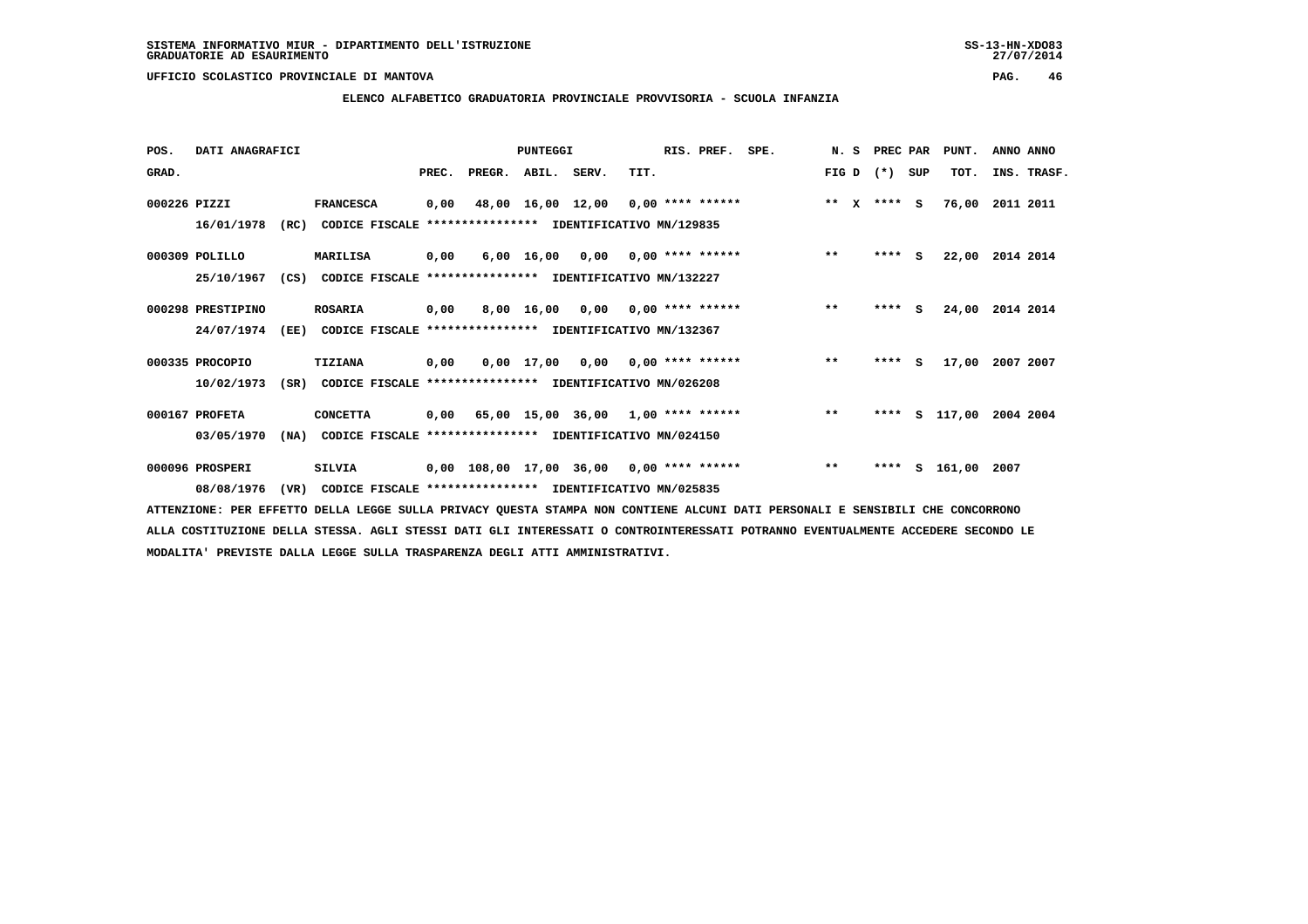**POS. DATI ANAGRAFICI PUNTEGGI RIS. PREF. SPE. N. S PREC PAR PUNT. ANNO ANNO**GRAD. **BRAD. PREC. PREGR. ABIL. SERV.** TIT. THE REGREATER FIG D (\*) SUP TOT. INS. TRASF.  **000226 PIZZI FRANCESCA 0,00 48,00 16,00 12,00 0,00 \*\*\*\* \*\*\*\*\*\* \*\* X \*\*\*\* S 76,00 2011 2011 16/01/1978 (RC) CODICE FISCALE \*\*\*\*\*\*\*\*\*\*\*\*\*\*\*\* IDENTIFICATIVO MN/129835 000309 POLILLO MARILISA 0,00 6,00 16,00 0,00 0,00 \*\*\*\* \*\*\*\*\*\* \*\* \*\*\*\* S 22,00 2014 2014 25/10/1967 (CS) CODICE FISCALE \*\*\*\*\*\*\*\*\*\*\*\*\*\*\*\* IDENTIFICATIVO MN/132227 000298 PRESTIPINO ROSARIA 0,00 8,00 16,00 0,00 0,00 \*\*\*\* \*\*\*\*\*\* \*\* \*\*\*\* S 24,00 2014 2014 24/07/1974 (EE) CODICE FISCALE \*\*\*\*\*\*\*\*\*\*\*\*\*\*\*\* IDENTIFICATIVO MN/132367 000335 PROCOPIO TIZIANA 0,00 0,00 17,00 0,00 0,00 \*\*\*\* \*\*\*\*\*\* \*\* \*\*\*\* S 17,00 2007 2007 10/02/1973 (SR) CODICE FISCALE \*\*\*\*\*\*\*\*\*\*\*\*\*\*\*\* IDENTIFICATIVO MN/026208 000167 PROFETA CONCETTA 0,00 65,00 15,00 36,00 1,00 \*\*\*\* \*\*\*\*\*\* \*\* \*\*\*\* S 117,00 2004 2004 03/05/1970 (NA) CODICE FISCALE \*\*\*\*\*\*\*\*\*\*\*\*\*\*\*\* IDENTIFICATIVO MN/024150 000096 PROSPERI SILVIA 0,00 108,00 17,00 36,00 0,00 \*\*\*\* \*\*\*\*\*\* \*\* \*\*\*\* S 161,00 2007 08/08/1976 (VR) CODICE FISCALE \*\*\*\*\*\*\*\*\*\*\*\*\*\*\*\* IDENTIFICATIVO MN/025835**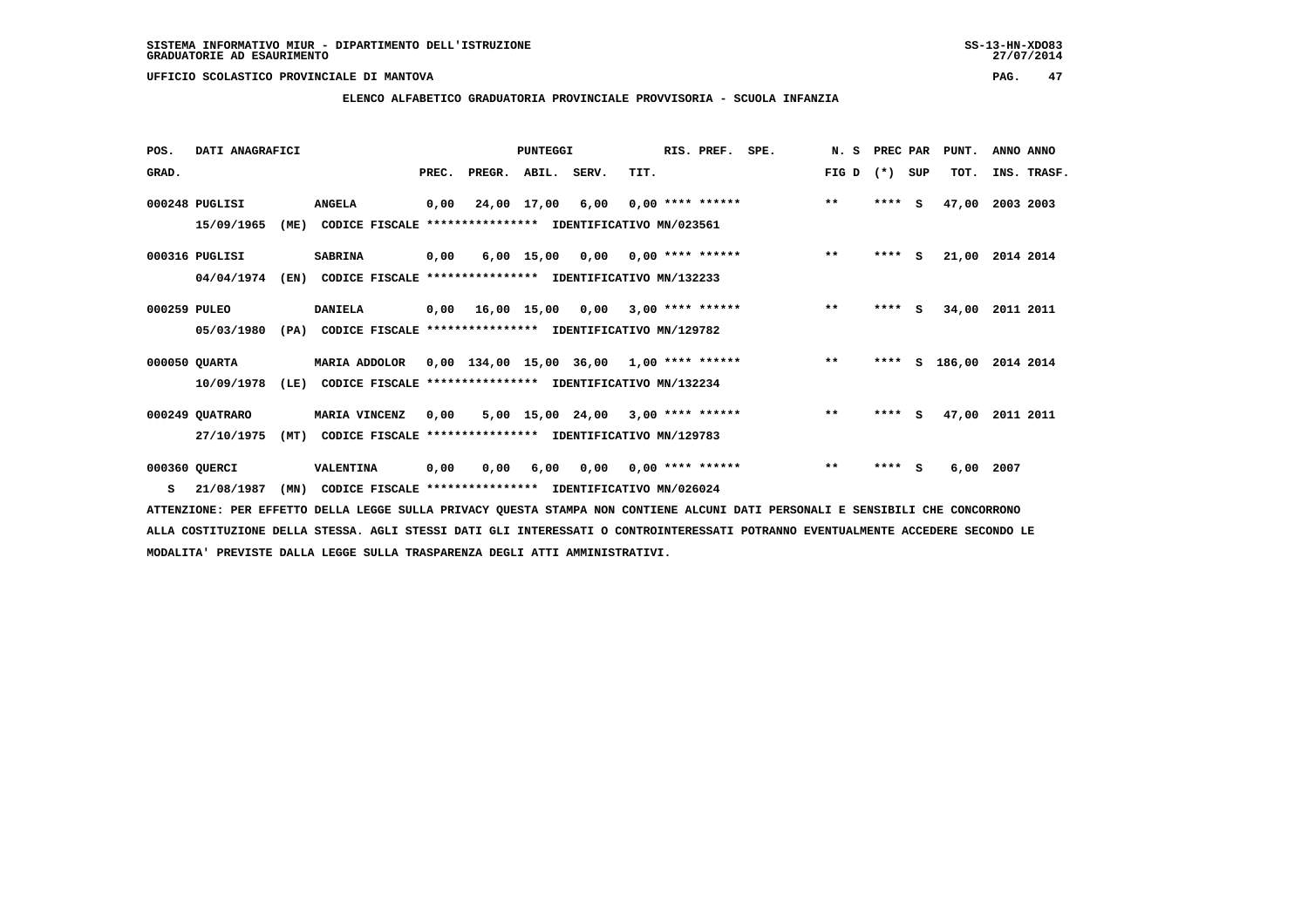### **ELENCO ALFABETICO GRADUATORIA PROVINCIALE PROVVISORIA - SCUOLA INFANZIA**

| POS.         | DATI ANAGRAFICI |      |                                                             |       |                       | <b>PUNTEGGI</b> |                                     |      | RIS. PREF. SPE.           |                    | N. S  | PREC PAR |          | PUNT.         | ANNO ANNO       |
|--------------|-----------------|------|-------------------------------------------------------------|-------|-----------------------|-----------------|-------------------------------------|------|---------------------------|--------------------|-------|----------|----------|---------------|-----------------|
| GRAD.        |                 |      |                                                             | PREC. | PREGR. ABIL. SERV.    |                 |                                     | TIT. |                           |                    | FIG D | $(* )$   | SUP      | TOT.          | INS. TRASF.     |
|              | 000248 PUGLISI  |      | <b>ANGELA</b>                                               | 0,00  |                       | 24,00 17,00     | 6,00                                |      |                           | $0,00$ **** ****** | $***$ | ****     | s        | 47,00         | 2003 2003       |
|              | 15/09/1965      | (ME) | CODICE FISCALE **************** IDENTIFICATIVO MN/023561    |       |                       |                 |                                     |      |                           |                    |       |          |          |               |                 |
|              | 000316 PUGLISI  |      | <b>SABRINA</b>                                              | 0,00  |                       |                 | $6,00$ 15,00 0,00 0,00 **** ******  |      |                           |                    | $***$ | ****     | <b>S</b> | 21,00         | 2014 2014       |
|              | 04/04/1974      | (EN) | CODICE FISCALE **************** IDENTIFICATIVO MN/132233    |       |                       |                 |                                     |      |                           |                    |       |          |          |               |                 |
| 000259 PULEO |                 |      | <b>DANIELA</b>                                              |       | 0,00 16,00 15,00 0,00 |                 |                                     |      | $3,00$ **** ******        |                    | $***$ | ****     | S.       |               | 34,00 2011 2011 |
|              | 05/03/1980      | (PA) | CODICE FISCALE **************** IDENTIFICATIVO MN/129782    |       |                       |                 |                                     |      |                           |                    |       |          |          |               |                 |
|              | 000050 OUARTA   |      | MARIA ADDOLOR  0,00  134,00  15,00  36,00  1,00 **** ****** |       |                       |                 |                                     |      |                           |                    | $***$ |          |          | **** S 186,00 | 2014 2014       |
|              | 10/09/1978      | (LE) | CODICE FISCALE **************** IDENTIFICATIVO MN/132234    |       |                       |                 |                                     |      |                           |                    |       |          |          |               |                 |
|              | 000249 QUATRARO |      | MARIA VINCENZ                                               | 0,00  |                       |                 | $5,00$ 15,00 24,00 3,00 **** ****** |      |                           |                    | $* *$ | $***$ S  |          | 47,00         | 2011 2011       |
|              | 27/10/1975      | (MT) | CODICE FISCALE **************** IDENTIFICATIVO MN/129783    |       |                       |                 |                                     |      |                           |                    |       |          |          |               |                 |
|              | 000360 QUERCI   |      | <b>VALENTINA</b>                                            | 0,00  | 0.00                  | 6,00            |                                     |      | $0,00$ $0,00$ **** ****** |                    | $***$ | **** S   |          | 6,00          | 2007            |
| s            | 21/08/1987      | (MN) | CODICE FISCALE **************** IDENTIFICATIVO MN/026024    |       |                       |                 |                                     |      |                           |                    |       |          |          |               |                 |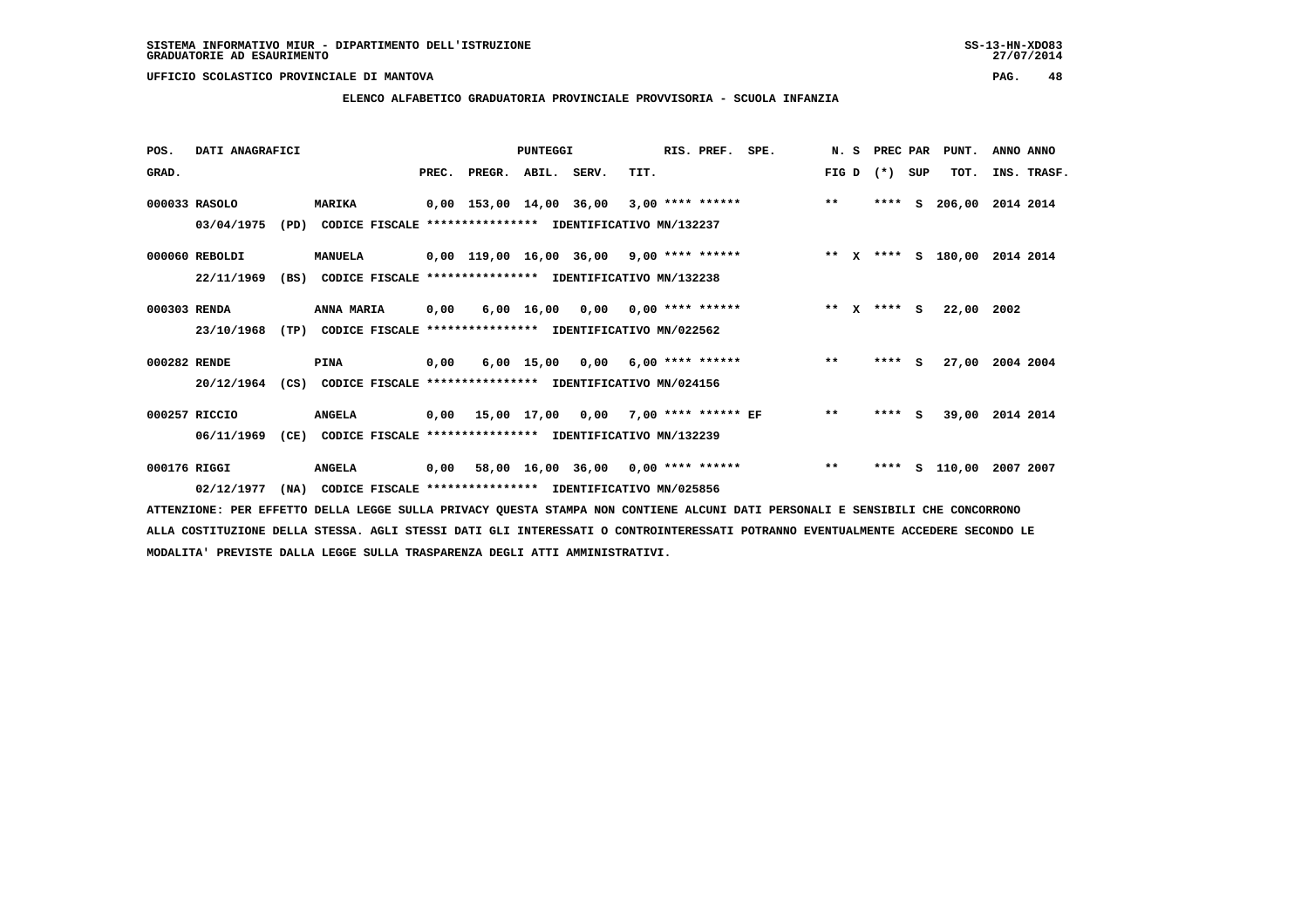### **ELENCO ALFABETICO GRADUATORIA PROVINCIALE PROVVISORIA - SCUOLA INFANZIA**

| POS.         | DATI ANAGRAFICI |      |                                                               |       |                    | PUNTEGGI |                                            |      | RIS. PREF.          | SPE. | N.S    | PREC PAR |     | PUNT.              | ANNO ANNO |             |
|--------------|-----------------|------|---------------------------------------------------------------|-------|--------------------|----------|--------------------------------------------|------|---------------------|------|--------|----------|-----|--------------------|-----------|-------------|
| GRAD.        |                 |      |                                                               | PREC. | PREGR. ABIL. SERV. |          |                                            | TIT. |                     |      | FIG D  | $(*)$    | SUP | тот.               |           | INS. TRASF. |
|              | 000033 RASOLO   |      | MARIKA                                                        |       |                    |          | 0,00 153,00 14,00 36,00                    |      | $3,00$ **** ******  |      | $***$  | ****     | s   | 206,00             | 2014 2014 |             |
|              | 03/04/1975      | (PD) | CODICE FISCALE **************** IDENTIFICATIVO MN/132237      |       |                    |          |                                            |      |                     |      |        |          |     |                    |           |             |
|              | 000060 REBOLDI  |      | <b>MANUELA</b>                                                |       |                    |          | $0,00$ 119,00 16,00 36,00 9,00 **** ****** |      |                     |      |        |          |     | ** X **** S 180,00 | 2014 2014 |             |
|              | 22/11/1969      | (BS) | CODICE FISCALE **************** IDENTIFICATIVO MN/132238      |       |                    |          |                                            |      |                     |      |        |          |     |                    |           |             |
| 000303 RENDA |                 |      | <b>ANNA MARIA</b>                                             | 0,00  |                    |          | $6,00$ 16,00 0,00 0,00 **** ******         |      |                     |      | ** $X$ | **** $S$ |     | 22,00 2002         |           |             |
|              | 23/10/1968      | (TP) | CODICE FISCALE **************** IDENTIFICATIVO MN/022562      |       |                    |          |                                            |      |                     |      |        |          |     |                    |           |             |
| 000282 RENDE |                 |      | PINA                                                          | 0,00  |                    |          | $6,00$ 15,00 0,00 6,00 **** ******         |      |                     |      | $**$   | **** S   |     | 27,00 2004 2004    |           |             |
|              | 20/12/1964      | (CS) | CODICE FISCALE **************** IDENTIFICATIVO MN/024156      |       |                    |          |                                            |      |                     |      |        |          |     |                    |           |             |
|              | 000257 RICCIO   |      | <b>ANGELA</b>                                                 | 0,00  |                    |          | 15,00 17,00 0,00                           |      | 7,00 **** ****** EF |      | $***$  | $***$ S  |     | 39,00              | 2014 2014 |             |
|              | 06/11/1969      |      | (CE) CODICE FISCALE **************** IDENTIFICATIVO MN/132239 |       |                    |          |                                            |      |                     |      |        |          |     |                    |           |             |
| 000176 RIGGI |                 |      | <b>ANGELA</b>                                                 |       |                    |          | $0,00$ 58,00 16,00 36,00 0,00 **** ******  |      |                     |      | $* *$  | ****     |     | s 110,00           | 2007 2007 |             |
|              | 02/12/1977      | (NA) | CODICE FISCALE **************** IDENTIFICATIVO MN/025856      |       |                    |          |                                            |      |                     |      |        |          |     |                    |           |             |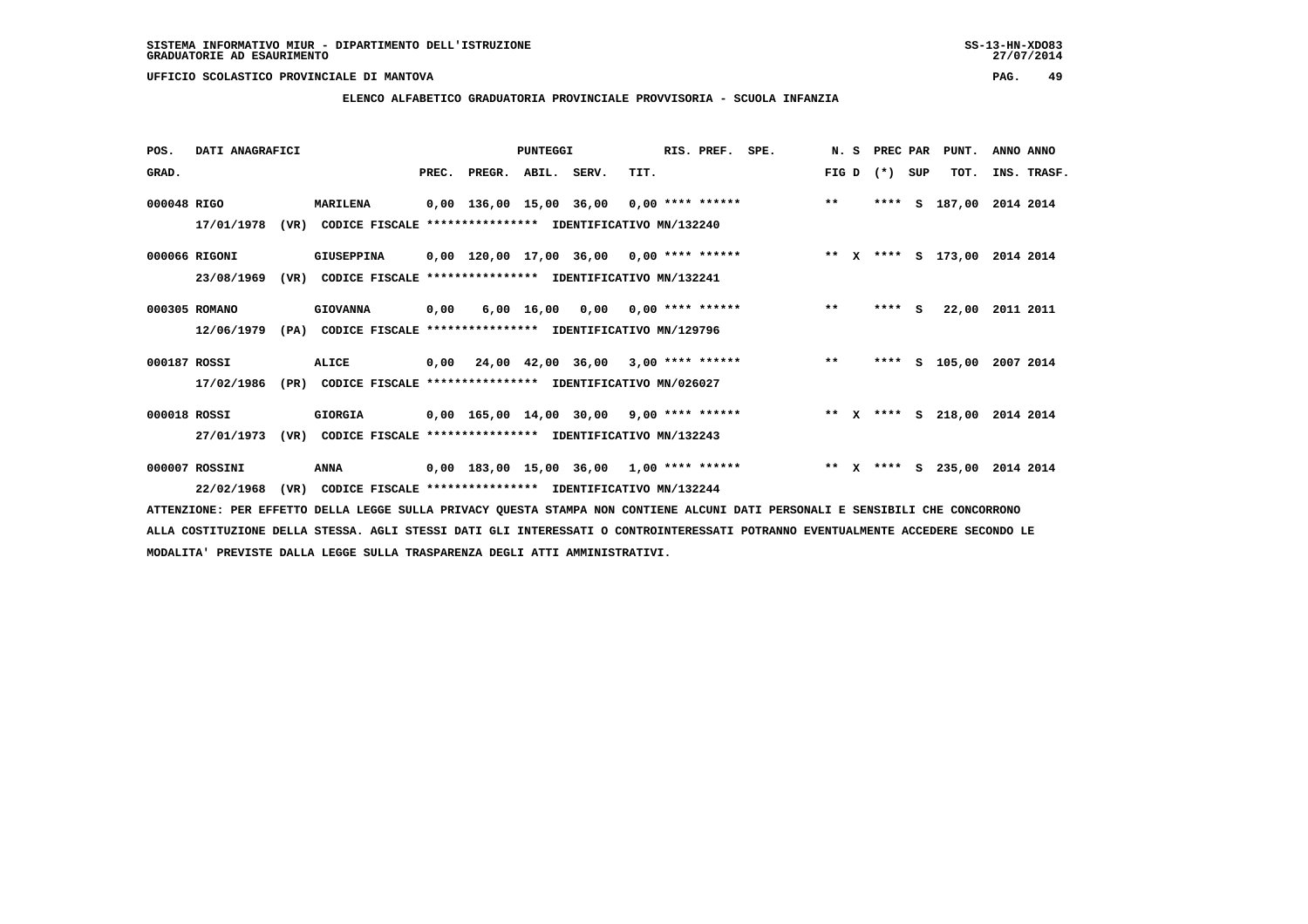### **ELENCO ALFABETICO GRADUATORIA PROVINCIALE PROVVISORIA - SCUOLA INFANZIA**

| POS.         | DATI ANAGRAFICI |      |                                                               |       |                    | PUNTEGGI   |                                                         |                           | RIS. PREF. | SPE.                                            | N. S    | PREC PAR    |     | PUNT.                        | ANNO ANNO   |  |
|--------------|-----------------|------|---------------------------------------------------------------|-------|--------------------|------------|---------------------------------------------------------|---------------------------|------------|-------------------------------------------------|---------|-------------|-----|------------------------------|-------------|--|
| GRAD.        |                 |      |                                                               | PREC. | PREGR. ABIL. SERV. |            |                                                         | TIT.                      |            |                                                 | FIG D   | $(*)$       | SUP | TOT.                         | INS. TRASF. |  |
| 000048 RIGO  |                 |      | <b>MARILENA</b>                                               |       |                    |            |                                                         |                           |            | 0,00 136,00 15,00 36,00 0,00 **** ****** *** ** |         | ****        | s   | 187,00                       | 2014 2014   |  |
|              | 17/01/1978      |      | (VR) CODICE FISCALE **************** IDENTIFICATIVO MN/132240 |       |                    |            |                                                         |                           |            |                                                 |         |             |     |                              |             |  |
|              | 000066 RIGONI   |      | GIUSEPPINA                                                    |       |                    |            | $0,00$ 120,00 17,00 36,00 0,00 **** ******              |                           |            |                                                 |         |             |     | ** X **** S 173,00 2014 2014 |             |  |
|              | 23/08/1969      | (VR) | CODICE FISCALE **************** IDENTIFICATIVO MN/132241      |       |                    |            |                                                         |                           |            |                                                 |         |             |     |                              |             |  |
|              | 000305 ROMANO   |      | <b>GIOVANNA</b>                                               | 0,00  |                    | 6,00 16,00 |                                                         | $0,00$ $0,00$ **** ****** |            |                                                 | $* *$   | $***$ S     |     | 22,00                        | 2011 2011   |  |
|              | 12/06/1979      |      | (PA) CODICE FISCALE **************** IDENTIFICATIVO MN/129796 |       |                    |            |                                                         |                           |            |                                                 |         |             |     |                              |             |  |
| 000187 ROSSI |                 |      | ALICE                                                         |       |                    |            | $0,00$ $24,00$ $42,00$ $36,00$ $3,00$ $***$ **** ****** |                           |            |                                                 | $***$   | ****        |     | S 105,00                     | 2007 2014   |  |
|              | 17/02/1986      | (PR) | CODICE FISCALE **************** IDENTIFICATIVO MN/026027      |       |                    |            |                                                         |                           |            |                                                 |         |             |     |                              |             |  |
| 000018 ROSSI |                 |      | GIORGIA                                                       |       |                    |            | 0,00 165,00 14,00 30,00 9,00 **** ******                |                           |            |                                                 |         | ** X **** S |     | 218,00                       | 2014 2014   |  |
|              | 27/01/1973      | (VR) | CODICE FISCALE **************** IDENTIFICATIVO MN/132243      |       |                    |            |                                                         |                           |            |                                                 |         |             |     |                              |             |  |
|              | 000007 ROSSINI  |      | ANNA                                                          |       |                    |            | $0,00$ 183,00 15,00 36,00 1,00 **** ******              |                           |            |                                                 | $***$ X |             |     | **** S 235,00                | 2014 2014   |  |
|              | 22/02/1968      | (VR) | CODICE FISCALE **************** IDENTIFICATIVO MN/132244      |       |                    |            |                                                         |                           |            |                                                 |         |             |     |                              |             |  |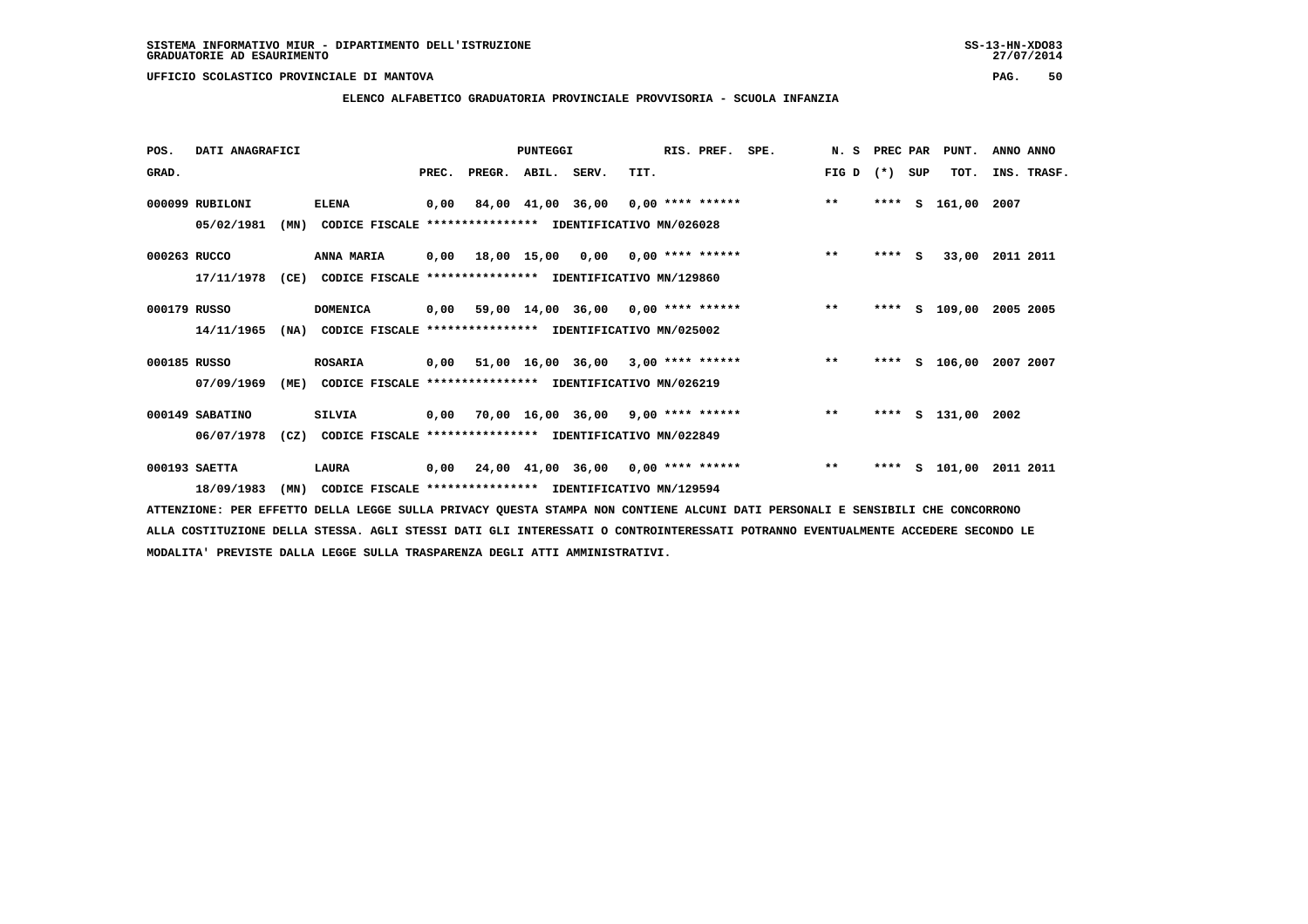### **ELENCO ALFABETICO GRADUATORIA PROVINCIALE PROVVISORIA - SCUOLA INFANZIA**

| POS.         | DATI ANAGRAFICI |      |                                                               |       |                    | PUNTEGGI |                                         |      | RIS. PREF. | SPE.                                      | N.S   | PREC PAR |     | PUNT.              | ANNO ANNO   |  |
|--------------|-----------------|------|---------------------------------------------------------------|-------|--------------------|----------|-----------------------------------------|------|------------|-------------------------------------------|-------|----------|-----|--------------------|-------------|--|
| GRAD.        |                 |      |                                                               | PREC. | PREGR. ABIL. SERV. |          |                                         | TIT. |            |                                           | FIG D | $(* )$   | SUP | TOT.               | INS. TRASF. |  |
|              | 000099 RUBILONI |      | <b>ELENA</b>                                                  | 0,00  |                    |          |                                         |      |            | 84,00 41,00 36,00 0,00 **** ****** *** ** |       | ****     | S.  | 161,00 2007        |             |  |
|              | 05/02/1981      | (MN) | CODICE FISCALE **************** IDENTIFICATIVO MN/026028      |       |                    |          |                                         |      |            |                                           |       |          |     |                    |             |  |
| 000263 RUCCO |                 |      | <b>ANNA MARIA</b>                                             |       |                    |          |                                         |      |            | 0,00 18,00 15,00 0,00 0,00 **** ******    | $* *$ | $***$ S  |     | 33,00              | 2011 2011   |  |
|              | 17/11/1978      | (CE) | CODICE FISCALE **************** IDENTIFICATIVO MN/129860      |       |                    |          |                                         |      |            |                                           |       |          |     |                    |             |  |
| 000179 RUSSO |                 |      | <b>DOMENICA</b>                                               | 0,00  |                    |          |                                         |      |            | 59,00 14,00 36,00 0,00 **** ****** *** ** |       | ****     | S.  | 109,00             | 2005 2005   |  |
|              | 14/11/1965      |      | (NA) CODICE FISCALE **************** IDENTIFICATIVO MN/025002 |       |                    |          |                                         |      |            |                                           |       |          |     |                    |             |  |
| 000185 RUSSO |                 |      | <b>ROSARIA</b>                                                |       |                    |          |                                         |      |            | 0,00 51,00 16,00 36,00 3,00 **** ******   | $***$ |          |     | **** $S$ 106,00    | 2007 2007   |  |
|              | 07/09/1969      | (ME) | CODICE FISCALE **************** IDENTIFICATIVO MN/026219      |       |                    |          |                                         |      |            |                                           |       |          |     |                    |             |  |
|              | 000149 SABATINO |      | <b>SILVIA</b>                                                 |       |                    |          | 0,00 70,00 16,00 36,00 9,00 **** ****** |      |            | $\star\star$                              |       |          |     | **** S 131,00 2002 |             |  |
|              | 06/07/1978      |      | (CZ) CODICE FISCALE **************** IDENTIFICATIVO MN/022849 |       |                    |          |                                         |      |            |                                           |       |          |     |                    |             |  |
|              | 000193 SAETTA   |      | <b>LAURA</b>                                                  |       |                    |          |                                         |      |            | 0,00 24,00 41,00 36,00 0,00 **** ******   | $***$ | ****     |     | s 101,00           | 2011 2011   |  |
|              | 18/09/1983      | (MN) | CODICE FISCALE **************** IDENTIFICATIVO MN/129594      |       |                    |          |                                         |      |            |                                           |       |          |     |                    |             |  |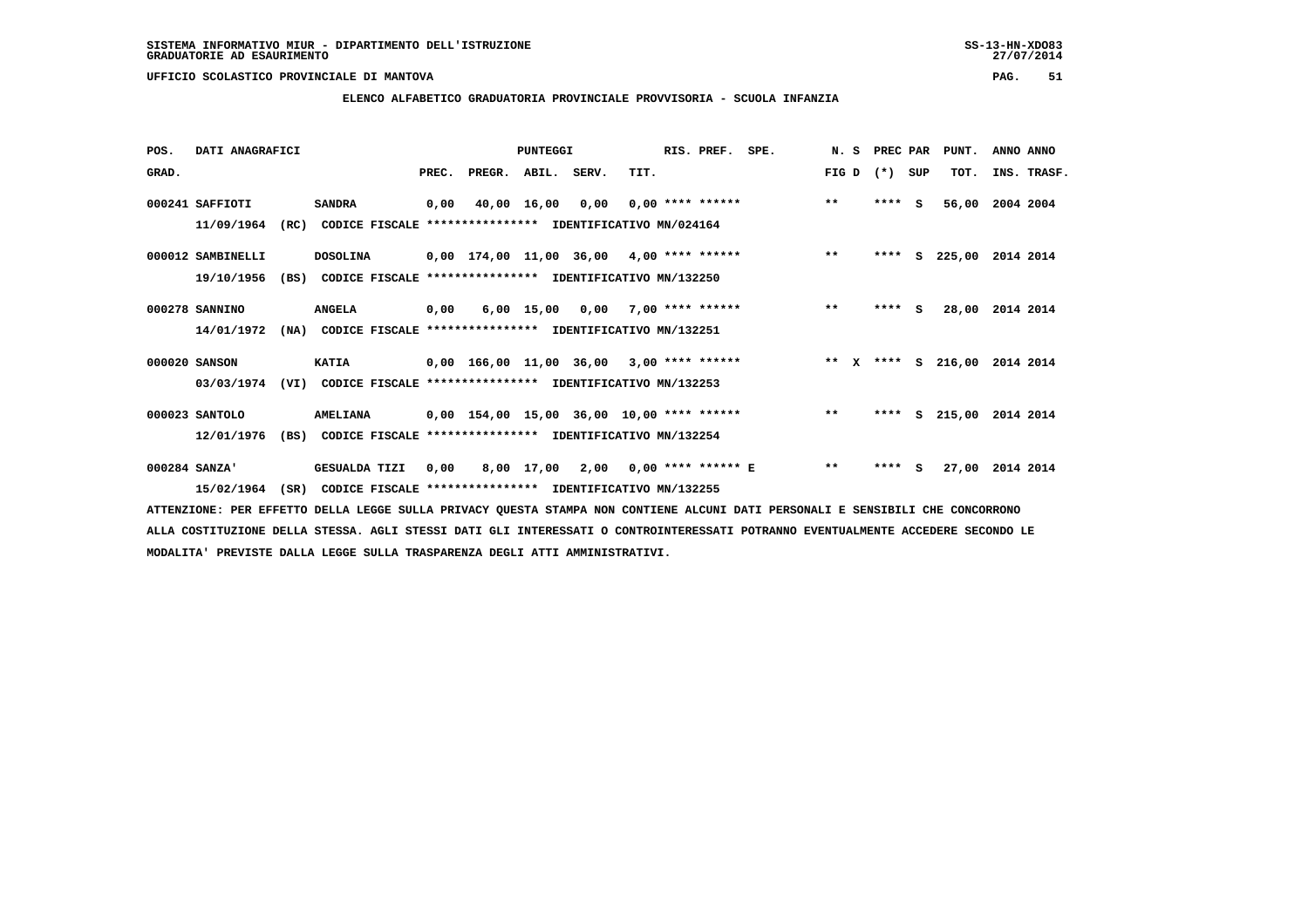### **ELENCO ALFABETICO GRADUATORIA PROVINCIALE PROVVISORIA - SCUOLA INFANZIA**

| POS.  | DATI ANAGRAFICI   |      |                                                               |       |                                           | PUNTEGGI    |      |      | RIS. PREF.         | SPE.                               | N.S   | PREC PAR |     | PUNT.              | ANNO ANNO   |
|-------|-------------------|------|---------------------------------------------------------------|-------|-------------------------------------------|-------------|------|------|--------------------|------------------------------------|-------|----------|-----|--------------------|-------------|
| GRAD. |                   |      |                                                               | PREC. | PREGR. ABIL. SERV.                        |             |      | TIT. |                    |                                    | FIG D | $(*)$    | SUP | TOT.               | INS. TRASF. |
|       | 000241 SAFFIOTI   |      | <b>SANDRA</b>                                                 | 0,00  |                                           | 40,00 16,00 | 0,00 |      | $0.00$ **** ****** |                                    | $***$ | $***$ S  |     | 56,00              | 2004 2004   |
|       | 11/09/1964        | (RC) | CODICE FISCALE **************** IDENTIFICATIVO MN/024164      |       |                                           |             |      |      |                    |                                    |       |          |     |                    |             |
|       | 000012 SAMBINELLI |      | <b>DOSOLINA</b>                                               |       | 0,00 174,00 11,00 36,00 4,00 **** ******  |             |      |      |                    |                                    | $***$ | ****     |     | S 225,00           | 2014 2014   |
|       | 19/10/1956        | (BS) | CODICE FISCALE **************** IDENTIFICATIVO MN/132250      |       |                                           |             |      |      |                    |                                    |       |          |     |                    |             |
|       | 000278 SANNINO    |      | <b>ANGELA</b>                                                 | 0,00  |                                           | 6,00 15,00  | 0,00 |      | $7,00$ **** ****** |                                    | $***$ | $***$ S  |     | 28,00              | 2014 2014   |
|       | 14/01/1972        |      | (NA) CODICE FISCALE **************** IDENTIFICATIVO MN/132251 |       |                                           |             |      |      |                    |                                    |       |          |     |                    |             |
|       | 000020 SANSON     |      | <b>KATIA</b>                                                  |       | 0,00 166,00 11,00 36,00 3,00 **** ******  |             |      |      |                    |                                    |       |          |     | ** x **** s 216,00 | 2014 2014   |
|       | 03/03/1974        | (VI) | CODICE FISCALE **************** IDENTIFICATIVO MN/132253      |       |                                           |             |      |      |                    |                                    |       |          |     |                    |             |
|       | 000023 SANTOLO    |      | <b>AMELIANA</b>                                               |       | 0,00 154,00 15,00 36,00 10,00 **** ****** |             |      |      |                    |                                    | $***$ | ****     |     | S 215,00           | 2014 2014   |
|       | 12/01/1976        |      | (BS) CODICE FISCALE *************** IDENTIFICATIVO MN/132254  |       |                                           |             |      |      |                    |                                    |       |          |     |                    |             |
|       | 000284 SANZA'     |      | <b>GESUALDA TIZI</b>                                          | 0,00  |                                           |             |      |      |                    | 8,00 17,00 2,00 0,00 **** ****** E | $***$ | ****     | - S | 27,00              | 2014 2014   |
|       | 15/02/1964        | (SR) | CODICE FISCALE **************** IDENTIFICATIVO MN/132255      |       |                                           |             |      |      |                    |                                    |       |          |     |                    |             |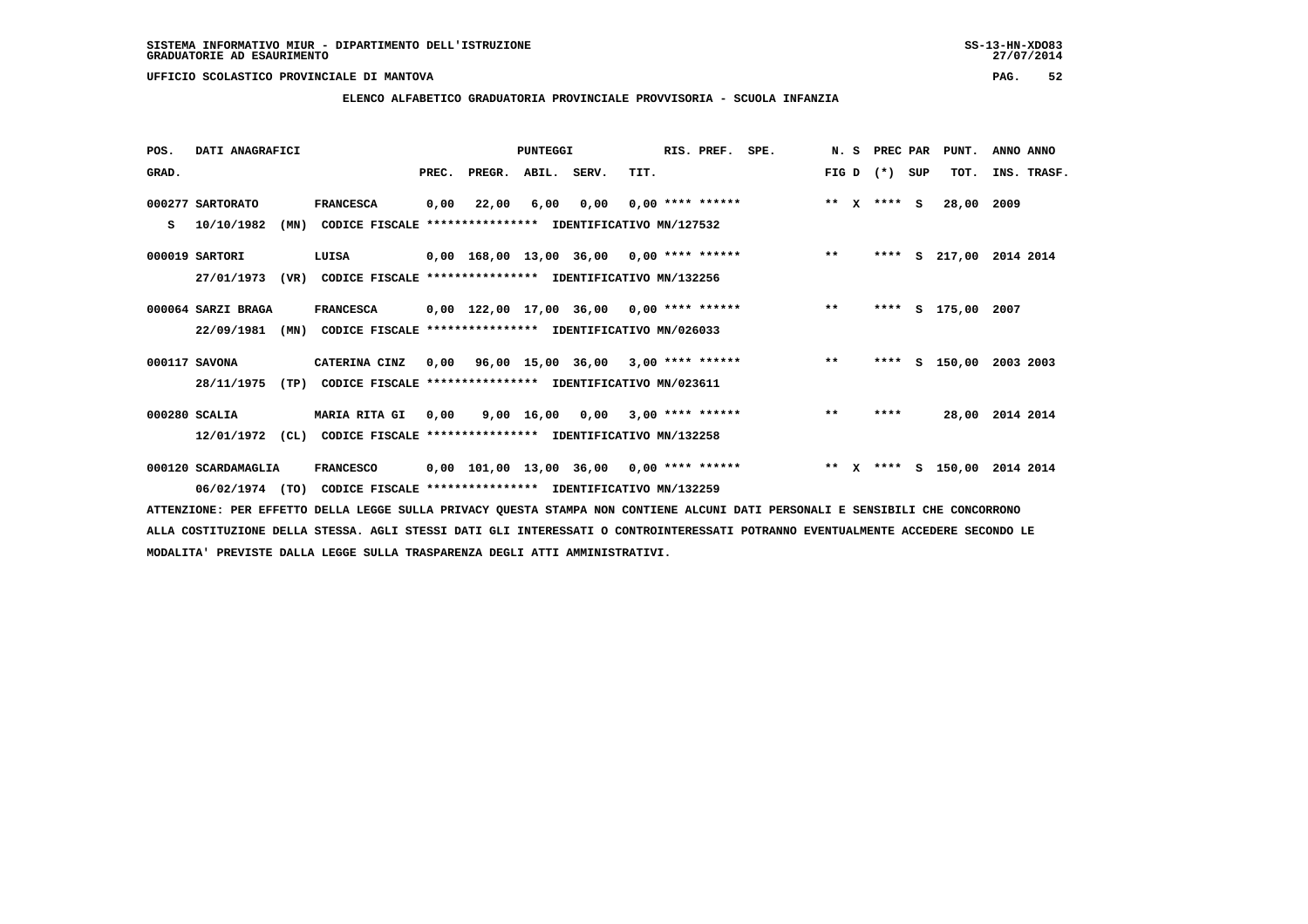**ELENCO ALFABETICO GRADUATORIA PROVINCIALE PROVVISORIA - SCUOLA INFANZIA**

 **POS. DATI ANAGRAFICI PUNTEGGI RIS. PREF. SPE. N. S PREC PAR PUNT. ANNO ANNO**GRAD. **PREGRADE SERVEGER. ABIL. SERV. TIT.** FIG D (\*) SUP TOT. INS. TRASF.  **000277 SARTORATO FRANCESCA 0,00 22,00 6,00 0,00 0,00 \*\*\*\* \*\*\*\*\*\* \*\* X \*\*\*\* S 28,00 2009 S 10/10/1982 (MN) CODICE FISCALE \*\*\*\*\*\*\*\*\*\*\*\*\*\*\*\* IDENTIFICATIVO MN/127532 000019 SARTORI LUISA 0,00 168,00 13,00 36,00 0,00 \*\*\*\* \*\*\*\*\*\* \*\* \*\*\*\* S 217,00 2014 2014 27/01/1973 (VR) CODICE FISCALE \*\*\*\*\*\*\*\*\*\*\*\*\*\*\*\* IDENTIFICATIVO MN/132256 000064 SARZI BRAGA FRANCESCA 0,00 122,00 17,00 36,00 0,00 \*\*\*\* \*\*\*\*\*\* \*\* \*\*\*\* S 175,00 2007 22/09/1981 (MN) CODICE FISCALE \*\*\*\*\*\*\*\*\*\*\*\*\*\*\*\* IDENTIFICATIVO MN/026033 000117 SAVONA CATERINA CINZ 0,00 96,00 15,00 36,00 3,00 \*\*\*\* \*\*\*\*\*\* \*\* \*\*\*\* S 150,00 2003 2003 28/11/1975 (TP) CODICE FISCALE \*\*\*\*\*\*\*\*\*\*\*\*\*\*\*\* IDENTIFICATIVO MN/023611 000280 SCALIA MARIA RITA GI 0,00 9,00 16,00 0,00 3,00 \*\*\*\* \*\*\*\*\*\* \*\* \*\*\*\* 28,00 2014 2014 12/01/1972 (CL) CODICE FISCALE \*\*\*\*\*\*\*\*\*\*\*\*\*\*\*\* IDENTIFICATIVO MN/132258 000120 SCARDAMAGLIA FRANCESCO 0,00 101,00 13,00 36,00 0,00 \*\*\*\* \*\*\*\*\*\* \*\* X \*\*\*\* S 150,00 2014 2014 06/02/1974 (TO) CODICE FISCALE \*\*\*\*\*\*\*\*\*\*\*\*\*\*\*\* IDENTIFICATIVO MN/132259**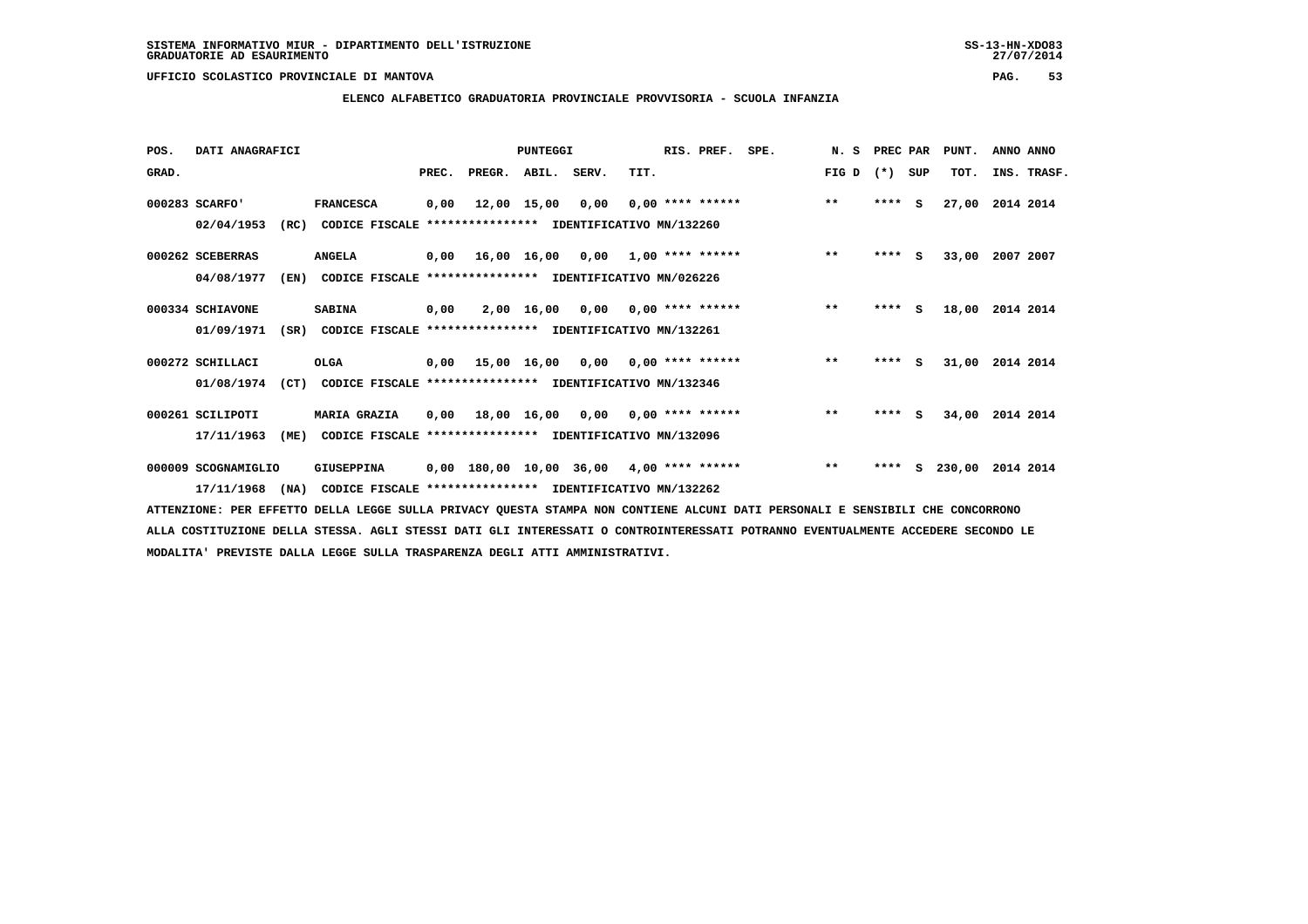# **ELENCO ALFABETICO GRADUATORIA PROVINCIALE PROVVISORIA - SCUOLA INFANZIA**

| POS.  | DATI ANAGRAFICI     |      |                                                          |       |                                           | PUNTEGGI    |                                           |      | RIS. PREF.         | SPE. | N.S          | PREC PAR |     | PUNT.  | ANNO ANNO   |
|-------|---------------------|------|----------------------------------------------------------|-------|-------------------------------------------|-------------|-------------------------------------------|------|--------------------|------|--------------|----------|-----|--------|-------------|
| GRAD. |                     |      |                                                          | PREC. | PREGR.                                    | ABIL.       | SERV.                                     | TIT. |                    |      | FIG D        | $(*)$    | SUP | TOT.   | INS. TRASF. |
|       | 000283 SCARFO'      |      | <b>FRANCESCA</b>                                         | 0,00  |                                           | 12,00 15,00 | 0,00                                      |      | $0,00$ **** ****** |      | $\star\star$ | ****     | - S | 27,00  | 2014 2014   |
|       | 02/04/1953          | (RC) | CODICE FISCALE **************** IDENTIFICATIVO MN/132260 |       |                                           |             |                                           |      |                    |      |              |          |     |        |             |
|       | 000262 SCEBERRAS    |      | <b>ANGELA</b>                                            | 0,00  | 16,00 16,00 0,00 1,00 **** ******         |             |                                           |      |                    |      | $\star\star$ | ****     | s   | 33,00  | 2007 2007   |
|       | 04/08/1977          | (EN) | CODICE FISCALE                                           |       | **************** IDENTIFICATIVO MN/026226 |             |                                           |      |                    |      |              |          |     |        |             |
|       | 000334 SCHIAVONE    |      | <b>SABINA</b>                                            | 0,00  |                                           | 2,00 16,00  | 0,00                                      |      | $0,00$ **** ****** |      | $\star\star$ | ****     | - S | 18,00  | 2014 2014   |
|       | 01/09/1971          | (SR) | CODICE FISCALE **************** IDENTIFICATIVO MN/132261 |       |                                           |             |                                           |      |                    |      |              |          |     |        |             |
|       | 000272 SCHILLACI    |      | <b>OLGA</b>                                              | 0.00  |                                           |             | $15,00$ $16,00$ $0,00$ $0,00$ **** ****** |      |                    |      | $\star\star$ | ****     | - 5 | 31,00  | 2014 2014   |
|       | 01/08/1974          | (CT) | CODICE FISCALE **************** IDENTIFICATIVO MN/132346 |       |                                           |             |                                           |      |                    |      |              |          |     |        |             |
|       | 000261 SCILIPOTI    |      | <b>MARIA GRAZIA</b>                                      |       | 0,00 18,00 16,00 0,00                     |             |                                           |      | $0.00$ **** ****** |      | $\star\star$ | $***$ S  |     | 34,00  | 2014 2014   |
|       | 17/11/1963          | (ME) | CODICE FISCALE                                           |       | **************** IDENTIFICATIVO MN/132096 |             |                                           |      |                    |      |              |          |     |        |             |
|       | 000009 SCOGNAMIGLIO |      | <b>GIUSEPPINA</b>                                        |       | 0,00 180,00 10,00 36,00                   |             |                                           |      | $4,00$ **** ****** |      | $\star\star$ | ****     | s   | 230,00 | 2014 2014   |
|       | 17/11/1968          | (NA) | CODICE FISCALE **************** IDENTIFICATIVO MN/132262 |       |                                           |             |                                           |      |                    |      |              |          |     |        |             |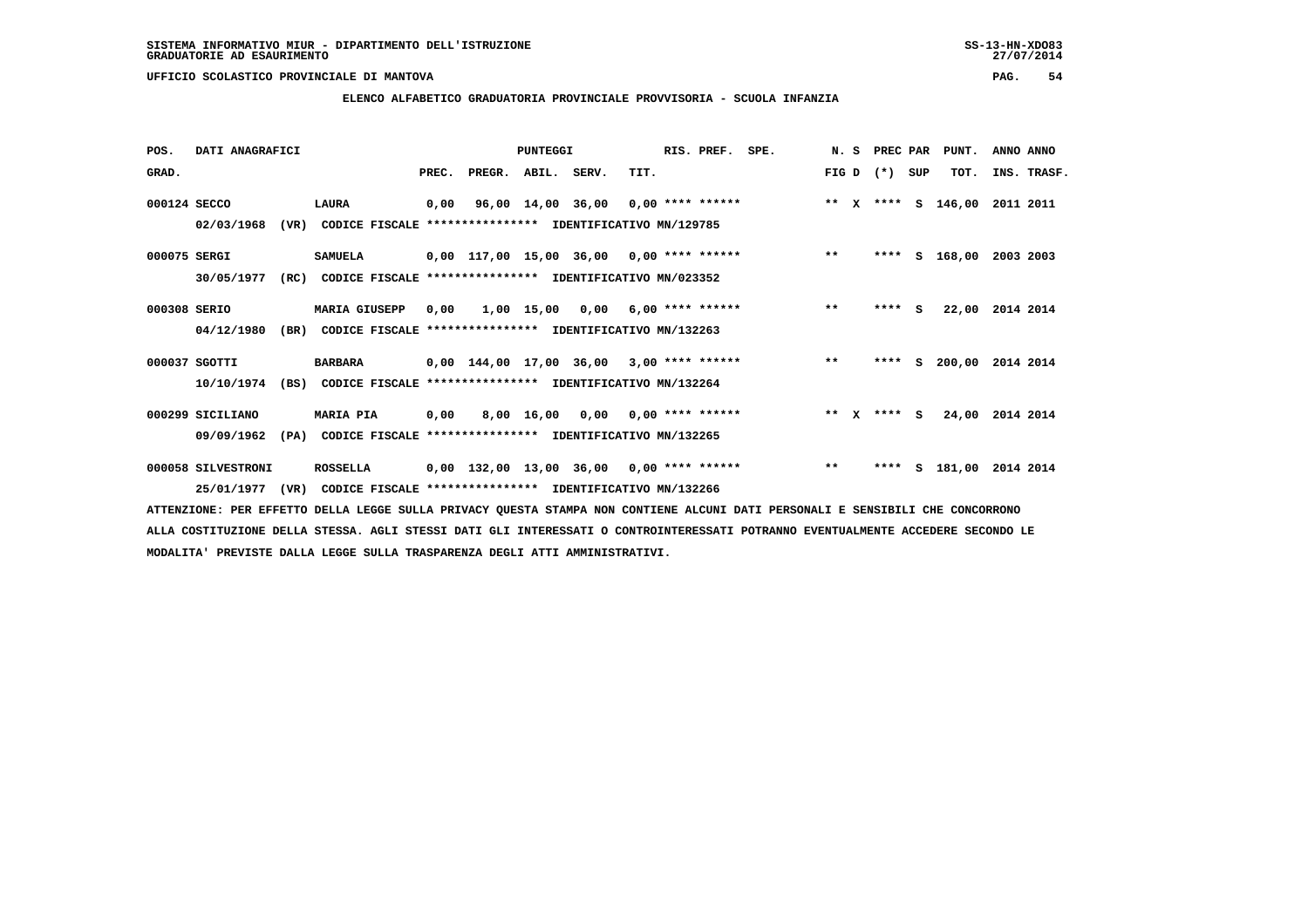**POS. DATI ANAGRAFICI PUNTEGGI RIS. PREF. SPE. N. S PREC PAR PUNT. ANNO ANNO**GRAD. **BRAD. PREC. PREGR. ABIL. SERV.** TIT. THE REGREATER FIG D (\*) SUP TOT. INS. TRASF.  **000124 SECCO LAURA 0,00 96,00 14,00 36,00 0,00 \*\*\*\* \*\*\*\*\*\* \*\* X \*\*\*\* S 146,00 2011 2011 02/03/1968 (VR) CODICE FISCALE \*\*\*\*\*\*\*\*\*\*\*\*\*\*\*\* IDENTIFICATIVO MN/129785 000075 SERGI SAMUELA 0,00 117,00 15,00 36,00 0,00 \*\*\*\* \*\*\*\*\*\* \*\* \*\*\*\* S 168,00 2003 2003 30/05/1977 (RC) CODICE FISCALE \*\*\*\*\*\*\*\*\*\*\*\*\*\*\*\* IDENTIFICATIVO MN/023352 000308 SERIO MARIA GIUSEPP 0,00 1,00 15,00 0,00 6,00 \*\*\*\* \*\*\*\*\*\* \*\* \*\*\*\* S 22,00 2014 2014 04/12/1980 (BR) CODICE FISCALE \*\*\*\*\*\*\*\*\*\*\*\*\*\*\*\* IDENTIFICATIVO MN/132263 000037 SGOTTI BARBARA 0,00 144,00 17,00 36,00 3,00 \*\*\*\* \*\*\*\*\*\* \*\* \*\*\*\* S 200,00 2014 2014 10/10/1974 (BS) CODICE FISCALE \*\*\*\*\*\*\*\*\*\*\*\*\*\*\*\* IDENTIFICATIVO MN/132264 000299 SICILIANO MARIA PIA 0,00 8,00 16,00 0,00 0,00 \*\*\*\* \*\*\*\*\*\* \*\* X \*\*\*\* S 24,00 2014 2014 09/09/1962 (PA) CODICE FISCALE \*\*\*\*\*\*\*\*\*\*\*\*\*\*\*\* IDENTIFICATIVO MN/132265 000058 SILVESTRONI ROSSELLA 0,00 132,00 13,00 36,00 0,00 \*\*\*\* \*\*\*\*\*\* \*\* \*\*\*\* S 181,00 2014 2014**

 **25/01/1977 (VR) CODICE FISCALE \*\*\*\*\*\*\*\*\*\*\*\*\*\*\*\* IDENTIFICATIVO MN/132266**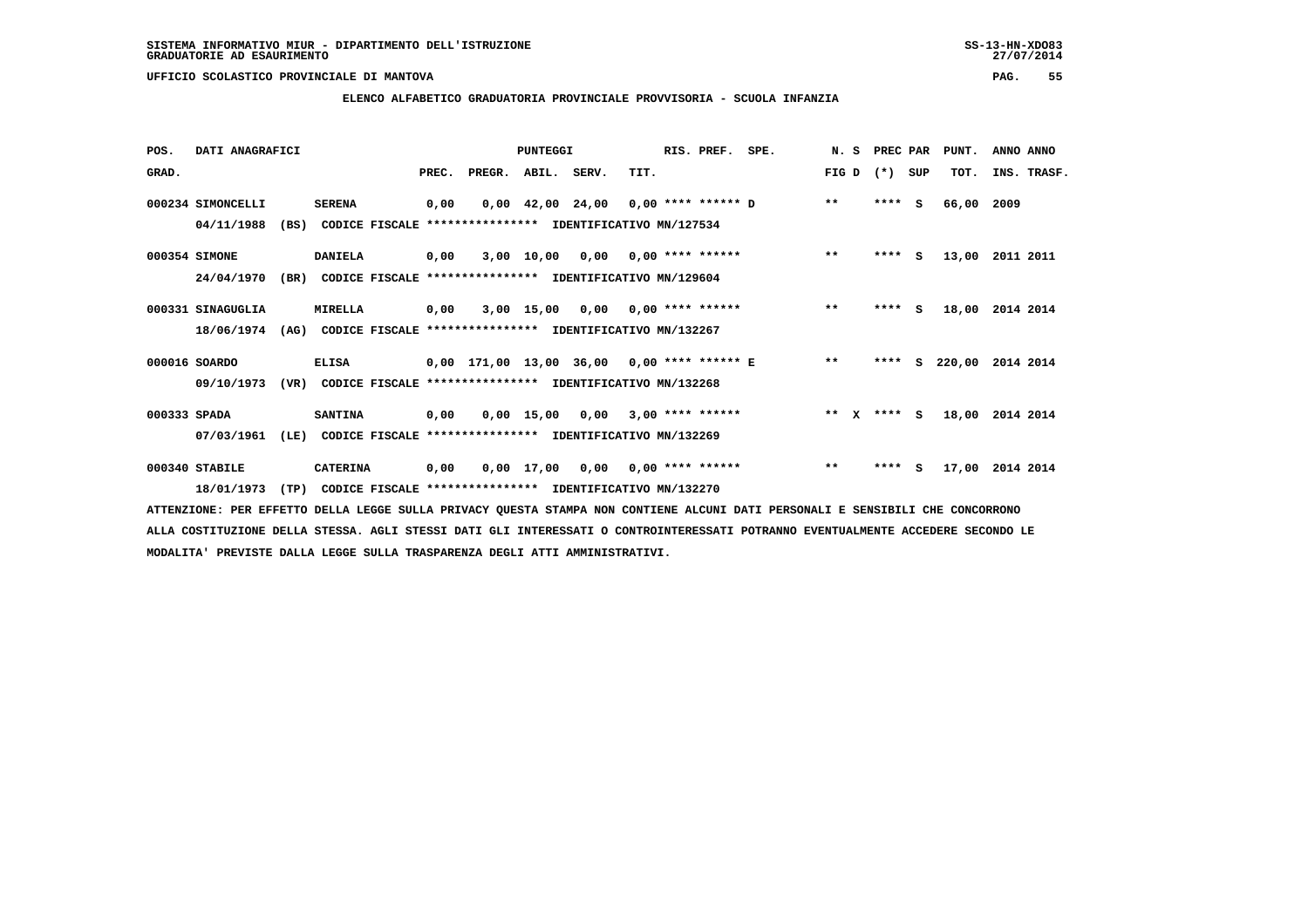# **ELENCO ALFABETICO GRADUATORIA PROVINCIALE PROVVISORIA - SCUOLA INFANZIA**

| POS.         | DATI ANAGRAFICI   |      |                 |       |                                                          | PUNTEGGI    |                                    |      | RIS. PREF.                | SPE.                                       | N.S   |              | PREC PAR |          | PUNT.  | ANNO ANNO |             |
|--------------|-------------------|------|-----------------|-------|----------------------------------------------------------|-------------|------------------------------------|------|---------------------------|--------------------------------------------|-------|--------------|----------|----------|--------|-----------|-------------|
| GRAD.        |                   |      |                 | PREC. | PREGR.                                                   | ABIL. SERV. |                                    | TIT. |                           |                                            | FIG D |              | $(*)$    | SUP      | TOT.   |           | INS. TRASF. |
|              | 000234 SIMONCELLI |      | <b>SERENA</b>   | 0,00  |                                                          |             |                                    |      |                           | $0,00$ 42,00 24,00 0,00 **** ****** D **   |       |              | ****     | <b>S</b> | 66,00  | 2009      |             |
|              | 04/11/1988        | (BS) |                 |       | CODICE FISCALE **************** IDENTIFICATIVO MN/127534 |             |                                    |      |                           |                                            |       |              |          |          |        |           |             |
|              | 000354 SIMONE     |      | <b>DANIELA</b>  | 0,00  |                                                          |             | $3,00$ 10,00 0,00 0,00 **** ****** |      |                           |                                            | $***$ |              | $***$ S  |          | 13,00  | 2011 2011 |             |
|              | 24/04/1970        | (BR) |                 |       | CODICE FISCALE **************** IDENTIFICATIVO MN/129604 |             |                                    |      |                           |                                            |       |              |          |          |        |           |             |
|              | 000331 SINAGUGLIA |      | MIRELLA         | 0,00  |                                                          | 3,00 15,00  |                                    |      | $0,00$ $0,00$ **** ****** |                                            | $***$ |              | ****     | <b>S</b> | 18,00  | 2014 2014 |             |
|              | 18/06/1974        | (AG) |                 |       | CODICE FISCALE **************** IDENTIFICATIVO MN/132267 |             |                                    |      |                           |                                            |       |              |          |          |        |           |             |
|              | 000016 SOARDO     |      | <b>ELISA</b>    |       |                                                          |             |                                    |      |                           | 0,00 171,00 13,00 36,00 0,00 **** ****** E | $* *$ |              | $***$ S  |          | 220,00 | 2014 2014 |             |
|              | 09/10/1973        | (VR) |                 |       | CODICE FISCALE **************** IDENTIFICATIVO MN/132268 |             |                                    |      |                           |                                            |       |              |          |          |        |           |             |
| 000333 SPADA |                   |      | <b>SANTINA</b>  | 0,00  |                                                          | 0,00 15,00  | 0,00                               |      | $3,00$ **** ******        |                                            | $* *$ | $\mathbf{x}$ | **** S   |          | 18,00  | 2014 2014 |             |
|              | 07/03/1961        | (LE) |                 |       | CODICE FISCALE **************** IDENTIFICATIVO MN/132269 |             |                                    |      |                           |                                            |       |              |          |          |        |           |             |
|              | 000340 STABILE    |      | <b>CATERINA</b> | 0,00  |                                                          |             | $0,00$ 17,00 0,00 0,00 **** ****** |      |                           |                                            | $***$ |              | ****     | S.       | 17,00  | 2014 2014 |             |
|              | 18/01/1973        | (TP) |                 |       | CODICE FISCALE **************** IDENTIFICATIVO MN/132270 |             |                                    |      |                           |                                            |       |              |          |          |        |           |             |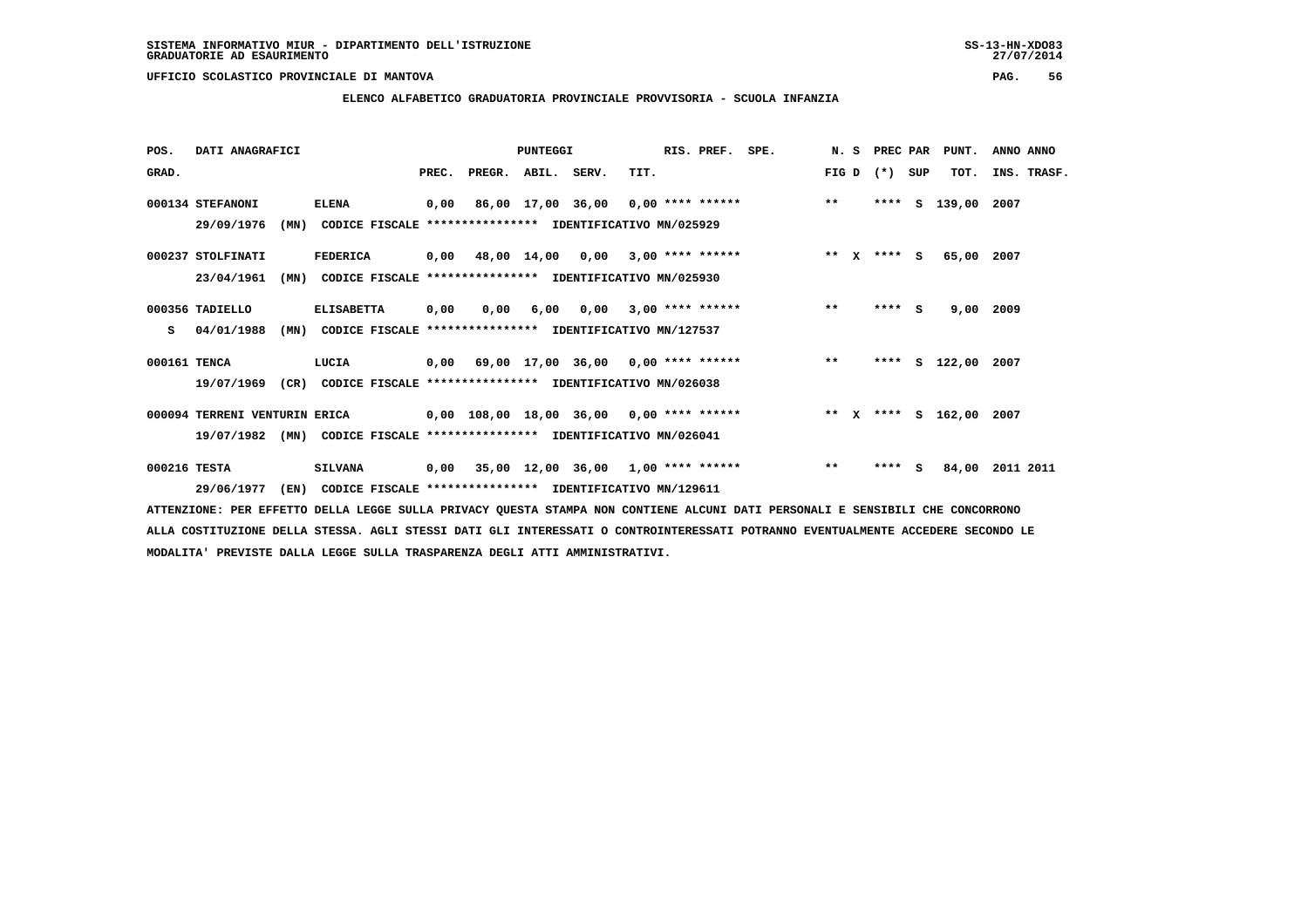| POS.         | DATI ANAGRAFICI               |                                                                         |      |                          | <b>PUNTEGGI</b> |      |                                          | RIS. PREF. SPE. |                                         |       | N. S PREC PAR |     | PUNT.              | ANNO ANNO   |
|--------------|-------------------------------|-------------------------------------------------------------------------|------|--------------------------|-----------------|------|------------------------------------------|-----------------|-----------------------------------------|-------|---------------|-----|--------------------|-------------|
| GRAD.        |                               |                                                                         |      | PREC. PREGR. ABIL. SERV. |                 |      | TIT.                                     |                 |                                         |       | FIG D $(*)$   | SUP | тот.               | INS. TRASF. |
|              | 000134 STEFANONI              | <b>ELENA</b>                                                            |      |                          |                 |      | 0,00 86,00 17,00 36,00 0,00 **** ******  |                 |                                         | $**$  |               |     | **** S 139,00 2007 |             |
|              | 29/09/1976<br>(MN)            | CODICE FISCALE **************** IDENTIFICATIVO MN/025929                |      |                          |                 |      |                                          |                 |                                         |       |               |     |                    |             |
|              | 000237 STOLFINATI             | <b>FEDERICA</b>                                                         |      |                          |                 |      | $0,00$ 48,00 14,00 0,00 3,00 **** ****** |                 |                                         |       | ** x **** s   |     | 65,00 2007         |             |
|              | 23/04/1961                    | CODICE FISCALE **************** IDENTIFICATIVO MN/025930<br>(MN)        |      |                          |                 |      |                                          |                 |                                         |       |               |     |                    |             |
|              | 000356 TADIELLO               | <b>ELISABETTA</b>                                                       | 0,00 | 0,00                     | 6,00            | 0,00 | $3,00$ **** ******                       |                 |                                         | $***$ | $***$ S       |     | 9,00 2009          |             |
| s            | 04/01/1988                    | (MN) CODICE FISCALE *************** IDENTIFICATIVO MN/127537            |      |                          |                 |      |                                          |                 |                                         |       |               |     |                    |             |
| 000161 TENCA |                               | LUCIA                                                                   |      |                          |                 |      |                                          |                 | 0,00 69,00 17,00 36,00 0,00 **** ****** | $* *$ |               |     | **** S 122,00 2007 |             |
|              |                               | 19/07/1969 (CR) CODICE FISCALE *************** IDENTIFICATIVO MN/026038 |      |                          |                 |      |                                          |                 |                                         |       |               |     |                    |             |
|              | 000094 TERRENI VENTURIN ERICA |                                                                         |      |                          |                 |      | 0,00 108,00 18,00 36,00 0,00 **** ****** |                 | ** x **** s 162,00 2007                 |       |               |     |                    |             |
|              | 19/07/1982                    | (MN)<br>CODICE FISCALE **************** IDENTIFICATIVO MN/026041        |      |                          |                 |      |                                          |                 |                                         |       |               |     |                    |             |
| 000216 TESTA |                               | <b>SILVANA</b>                                                          |      |                          |                 |      | 0,00 35,00 12,00 36,00 1,00 **** ******  |                 |                                         | $***$ | $***$ S       |     | 84,00              | 2011 2011   |
|              | 29/06/1977                    | (EN) CODICE FISCALE **************** IDENTIFICATIVO MN/129611           |      |                          |                 |      |                                          |                 |                                         |       |               |     |                    |             |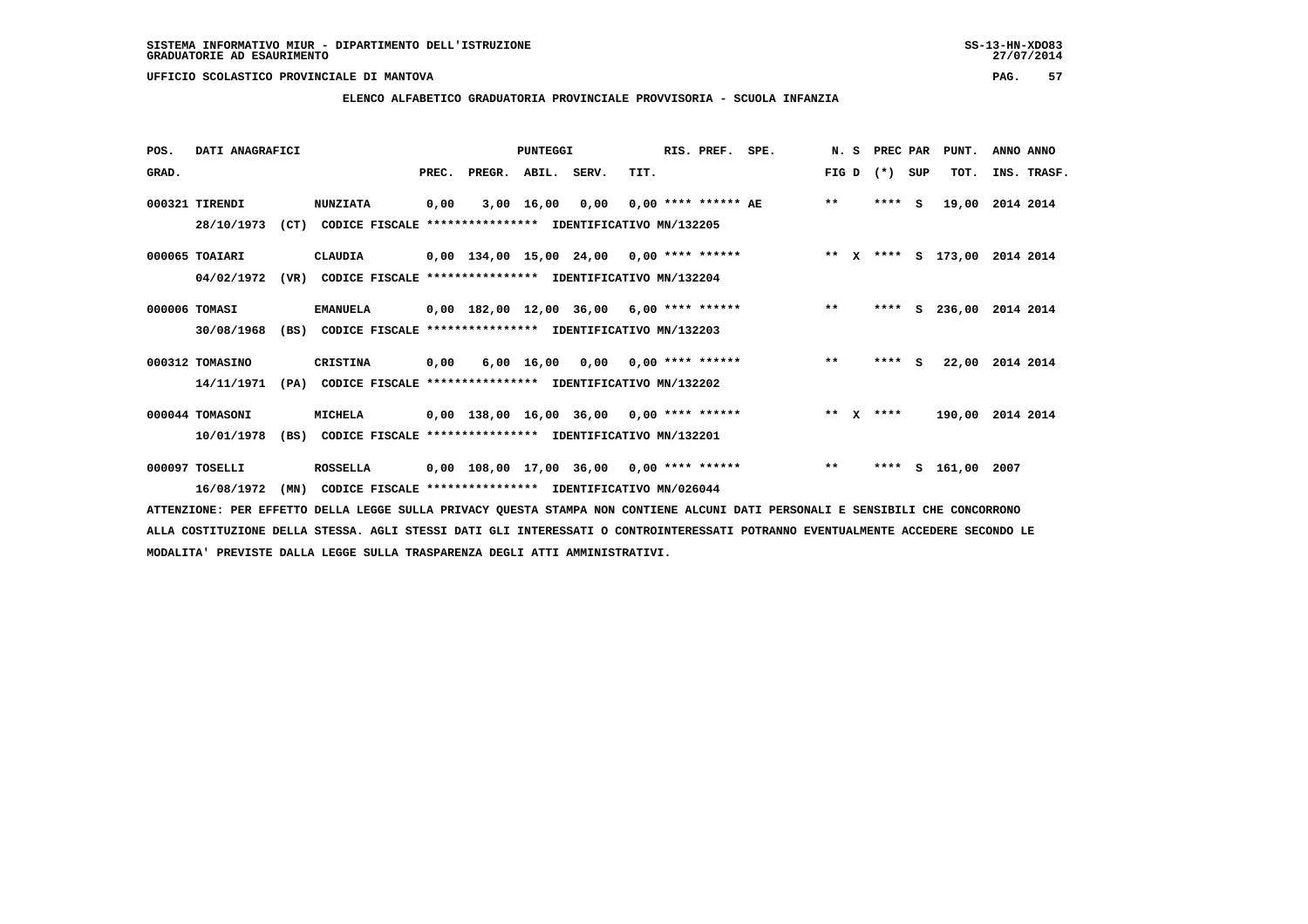### **ELENCO ALFABETICO GRADUATORIA PROVINCIALE PROVVISORIA - SCUOLA INFANZIA**

| POS.  | DATI ANAGRAFICI |      |                                                          |       |                                            | PUNTEGGI    |                                    |      | RIS. PREF.            | SPE. | N.S   |              | PREC PAR |          | PUNT.              | ANNO ANNO   |
|-------|-----------------|------|----------------------------------------------------------|-------|--------------------------------------------|-------------|------------------------------------|------|-----------------------|------|-------|--------------|----------|----------|--------------------|-------------|
| GRAD. |                 |      |                                                          | PREC. | PREGR.                                     | ABIL. SERV. |                                    | TIT. |                       |      | FIG D |              | $(*)$    | SUP      | TOT.               | INS. TRASF. |
|       | 000321 TIRENDI  |      | <b>NUNZIATA</b>                                          | 0,00  |                                            | 3,00 16,00  | 0,00                               |      | $0.00$ **** ****** AE |      | $* *$ |              | ****     | <b>S</b> | 19,00              | 2014 2014   |
|       | 28/10/1973      | (CT) | CODICE FISCALE **************** IDENTIFICATIVO MN/132205 |       |                                            |             |                                    |      |                       |      |       |              |          |          |                    |             |
|       | 000065 TOAIARI  |      | CLAUDIA                                                  |       | $0,00$ 134,00 15,00 24,00 0,00 **** ****** |             |                                    |      |                       |      |       |              |          |          | ** x **** s 173,00 | 2014 2014   |
|       | 04/02/1972      | (VR) | CODICE FISCALE **************** IDENTIFICATIVO MN/132204 |       |                                            |             |                                    |      |                       |      |       |              |          |          |                    |             |
|       | 000006 TOMASI   |      | <b>EMANUELA</b>                                          |       | $0,00$ 182,00 12,00 36,00 6,00 **** ****** |             |                                    |      |                       |      | $* *$ |              | ****     | s        | 236,00             | 2014 2014   |
|       | 30/08/1968      | (BS) | CODICE FISCALE **************** IDENTIFICATIVO MN/132203 |       |                                            |             |                                    |      |                       |      |       |              |          |          |                    |             |
|       | 000312 TOMASINO |      | CRISTINA                                                 | 0,00  |                                            |             | $6,00$ 16,00 0,00 0,00 **** ****** |      |                       |      | $***$ |              | $***$ S  |          | 22,00              | 2014 2014   |
|       | 14/11/1971      | (PA) | CODICE FISCALE **************** IDENTIFICATIVO MN/132202 |       |                                            |             |                                    |      |                       |      |       |              |          |          |                    |             |
|       | 000044 TOMASONI |      | MICHELA                                                  |       | $0,00$ 138,00 16,00 36,00 0,00 **** ****** |             |                                    |      |                       |      | $* *$ | $\mathbf{x}$ | ****     |          | 190,00             | 2014 2014   |
|       | 10/01/1978      | (BS) | CODICE FISCALE **************** IDENTIFICATIVO MN/132201 |       |                                            |             |                                    |      |                       |      |       |              |          |          |                    |             |
|       | 000097 TOSELLI  |      | <b>ROSSELLA</b>                                          |       | $0,00$ 108,00 17,00 36,00 0,00 **** ****** |             |                                    |      |                       |      | $**$  |              | ****     | s        | 161,00             | 2007        |
|       | 16/08/1972      | (MN) | CODICE FISCALE **************** IDENTIFICATIVO MN/026044 |       |                                            |             |                                    |      |                       |      |       |              |          |          |                    |             |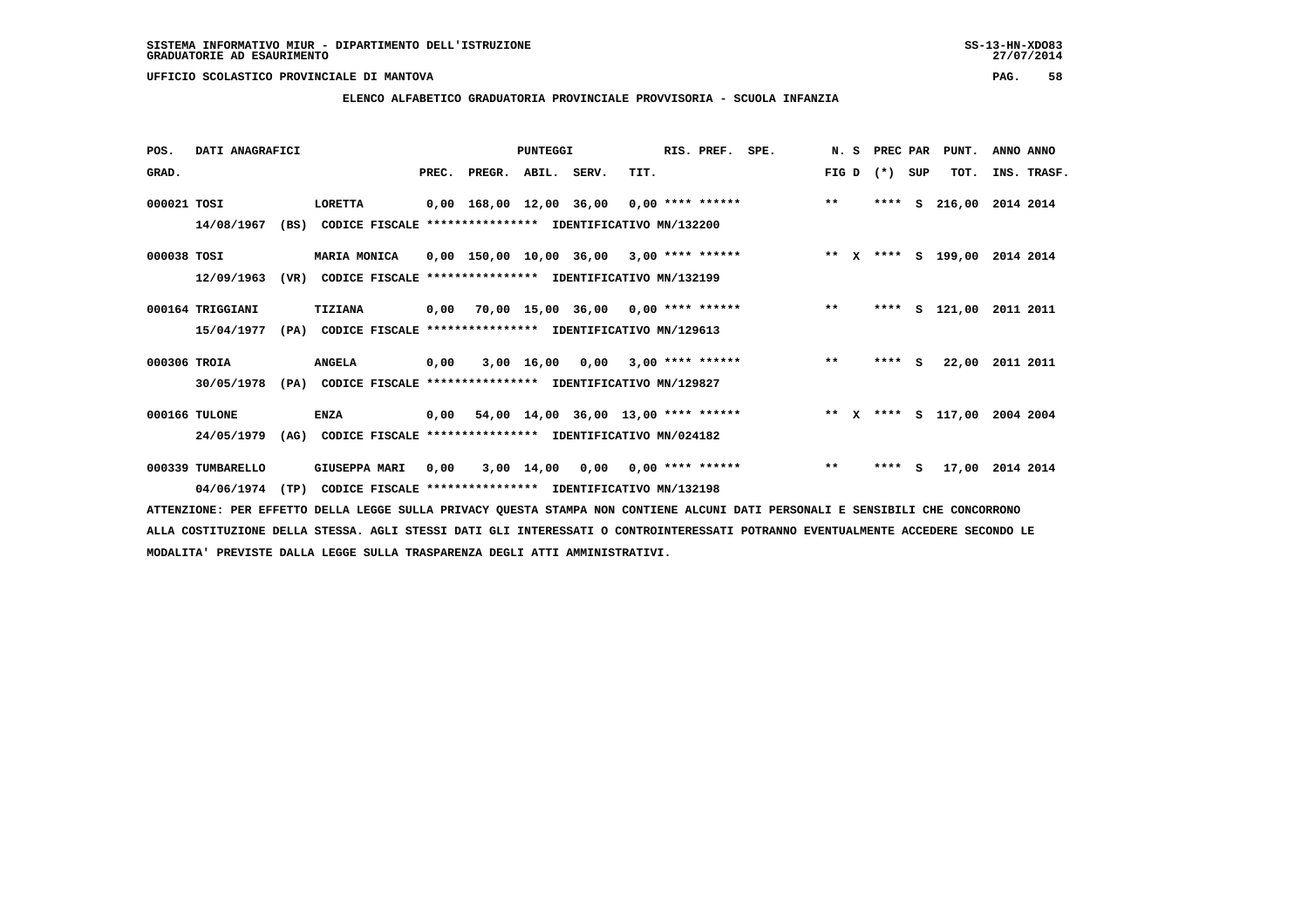| POS.         | DATI ANAGRAFICI   |      |                                                          |       |                                            | <b>PUNTEGGI</b> |      |                                    | RIS. PREF. | SPE.                                     | N.S     | PREC PAR |     | PUNT.         | ANNO ANNO                    |  |
|--------------|-------------------|------|----------------------------------------------------------|-------|--------------------------------------------|-----------------|------|------------------------------------|------------|------------------------------------------|---------|----------|-----|---------------|------------------------------|--|
| GRAD.        |                   |      |                                                          | PREC. | PREGR. ABIL. SERV.                         |                 |      | TIT.                               |            |                                          | FIG D   | $(* )$   | SUP | TOT.          | INS. TRASF.                  |  |
| 000021 TOSI  |                   |      | <b>LORETTA</b>                                           |       |                                            |                 |      |                                    |            | 0,00 168,00 12,00 36,00 0,00 **** ****** | $***$   | ****     | s   | 216,00        | 2014 2014                    |  |
|              | 14/08/1967        | (BS) | CODICE FISCALE **************** IDENTIFICATIVO MN/132200 |       |                                            |                 |      |                                    |            |                                          |         |          |     |               |                              |  |
| 000038 TOSI  |                   |      | <b>MARIA MONICA</b>                                      |       | $0,00$ 150,00 10,00 36,00 3,00 **** ****** |                 |      |                                    |            |                                          | $***$ X |          |     | **** S 199,00 | 2014 2014                    |  |
|              | 12/09/1963        | (VR) | CODICE FISCALE                                           |       | **************** IDENTIFICATIVO MN/132199  |                 |      |                                    |            |                                          |         |          |     |               |                              |  |
|              | 000164 TRIGGIANI  |      | TIZIANA                                                  |       | $0,00$ 70,00 15,00 36,00 0,00 **** ******  |                 |      |                                    |            |                                          | $***$   | ****     |     | s 121,00      | 2011 2011                    |  |
|              | 15/04/1977        | (PA) | CODICE FISCALE **************** IDENTIFICATIVO MN/129613 |       |                                            |                 |      |                                    |            |                                          |         |          |     |               |                              |  |
| 000306 TROIA |                   |      | <b>ANGELA</b>                                            | 0,00  |                                            |                 |      | $3,00$ 16,00 0,00 3,00 **** ****** |            |                                          | $* *$   | **** S   |     | 22,00         | 2011 2011                    |  |
|              | 30/05/1978        | (PA) | CODICE FISCALE **************** IDENTIFICATIVO MN/129827 |       |                                            |                 |      |                                    |            |                                          |         |          |     |               |                              |  |
|              | 000166 TULONE     |      | <b>ENZA</b>                                              |       | $0,00$ 54,00 14,00 36,00 13,00 **** ****** |                 |      |                                    |            |                                          |         |          |     |               | ** X **** S 117,00 2004 2004 |  |
|              | 24/05/1979        | (AG) | CODICE FISCALE **************** IDENTIFICATIVO MN/024182 |       |                                            |                 |      |                                    |            |                                          |         |          |     |               |                              |  |
|              | 000339 TUMBARELLO |      | GIUSEPPA MARI                                            | 0,00  |                                            | 3,00 14,00      | 0,00 | $0,00$ **** ******                 |            |                                          | $***$   | $***5$   |     | 17,00         | 2014 2014                    |  |
|              | 04/06/1974        | (TP) | CODICE FISCALE **************** IDENTIFICATIVO MN/132198 |       |                                            |                 |      |                                    |            |                                          |         |          |     |               |                              |  |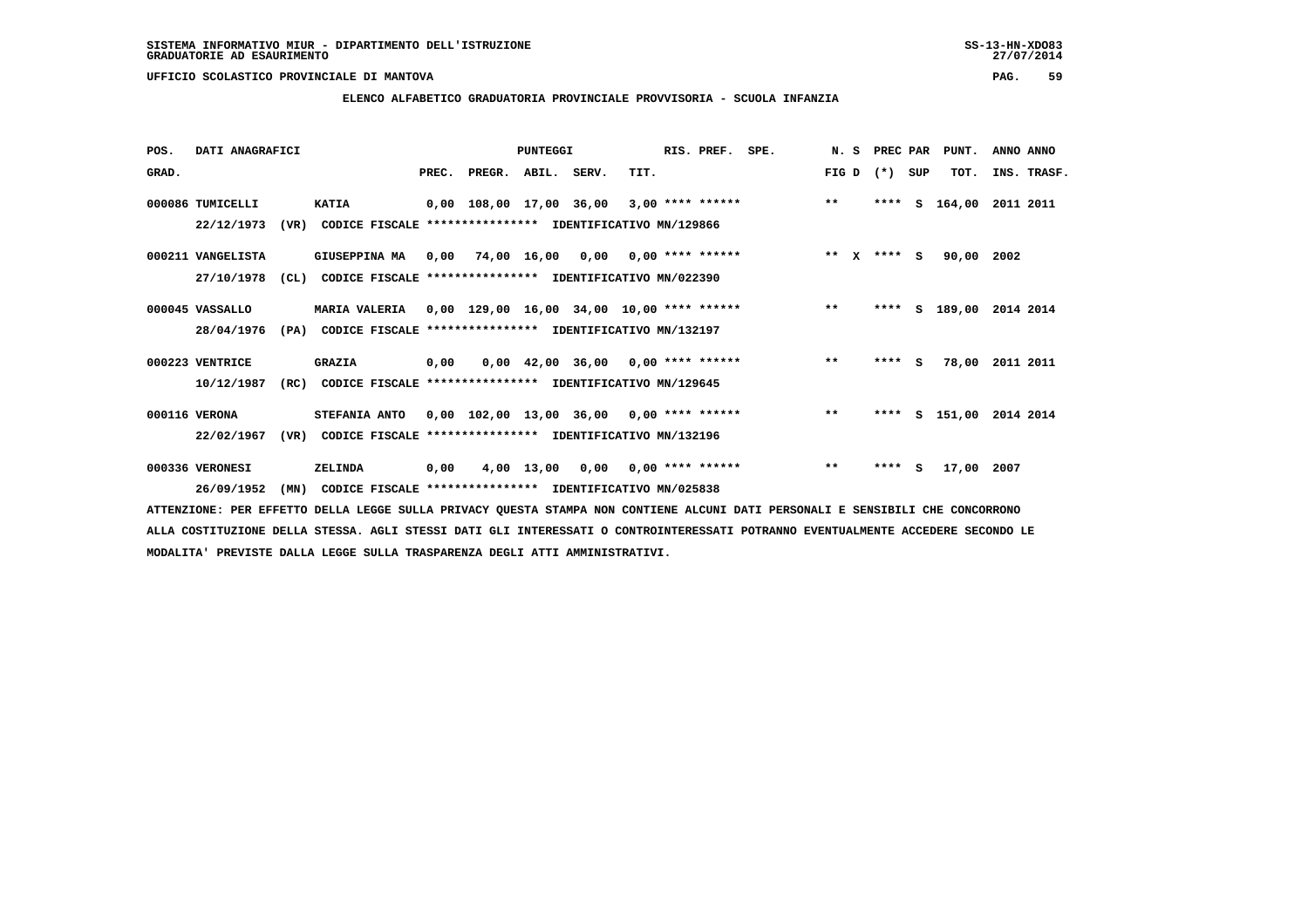# **ELENCO ALFABETICO GRADUATORIA PROVINCIALE PROVVISORIA - SCUOLA INFANZIA**

 **POS. DATI ANAGRAFICI PUNTEGGI RIS. PREF. SPE. N. S PREC PAR PUNT. ANNO ANNO**GRAD. **BRAD. PREC. PREGR. ABIL. SERV.** TIT. THE REGREATER FIG D (\*) SUP TOT. INS. TRASF.  **000086 TUMICELLI KATIA 0,00 108,00 17,00 36,00 3,00 \*\*\*\* \*\*\*\*\*\* \*\* \*\*\*\* S 164,00 2011 2011 22/12/1973 (VR) CODICE FISCALE \*\*\*\*\*\*\*\*\*\*\*\*\*\*\*\* IDENTIFICATIVO MN/129866 000211 VANGELISTA GIUSEPPINA MA 0,00 74,00 16,00 0,00 0,00 \*\*\*\* \*\*\*\*\*\* \*\* X \*\*\*\* S 90,00 2002 27/10/1978 (CL) CODICE FISCALE \*\*\*\*\*\*\*\*\*\*\*\*\*\*\*\* IDENTIFICATIVO MN/022390 000045 VASSALLO MARIA VALERIA 0,00 129,00 16,00 34,00 10,00 \*\*\*\* \*\*\*\*\*\* \*\* \*\*\*\* S 189,00 2014 2014 28/04/1976 (PA) CODICE FISCALE \*\*\*\*\*\*\*\*\*\*\*\*\*\*\*\* IDENTIFICATIVO MN/132197 000223 VENTRICE GRAZIA 0,00 0,00 42,00 36,00 0,00 \*\*\*\* \*\*\*\*\*\* \*\* \*\*\*\* S 78,00 2011 2011 10/12/1987 (RC) CODICE FISCALE \*\*\*\*\*\*\*\*\*\*\*\*\*\*\*\* IDENTIFICATIVO MN/129645 000116 VERONA STEFANIA ANTO 0,00 102,00 13,00 36,00 0,00 \*\*\*\* \*\*\*\*\*\* \*\* \*\*\*\* S 151,00 2014 2014**

 **000336 VERONESI ZELINDA 0,00 4,00 13,00 0,00 0,00 \*\*\*\* \*\*\*\*\*\* \*\* \*\*\*\* S 17,00 2007**

 **26/09/1952 (MN) CODICE FISCALE \*\*\*\*\*\*\*\*\*\*\*\*\*\*\*\* IDENTIFICATIVO MN/025838**

 **22/02/1967 (VR) CODICE FISCALE \*\*\*\*\*\*\*\*\*\*\*\*\*\*\*\* IDENTIFICATIVO MN/132196**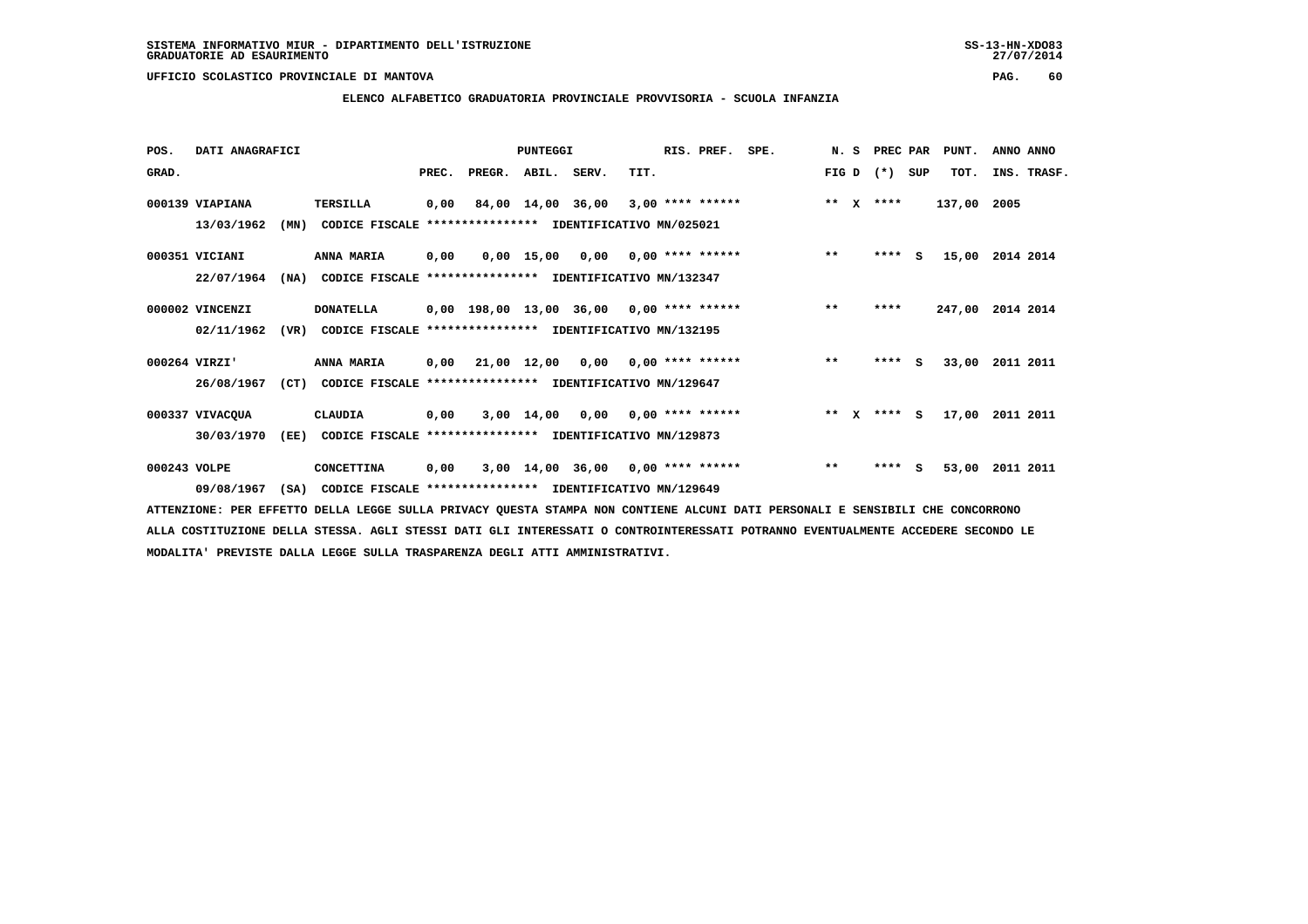### **ELENCO ALFABETICO GRADUATORIA PROVINCIALE PROVVISORIA - SCUOLA INFANZIA**

| POS.         | DATI ANAGRAFICI |      |                                                          |       |                  | PUNTEGGI          |                                            |      | RIS. PREF.         | SPE. | N.S    |              | PREC PAR |     | PUNT.       | ANNO ANNO |             |
|--------------|-----------------|------|----------------------------------------------------------|-------|------------------|-------------------|--------------------------------------------|------|--------------------|------|--------|--------------|----------|-----|-------------|-----------|-------------|
| GRAD.        |                 |      |                                                          | PREC. | PREGR.           | ABIL. SERV.       |                                            | TIT. |                    |      | FIG D  |              | $(* )$   | SUP | TOT.        |           | INS. TRASF. |
|              | 000139 VIAPIANA |      | TERSILLA                                                 | 0,00  |                  | 84,00 14,00 36,00 |                                            |      | $3,00$ **** ****** |      | $* *$  | $\mathbf{x}$ | ****     |     | 137,00 2005 |           |             |
|              | 13/03/1962      | (MN) | CODICE FISCALE **************** IDENTIFICATIVO MN/025021 |       |                  |                   |                                            |      |                    |      |        |              |          |     |             |           |             |
|              | 000351 VICIANI  |      | ANNA MARIA                                               | 0,00  |                  |                   | $0,00$ 15,00 0,00 0,00 **** ******         |      |                    |      | $**$   |              | $***$ S  |     | 15,00       | 2014 2014 |             |
|              | 22/07/1964      | (NA) | CODICE FISCALE **************** IDENTIFICATIVO MN/132347 |       |                  |                   |                                            |      |                    |      |        |              |          |     |             |           |             |
|              | 000002 VINCENZI |      | <b>DONATELLA</b>                                         |       |                  |                   | $0.00$ 198.00 13.00 36.00 0.00 **** ****** |      |                    |      | $***$  |              | ****     |     | 247,00      | 2014 2014 |             |
|              | 02/11/1962      | (VR) | CODICE FISCALE **************** IDENTIFICATIVO MN/132195 |       |                  |                   |                                            |      |                    |      |        |              |          |     |             |           |             |
|              | 000264 VIRZI'   |      | ANNA MARIA                                               |       | 0,00 21,00 12,00 |                   | $0,00$ $0,00$ **** ******                  |      |                    |      | $* *$  |              | $***$ S  |     | 33,00       | 2011 2011 |             |
|              | 26/08/1967      | (CT) | CODICE FISCALE **************** IDENTIFICATIVO MN/129647 |       |                  |                   |                                            |      |                    |      |        |              |          |     |             |           |             |
|              | 000337 VIVACQUA |      | CLAUDIA                                                  | 0,00  |                  | $3,00$ $14,00$    | 0,00                                       |      | 0,00 **** ******   |      | ** $X$ |              | **** S   |     | 17,00       | 2011 2011 |             |
|              | 30/03/1970      | (EE) | CODICE FISCALE                                           |       |                  |                   | **************** IDENTIFICATIVO MN/129873  |      |                    |      |        |              |          |     |             |           |             |
| 000243 VOLPE |                 |      | CONCETTINA                                               | 0,00  |                  |                   | $3,00$ 14,00 36,00 0,00 **** ******        |      |                    |      | $***$  |              | ****     | - S | 53,00       | 2011 2011 |             |
|              | 09/08/1967      | (SA) | CODICE FISCALE **************** IDENTIFICATIVO MN/129649 |       |                  |                   |                                            |      |                    |      |        |              |          |     |             |           |             |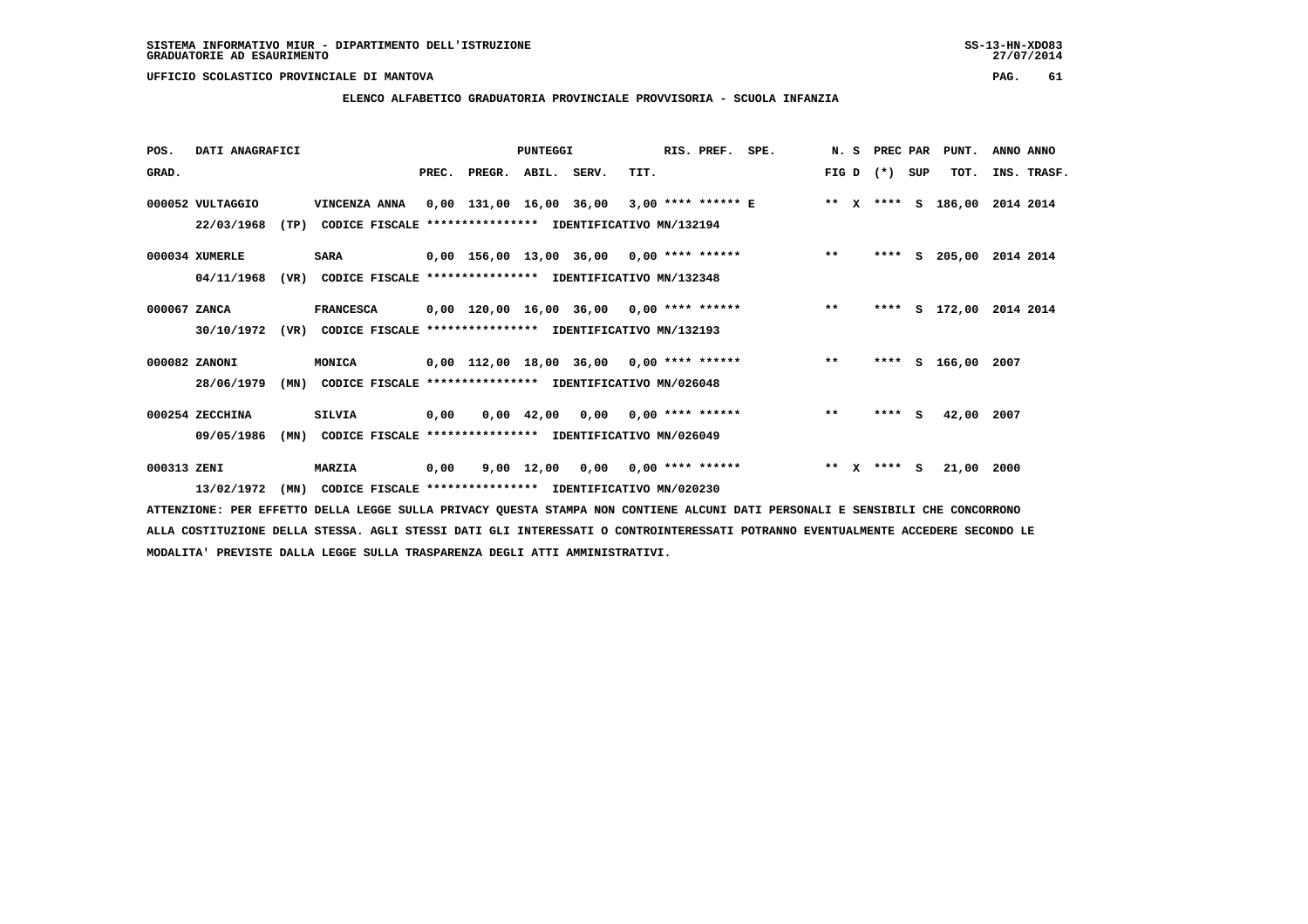# **ELENCO ALFABETICO GRADUATORIA PROVINCIALE PROVVISORIA - SCUOLA INFANZIA**

| POS.         | DATI ANAGRAFICI  |      |                                                               |      |                          | PUNTEGGI |                                    |      | RIS. PREF. | SPE.                                                                    | N. S  |              | PREC PAR    |     | PUNT.         | ANNO ANNO          |
|--------------|------------------|------|---------------------------------------------------------------|------|--------------------------|----------|------------------------------------|------|------------|-------------------------------------------------------------------------|-------|--------------|-------------|-----|---------------|--------------------|
| GRAD.        |                  |      |                                                               |      | PREC. PREGR. ABIL. SERV. |          |                                    | TIT. |            |                                                                         |       |              | FIG D $(*)$ | SUP | TOT.          | INS. TRASF.        |
|              | 000052 VULTAGGIO |      | <b>VINCENZA ANNA</b>                                          |      |                          |          |                                    |      |            | 0,00 131,00 16,00 36,00 3,00 **** ****** E ** X **** S 186,00 2014 2014 |       |              |             |     |               |                    |
|              | 22/03/1968       | (TP) | CODICE FISCALE **************** IDENTIFICATIVO MN/132194      |      |                          |          |                                    |      |            |                                                                         |       |              |             |     |               |                    |
|              | 000034 XUMERLE   |      | SARA                                                          |      |                          |          |                                    |      |            | 0,00 156,00 13,00 36,00 0,00 **** ******                                | $***$ |              | ****        |     | S 205,00      | 2014 2014          |
|              | 04/11/1968       | (VR) | CODICE FISCALE **************** IDENTIFICATIVO MN/132348      |      |                          |          |                                    |      |            |                                                                         |       |              |             |     |               |                    |
| 000067 ZANCA |                  |      | <b>FRANCESCA</b>                                              |      |                          |          |                                    |      |            | 0,00 120,00 16,00 36,00 0,00 **** ******                                | $**$  |              | ****        |     |               | S 172,00 2014 2014 |
|              | 30/10/1972       |      | (VR) CODICE FISCALE **************** IDENTIFICATIVO MN/132193 |      |                          |          |                                    |      |            |                                                                         |       |              |             |     |               |                    |
|              | 000082 ZANONI    |      | MONICA                                                        |      |                          |          |                                    |      |            | 0,00 112,00 18,00 36,00 0,00 **** ******                                | $***$ |              | ****        |     | S 166,00 2007 |                    |
|              | 28/06/1979       | (MN) | CODICE FISCALE **************** IDENTIFICATIVO MN/026048      |      |                          |          |                                    |      |            |                                                                         |       |              |             |     |               |                    |
|              | 000254 ZECCHINA  |      | <b>SILVIA</b>                                                 | 0,00 |                          |          | $0,00$ 42,00 0,00 0,00 **** ****** |      |            |                                                                         | $* *$ |              | ****        | - S | 42,00 2007    |                    |
|              | 09/05/1986       | (MN) | CODICE FISCALE **************** IDENTIFICATIVO MN/026049      |      |                          |          |                                    |      |            |                                                                         |       |              |             |     |               |                    |
| 000313 ZENI  |                  |      | <b>MARZIA</b>                                                 | 0,00 |                          |          | $9.00$ 12.00 0.00 0.00 **** ****** |      |            |                                                                         | $* *$ | $\mathbf{x}$ | **** S      |     | 21,00 2000    |                    |
|              | 13/02/1972       | (MN) | CODICE FISCALE **************** IDENTIFICATIVO MN/020230      |      |                          |          |                                    |      |            |                                                                         |       |              |             |     |               |                    |